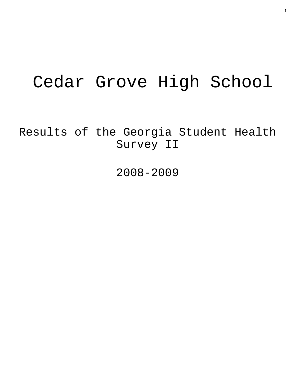# Cedar Grove High School

Results of the Georgia Student Health Survey II

2008-2009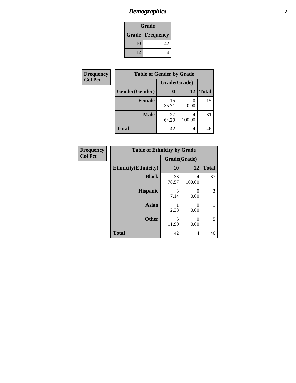# *Demographics* **2**

| Grade                  |    |  |  |  |
|------------------------|----|--|--|--|
| <b>Grade Frequency</b> |    |  |  |  |
| 10                     | 42 |  |  |  |
| 12                     |    |  |  |  |

| <b>Frequency</b> | <b>Table of Gender by Grade</b> |              |        |              |  |
|------------------|---------------------------------|--------------|--------|--------------|--|
| <b>Col Pct</b>   |                                 | Grade(Grade) |        |              |  |
|                  | Gender(Gender)                  | <b>10</b>    | 12     | <b>Total</b> |  |
|                  | Female                          | 15<br>35.71  | 0.00   | 15           |  |
|                  | <b>Male</b>                     | 27<br>64.29  | 100.00 | 31           |  |
|                  | <b>Total</b>                    | 42           | 4      | 46           |  |

| <b>Frequency</b> |
|------------------|
| <b>Col Pct</b>   |

| <b>Table of Ethnicity by Grade</b> |              |             |              |  |  |  |
|------------------------------------|--------------|-------------|--------------|--|--|--|
|                                    | Grade(Grade) |             |              |  |  |  |
| <b>Ethnicity</b> (Ethnicity)       | 10           | 12          | <b>Total</b> |  |  |  |
| <b>Black</b>                       | 33<br>78.57  | 4<br>100.00 | 37           |  |  |  |
| <b>Hispanic</b>                    | 3<br>7.14    | 0<br>0.00   | 3            |  |  |  |
| Asian                              | 2.38         | 0<br>0.00   |              |  |  |  |
| <b>Other</b>                       | 5<br>11.90   | 0<br>0.00   | 5            |  |  |  |
| <b>Total</b>                       | 42           | 4           | 46           |  |  |  |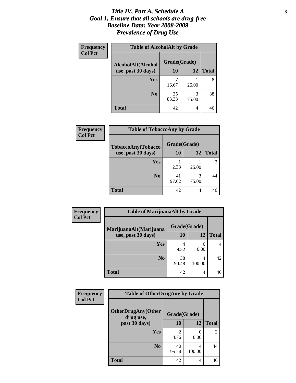#### *Title IV, Part A, Schedule A* **3** *Goal 1: Ensure that all schools are drug-free Baseline Data: Year 2008-2009 Prevalence of Drug Use*

| Frequency<br><b>Col Pct</b> | <b>Table of AlcoholAlt by Grade</b> |              |            |              |  |  |
|-----------------------------|-------------------------------------|--------------|------------|--------------|--|--|
|                             | AlcoholAlt(Alcohol                  | Grade(Grade) |            |              |  |  |
|                             | use, past 30 days)                  | 10           | <b>12</b>  | <b>Total</b> |  |  |
|                             | <b>Yes</b>                          | 16.67        | 25.00      | 8            |  |  |
|                             | N <sub>0</sub>                      | 35<br>83.33  | 3<br>75.00 | 38           |  |  |
|                             | <b>Total</b>                        | 42           | 4          | 46           |  |  |

| Frequency<br><b>Col Pct</b> | <b>Table of TobaccoAny by Grade</b> |              |            |                |  |
|-----------------------------|-------------------------------------|--------------|------------|----------------|--|
|                             | TobaccoAny(Tobacco                  | Grade(Grade) |            |                |  |
|                             | use, past 30 days)                  | <b>10</b>    | 12         | <b>Total</b>   |  |
|                             | <b>Yes</b>                          | 2.38         | 25.00      | $\mathfrak{D}$ |  |
|                             | N <sub>0</sub>                      | 41<br>97.62  | 3<br>75.00 | 44             |  |
|                             | <b>Total</b>                        | 42           | 4          | 46             |  |

| Frequency<br><b>Col Pct</b> | <b>Table of MarijuanaAlt by Grade</b> |              |                          |              |  |  |
|-----------------------------|---------------------------------------|--------------|--------------------------|--------------|--|--|
|                             | MarijuanaAlt(Marijuana                | Grade(Grade) |                          |              |  |  |
|                             | use, past 30 days)                    | 10           | 12                       | <b>Total</b> |  |  |
|                             | Yes                                   | 4<br>9.52    | $\left( \right)$<br>0.00 | 4            |  |  |
|                             | N <sub>0</sub>                        | 38<br>90.48  | 4<br>100.00              | 42           |  |  |
|                             | <b>Total</b>                          | 42           | 4                        | 46           |  |  |

| Frequency<br><b>Col Pct</b> | <b>Table of OtherDrugAny by Grade</b>  |              |              |                |  |  |
|-----------------------------|----------------------------------------|--------------|--------------|----------------|--|--|
|                             | <b>OtherDrugAny(Other</b><br>drug use, | Grade(Grade) |              |                |  |  |
| past 30 days)               | 10                                     | 12           | <b>Total</b> |                |  |  |
|                             | Yes                                    | 4.76         | 0<br>0.00    | $\overline{2}$ |  |  |
|                             | N <sub>0</sub>                         | 40<br>95.24  | 4<br>100.00  | 44             |  |  |
|                             | <b>Total</b>                           | 42           | 4            | 46             |  |  |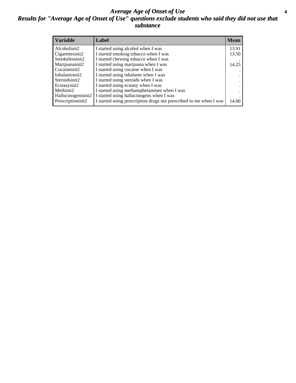#### *Average Age of Onset of Use* **4** *Results for "Average Age of Onset of Use" questions exclude students who said they did not use that substance*

| <b>Variable</b>    | Label                                                              | <b>Mean</b> |
|--------------------|--------------------------------------------------------------------|-------------|
| Alcoholinit2       | I started using alcohol when I was                                 | 13.91       |
| Cigarettesinit2    | I started smoking tobacco when I was                               | 13.50       |
| Smokelessinit2     | I started chewing tobacco when I was                               |             |
| Marijuanainit2     | I started using marijuana when I was                               | 14.25       |
| Cocaineinit2       | I started using cocaine when I was                                 |             |
| Inhalantsinit2     | I started using inhalants when I was                               |             |
| Steroidsinit2      | I started using steroids when I was                                |             |
| Ecstasyinit2       | I started using ecstasy when I was                                 |             |
| Methinit2          | I started using methamphetamines when I was                        |             |
| Hallucinogensinit2 | I started using hallucinogens when I was                           |             |
| Prescriptioninit2  | I started using prescription drugs not prescribed to me when I was | 14.00       |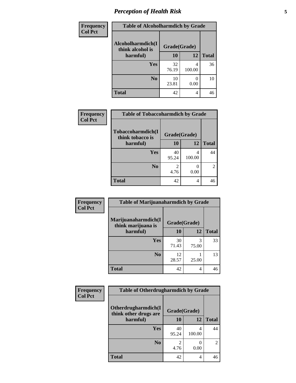# *Perception of Health Risk* **5**

| <b>Frequency</b> | <b>Table of Alcoholharmdich by Grade</b> |              |        |              |  |
|------------------|------------------------------------------|--------------|--------|--------------|--|
| <b>Col Pct</b>   | Alcoholharmdich(I<br>think alcohol is    | Grade(Grade) |        |              |  |
|                  | harmful)                                 | 10           | 12     | <b>Total</b> |  |
|                  | Yes                                      | 32<br>76.19  | 100.00 | 36           |  |
|                  | N <sub>0</sub>                           | 10<br>23.81  | 0.00   | 10           |  |
|                  | <b>Total</b>                             | 42           | 4      | 46           |  |

| Frequency      | <b>Table of Tobaccoharmdich by Grade</b> |              |             |              |  |
|----------------|------------------------------------------|--------------|-------------|--------------|--|
| <b>Col Pct</b> | Tobaccoharmdich(I<br>think tobacco is    | Grade(Grade) |             |              |  |
|                | harmful)                                 | 10           | 12          | <b>Total</b> |  |
|                | <b>Yes</b>                               | 40<br>95.24  | 4<br>100.00 | 44           |  |
|                | N <sub>0</sub>                           | 4.76         | 0.00        | 2            |  |
|                | <b>Total</b>                             | 42           | 4           | 46           |  |

| Frequency      | <b>Table of Marijuanaharmdich by Grade</b> |              |       |              |  |
|----------------|--------------------------------------------|--------------|-------|--------------|--|
| <b>Col Pct</b> | Marijuanaharmdich(I<br>think marijuana is  | Grade(Grade) |       |              |  |
|                | harmful)                                   | 10           | 12    | <b>Total</b> |  |
|                | Yes                                        | 30<br>71.43  | 75.00 | 33           |  |
|                | N <sub>0</sub>                             | 12<br>28.57  | 25.00 | 13           |  |
|                | <b>Total</b>                               | 42           | 4     | 46           |  |

| <b>Frequency</b> | <b>Table of Otherdrugharmdich by Grade</b><br>Otherdrugharmdich(I<br>Grade(Grade)<br>think other drugs are |             |             |                |
|------------------|------------------------------------------------------------------------------------------------------------|-------------|-------------|----------------|
| <b>Col Pct</b>   |                                                                                                            |             |             |                |
|                  | harmful)                                                                                                   | <b>10</b>   | 12          | <b>Total</b>   |
|                  | <b>Yes</b>                                                                                                 | 40<br>95.24 | 4<br>100.00 | 44             |
|                  | N <sub>0</sub>                                                                                             | 4.76        | 0.00        | $\overline{2}$ |
|                  | <b>Total</b>                                                                                               | 42          | 4           | 46             |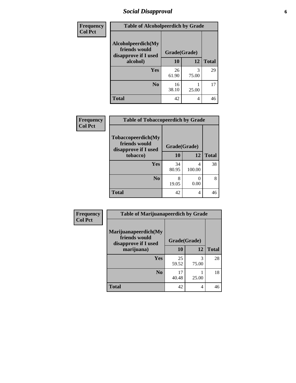# *Social Disapproval* **6**

| <b>Frequency</b> | <b>Table of Alcoholpeerdich by Grade</b>                    |              |            |              |  |
|------------------|-------------------------------------------------------------|--------------|------------|--------------|--|
| <b>Col Pct</b>   | Alcoholpeerdich(My<br>friends would<br>disapprove if I used | Grade(Grade) |            |              |  |
|                  | alcohol)                                                    | 10           | 12         | <b>Total</b> |  |
|                  | <b>Yes</b>                                                  | 26<br>61.90  | 3<br>75.00 | 29           |  |
|                  | N <sub>0</sub>                                              | 16<br>38.10  | 25.00      | 17           |  |
|                  | <b>Total</b>                                                | 42           | 4          | 46           |  |

| <b>Frequency</b> |
|------------------|
| <b>Col Pct</b>   |

| <b>Table of Tobaccopeerdich by Grade</b>                    |              |             |              |  |  |  |
|-------------------------------------------------------------|--------------|-------------|--------------|--|--|--|
| Tobaccopeerdich(My<br>friends would<br>disapprove if I used | Grade(Grade) |             |              |  |  |  |
| tobacco)                                                    | 10           | 12          | <b>Total</b> |  |  |  |
| Yes                                                         | 34<br>80.95  | 4<br>100.00 | 38           |  |  |  |
| N <sub>0</sub>                                              | 8<br>19.05   | 0<br>0.00   | 8            |  |  |  |
| <b>Total</b>                                                | 42           | 4           | 46           |  |  |  |

| Frequency      | <b>Table of Marijuanapeerdich by Grade</b>                    |              |            |              |  |
|----------------|---------------------------------------------------------------|--------------|------------|--------------|--|
| <b>Col Pct</b> | Marijuanapeerdich(My<br>friends would<br>disapprove if I used | Grade(Grade) |            |              |  |
|                | marijuana)                                                    | 10           | 12         | <b>Total</b> |  |
|                | <b>Yes</b>                                                    | 25<br>59.52  | 3<br>75.00 | 28           |  |
|                | N <sub>0</sub>                                                | 17<br>40.48  | 25.00      | 18           |  |
|                | <b>Total</b>                                                  | 42           | 4          | 46           |  |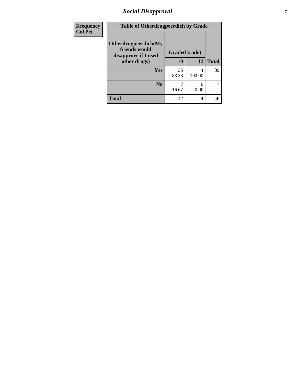# *Social Disapproval* **7**

| Frequency      | <b>Table of Otherdrugpeerdich by Grade</b>                    |              |             |              |  |
|----------------|---------------------------------------------------------------|--------------|-------------|--------------|--|
| <b>Col Pct</b> | Otherdrugpeerdich(My<br>friends would<br>disapprove if I used | Grade(Grade) |             |              |  |
|                | other drugs)                                                  | 10           | 12          | <b>Total</b> |  |
|                | <b>Yes</b>                                                    | 35<br>83.33  | 4<br>100.00 | 39           |  |
|                | N <sub>0</sub>                                                | 16.67        | 0.00        |              |  |
|                | <b>Total</b>                                                  | 42           | 4           | 46           |  |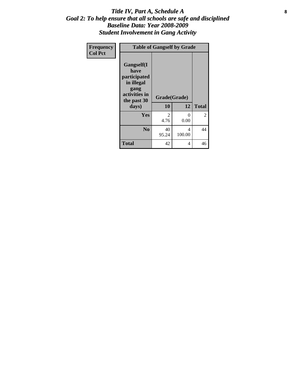#### Title IV, Part A, Schedule A **8** *Goal 2: To help ensure that all schools are safe and disciplined Baseline Data: Year 2008-2009 Student Involvement in Gang Activity*

| Frequency      |                                                                                                           | <b>Table of Gangself by Grade</b> |                  |              |  |  |
|----------------|-----------------------------------------------------------------------------------------------------------|-----------------------------------|------------------|--------------|--|--|
| <b>Col Pct</b> | <b>Gangself</b> (I<br>have<br>participated<br>in illegal<br>gang<br>activities in<br>the past 30<br>days) | Grade(Grade)<br>10                | 12               | <b>Total</b> |  |  |
|                | Yes                                                                                                       | 2<br>4.76                         | $\theta$<br>0.00 | 2            |  |  |
|                | N <sub>0</sub>                                                                                            | 40<br>95.24                       | 4<br>100.00      | 44           |  |  |
|                | <b>Total</b>                                                                                              | 42                                | 4                | 46           |  |  |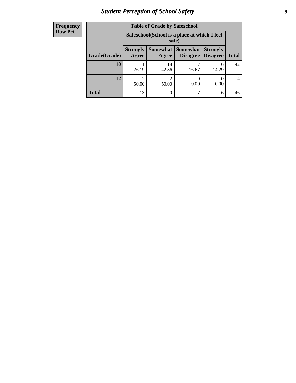# *Student Perception of School Safety* **9**

| <b>Frequency</b><br>Row Pct |
|-----------------------------|
|                             |

| <b>Table of Grade by Safeschool</b> |                                                        |                         |                               |                                    |              |
|-------------------------------------|--------------------------------------------------------|-------------------------|-------------------------------|------------------------------------|--------------|
|                                     | Safeschool (School is a place at which I feel<br>safe) |                         |                               |                                    |              |
| Grade(Grade)                        | <b>Strongly</b><br>Agree                               | Agree                   | Somewhat Somewhat<br>Disagree | <b>Strongly</b><br><b>Disagree</b> | <b>Total</b> |
| 10                                  | 11<br>26.19                                            | 18<br>42.86             | 16.67                         | 6<br>14.29                         | 42           |
| 12                                  | 2<br>50.00                                             | $\mathfrak{D}$<br>50.00 | 0.00                          | 0.00                               | 4            |
| <b>Total</b>                        | 13                                                     | 20                      | ℸ                             | 6                                  | 46           |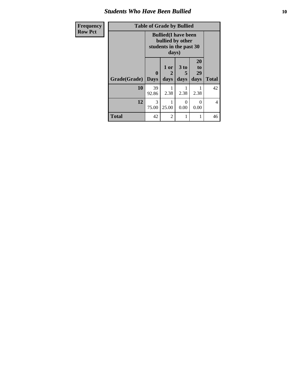#### *Students Who Have Been Bullied* **10**

| Frequency<br><b>Row Pct</b> |                     | <b>Table of Grade by Bullied</b> |                                                                                     |                   |                        |                |
|-----------------------------|---------------------|----------------------------------|-------------------------------------------------------------------------------------|-------------------|------------------------|----------------|
|                             |                     |                                  | <b>Bullied</b> (I have been<br>bullied by other<br>students in the past 30<br>days) |                   |                        |                |
|                             | Grade(Grade)   Days | $\mathbf{0}$                     | 1 or<br>2<br>days                                                                   | 3 to<br>5<br>days | 20<br>to<br>29<br>days | <b>Total</b>   |
|                             | 10                  | 39<br>92.86                      | 2.38                                                                                | 2.38              | 2.38                   | 42             |
|                             | 12                  | 3<br>75.00                       | 25.00                                                                               | $\Omega$<br>0.00  | 0<br>0.00              | $\overline{4}$ |
|                             | <b>Total</b>        | 42                               | $\overline{2}$                                                                      | 1                 |                        | 46             |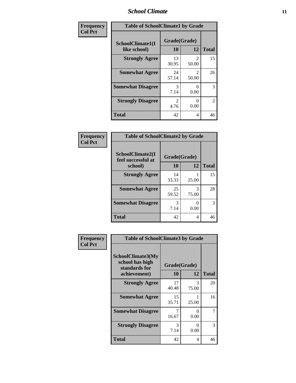#### *School Climate* **11**

| <b>Frequency</b> | <b>Table of SchoolClimate1 by Grade</b> |                    |                         |                |  |
|------------------|-----------------------------------------|--------------------|-------------------------|----------------|--|
| <b>Col Pct</b>   | SchoolClimate1(I<br>like school)        | Grade(Grade)<br>10 | 12                      | <b>Total</b>   |  |
|                  | <b>Strongly Agree</b>                   | 13<br>30.95        | $\mathfrak{D}$<br>50.00 | 15             |  |
|                  | <b>Somewhat Agree</b>                   | 24<br>57.14        | $\mathfrak{D}$<br>50.00 | 26             |  |
|                  | <b>Somewhat Disagree</b>                | 3<br>7.14          | 0.00                    | 3              |  |
|                  | <b>Strongly Disagree</b>                | 2<br>4.76          | 0.00                    | $\overline{2}$ |  |
|                  | <b>Total</b>                            | 42                 | 4                       | 46             |  |

| Frequency      | <b>Table of SchoolClimate2 by Grade</b>           |                    |            |              |
|----------------|---------------------------------------------------|--------------------|------------|--------------|
| <b>Col Pct</b> | SchoolClimate2(I<br>feel successful at<br>school) | Grade(Grade)<br>10 | 12         | <b>Total</b> |
|                | <b>Strongly Agree</b>                             | 14<br>33.33        | 25.00      | 15           |
|                | <b>Somewhat Agree</b>                             | 25<br>59.52        | 3<br>75.00 | 28           |
|                | <b>Somewhat Disagree</b>                          | 3<br>7.14          | 0<br>0.00  | 3            |
|                | <b>Total</b>                                      | 42                 | 4          | 46           |

| Frequency      | <b>Table of SchoolClimate3 by Grade</b>                               |                    |                    |              |
|----------------|-----------------------------------------------------------------------|--------------------|--------------------|--------------|
| <b>Col Pct</b> | SchoolClimate3(My<br>school has high<br>standards for<br>achievement) | Grade(Grade)<br>10 | 12                 | <b>Total</b> |
|                | <b>Strongly Agree</b>                                                 | 17                 | 3                  | 20           |
|                | <b>Somewhat Agree</b>                                                 | 40.48<br>15        | 75.00              | 16           |
|                | <b>Somewhat Disagree</b>                                              | 35.71<br>16.67     | 25.00<br>0<br>0.00 |              |
|                | <b>Strongly Disagree</b>                                              | 3<br>7.14          | 0<br>0.00          | 3            |
|                | Total                                                                 | 42                 | 4                  | 46           |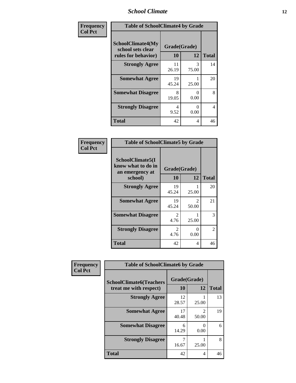#### *School Climate* **12**

| Frequency      | <b>Table of SchoolClimate4 by Grade</b>                       |                    |            |              |
|----------------|---------------------------------------------------------------|--------------------|------------|--------------|
| <b>Col Pct</b> | SchoolClimate4(My<br>school sets clear<br>rules for behavior) | Grade(Grade)<br>10 | 12         | <b>Total</b> |
|                | <b>Strongly Agree</b>                                         | 11<br>26.19        | 3<br>75.00 | 14           |
|                | <b>Somewhat Agree</b>                                         | 19<br>45.24        | 25.00      | 20           |
|                | <b>Somewhat Disagree</b>                                      | 8<br>19.05         | 0<br>0.00  | 8            |
|                | <b>Strongly Disagree</b>                                      | 4<br>9.52          | 0<br>0.00  | 4            |
|                | <b>Total</b>                                                  | 42                 | 4          | 46           |

#### **Frequency Col Pct**

| <b>Table of SchoolClimate5 by Grade</b>                              |                    |            |              |  |
|----------------------------------------------------------------------|--------------------|------------|--------------|--|
| SchoolClimate5(I<br>know what to do in<br>an emergency at<br>school) | Grade(Grade)<br>10 | 12         | <b>Total</b> |  |
| <b>Strongly Agree</b>                                                | 19<br>45.24        | 25.00      | 20           |  |
| <b>Somewhat Agree</b>                                                | 19<br>45.24        | 2<br>50.00 | 21           |  |
| <b>Somewhat Disagree</b>                                             | 2<br>4.76          | 25.00      | 3            |  |
| <b>Strongly Disagree</b>                                             | 2<br>4.76          | 0<br>0.00  | 2            |  |
| Total                                                                | 42                 | 4          | 46           |  |

| Frequency      | <b>Table of SchoolClimate6 by Grade</b>                  |                    |                         |              |  |
|----------------|----------------------------------------------------------|--------------------|-------------------------|--------------|--|
| <b>Col Pct</b> | <b>SchoolClimate6(Teachers</b><br>treat me with respect) | Grade(Grade)<br>10 | 12                      | <b>Total</b> |  |
|                | <b>Strongly Agree</b>                                    | 12<br>28.57        | 25.00                   | 13           |  |
|                | <b>Somewhat Agree</b>                                    | 17<br>40.48        | $\mathfrak{D}$<br>50.00 | 19           |  |
|                | <b>Somewhat Disagree</b>                                 | 6<br>14.29         | 0<br>0.00               | 6            |  |
|                | <b>Strongly Disagree</b>                                 | 16.67              | 25.00                   | 8            |  |
|                | <b>Total</b>                                             | 42                 | 4                       | 46           |  |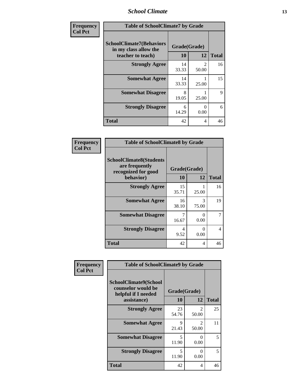#### *School Climate* **13**

| Frequency      | <b>Table of SchoolClimate7 by Grade</b>                                       |                           |                         |              |
|----------------|-------------------------------------------------------------------------------|---------------------------|-------------------------|--------------|
| <b>Col Pct</b> | <b>SchoolClimate7(Behaviors</b><br>in my class allow the<br>teacher to teach) | Grade(Grade)<br><b>10</b> | <b>12</b>               | <b>Total</b> |
|                | <b>Strongly Agree</b>                                                         | 14<br>33.33               | $\mathfrak{D}$<br>50.00 | 16           |
|                | <b>Somewhat Agree</b>                                                         | 14<br>33.33               | 25.00                   | 15           |
|                | <b>Somewhat Disagree</b>                                                      | 8<br>19.05                | 25.00                   | $\mathbf Q$  |
|                | <b>Strongly Disagree</b>                                                      | 6<br>14.29                | 0<br>0.00               | 6            |
|                | <b>Total</b>                                                                  | 42                        | 4                       | 46           |

| Frequency      | <b>Table of SchoolClimate8 by Grade</b>                                 |              |            |                |
|----------------|-------------------------------------------------------------------------|--------------|------------|----------------|
| <b>Col Pct</b> | <b>SchoolClimate8(Students</b><br>are frequently<br>recognized for good | Grade(Grade) |            |                |
|                | behavior)                                                               | 10           | 12         | <b>Total</b>   |
|                | <b>Strongly Agree</b>                                                   | 15<br>35.71  | 25.00      | 16             |
|                | <b>Somewhat Agree</b>                                                   | 16<br>38.10  | 3<br>75.00 | 19             |
|                | <b>Somewhat Disagree</b>                                                | 16.67        | 0<br>0.00  | 7              |
|                | <b>Strongly Disagree</b>                                                | 4<br>9.52    | 0<br>0.00  | $\overline{4}$ |
|                | <b>Total</b>                                                            | 42           | 4          | 46             |

| Frequency<br><b>Col Pct</b> | <b>Table of SchoolClimate9 by Grade</b>                                           |                    |                         |              |
|-----------------------------|-----------------------------------------------------------------------------------|--------------------|-------------------------|--------------|
|                             | SchoolClimate9(School<br>counselor would be<br>helpful if I needed<br>assistance) | Grade(Grade)<br>10 | 12                      | <b>Total</b> |
|                             | <b>Strongly Agree</b>                                                             | 23<br>54.76        | $\mathfrak{D}$<br>50.00 | 25           |
|                             | <b>Somewhat Agree</b>                                                             | 9<br>21.43         | $\mathfrak{D}$<br>50.00 | 11           |
|                             | <b>Somewhat Disagree</b>                                                          | 5<br>11.90         | ∩<br>0.00               | 5            |
|                             | <b>Strongly Disagree</b>                                                          | 5<br>11.90         | 0<br>0.00               | 5            |
|                             | Total                                                                             | 42                 | 4                       | 46           |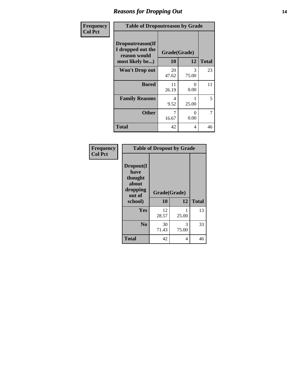#### *Reasons for Dropping Out* **14**

| Frequency      | <b>Table of Dropoutreason by Grade</b>                                   |                    |                  |              |
|----------------|--------------------------------------------------------------------------|--------------------|------------------|--------------|
| <b>Col Pct</b> | Dropoutreason(If<br>I dropped out the<br>reason would<br>most likely be) | Grade(Grade)<br>10 | 12               | <b>Total</b> |
|                | <b>Won't Drop out</b>                                                    | 20<br>47.62        | 3<br>75.00       | 23           |
|                | <b>Bored</b>                                                             | 11<br>26.19        | $\Omega$<br>0.00 | 11           |
|                | <b>Family Reasons</b>                                                    | 4<br>9.52          | 25.00            | 5            |
|                | <b>Other</b>                                                             | 7<br>16.67         | 0<br>0.00        | 7            |
|                | <b>Total</b>                                                             | 42                 | 4                | 46           |

| Frequency<br><b>Col Pct</b> | <b>Table of Dropout by Grade</b>                                       |                    |            |              |  |
|-----------------------------|------------------------------------------------------------------------|--------------------|------------|--------------|--|
|                             | Dropout(I<br>have<br>thought<br>about<br>dropping<br>out of<br>school) | Grade(Grade)<br>10 | 12         | <b>Total</b> |  |
|                             |                                                                        |                    |            |              |  |
|                             | Yes                                                                    | 12<br>28.57        | 25.00      | 13           |  |
|                             | N <sub>0</sub>                                                         | 30<br>71.43        | 3<br>75.00 | 33           |  |
|                             | <b>Total</b>                                                           | 42                 | 4          | 46           |  |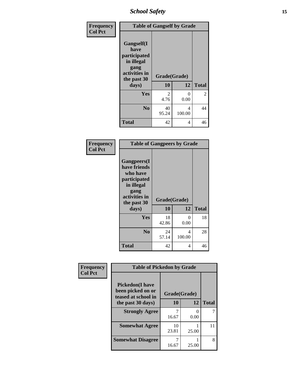*School Safety* **15**

| Frequency      | <b>Table of Gangself by Grade</b>                                                                 |                    |             |              |
|----------------|---------------------------------------------------------------------------------------------------|--------------------|-------------|--------------|
| <b>Col Pct</b> | Gangself(I<br>have<br>participated<br>in illegal<br>gang<br>activities in<br>the past 30<br>days) | Grade(Grade)<br>10 | 12          | <b>Total</b> |
|                | Yes                                                                                               | 2<br>4.76          | 0<br>0.00   | 2            |
|                | N <sub>0</sub>                                                                                    | 40<br>95.24        | 4<br>100.00 | 44           |
|                | <b>Total</b>                                                                                      | 42                 | 4           | 46           |

| Frequency<br><b>Col Pct</b> | <b>Table of Gangpeers by Grade</b>                                                                                             |                    |             |              |
|-----------------------------|--------------------------------------------------------------------------------------------------------------------------------|--------------------|-------------|--------------|
|                             | <b>Gangpeers</b> (I<br>have friends<br>who have<br>participated<br>in illegal<br>gang<br>activities in<br>the past 30<br>days) | Grade(Grade)<br>10 | 12          | <b>Total</b> |
|                             | <b>Yes</b>                                                                                                                     | 18<br>42.86        | 0<br>0.00   | 18           |
|                             | N <sub>0</sub>                                                                                                                 | 24<br>57.14        | 4<br>100.00 | 28           |
|                             | <b>Total</b>                                                                                                                   | 42                 | 4           | 46           |

| Frequency      | <b>Table of Pickedon by Grade</b>                                  |              |           |              |
|----------------|--------------------------------------------------------------------|--------------|-----------|--------------|
| <b>Col Pct</b> | <b>Pickedon(I have</b><br>been picked on or<br>teased at school in | Grade(Grade) |           |              |
|                | the past 30 days)                                                  | 10           | 12        | <b>Total</b> |
|                | <b>Strongly Agree</b>                                              | 16.67        | 0<br>0.00 |              |
|                | <b>Somewhat Agree</b>                                              | 10<br>23.81  | 25.00     | 11           |
|                | <b>Somewhat Disagree</b>                                           | 16.67        | 25.00     | 8            |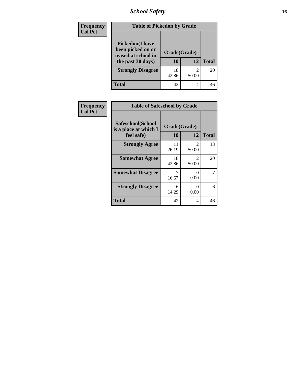*School Safety* **16**

| <b>Frequency</b> | <b>Table of Pickedon by Grade</b>                                                        |                    |       |              |  |
|------------------|------------------------------------------------------------------------------------------|--------------------|-------|--------------|--|
| <b>Col Pct</b>   | <b>Pickedon</b> (I have<br>been picked on or<br>teased at school in<br>the past 30 days) | Grade(Grade)<br>10 | 12    | <b>Total</b> |  |
|                  | <b>Strongly Disagree</b>                                                                 | 18<br>42.86        | 50.00 | 20           |  |
|                  | <b>Total</b>                                                                             | 42                 | 4     | 46           |  |

| Frequency      | <b>Table of Safeschool by Grade</b>                      |                    |                                      |                |  |
|----------------|----------------------------------------------------------|--------------------|--------------------------------------|----------------|--|
| <b>Col Pct</b> | Safeschool(School<br>is a place at which I<br>feel safe) | Grade(Grade)<br>10 | 12                                   | <b>Total</b>   |  |
|                | <b>Strongly Agree</b>                                    | 11<br>26.19        | $\mathfrak{D}$<br>50.00              | 13             |  |
|                | <b>Somewhat Agree</b>                                    | 18<br>42.86        | $\mathcal{D}_{\mathcal{L}}$<br>50.00 | 20             |  |
|                | <b>Somewhat Disagree</b>                                 | 7<br>16.67         | $\mathbf{\Omega}$<br>0.00            | $\overline{7}$ |  |
|                | <b>Strongly Disagree</b>                                 | 6<br>14.29         | $\mathbf{\Omega}$<br>0.00            | 6              |  |
|                | <b>Total</b>                                             | 42                 | 4                                    | 46             |  |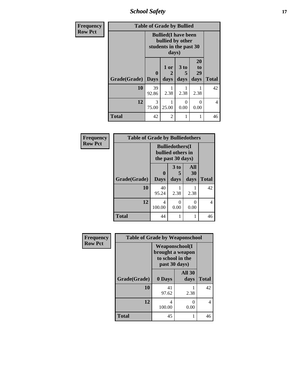*School Safety* **17**

| <b>Frequency</b> | <b>Table of Grade by Bullied</b> |             |                                                                                     |                   |                                    |              |
|------------------|----------------------------------|-------------|-------------------------------------------------------------------------------------|-------------------|------------------------------------|--------------|
| <b>Row Pct</b>   |                                  |             | <b>Bullied</b> (I have been<br>bullied by other<br>students in the past 30<br>days) |                   |                                    |              |
|                  | Grade(Grade)   Days              | $\mathbf 0$ | 1 or<br>2<br>days                                                                   | 3 to<br>5<br>days | 20<br>t <sub>0</sub><br>29<br>days | <b>Total</b> |
|                  | 10                               | 39<br>92.86 | 2.38                                                                                | 2.38              | 2.38                               | 42           |
|                  | 12                               | 3<br>75.00  | 25.00                                                                               | 0<br>0.00         | $\Omega$<br>0.00                   | 4            |
|                  | <b>Total</b>                     | 42          | 2                                                                                   | 1                 | 1                                  | 46           |

| Frequency      | <b>Table of Grade by Bulliedothers</b> |                                                                   |              |                   |              |  |  |
|----------------|----------------------------------------|-------------------------------------------------------------------|--------------|-------------------|--------------|--|--|
| <b>Row Pct</b> |                                        | <b>Bulliedothers</b> (I<br>bullied others in<br>the past 30 days) |              |                   |              |  |  |
|                | Grade(Grade)                           | $\bf{0}$<br><b>Days</b>                                           | 3 to<br>days | All<br>30<br>days | <b>Total</b> |  |  |
|                | 10                                     | 40<br>95.24                                                       | 2.38         | 2.38              | 42           |  |  |
|                | 12                                     | 4<br>100.00                                                       | 0<br>0.00    | 0<br>0.00         | 4            |  |  |
|                | <b>Total</b>                           | 44                                                                |              | 1                 | 46           |  |  |

| Frequency      | <b>Table of Grade by Weaponschool</b> |                                                                                 |                       |              |  |  |
|----------------|---------------------------------------|---------------------------------------------------------------------------------|-----------------------|--------------|--|--|
| <b>Row Pct</b> |                                       | <b>Weaponschool</b> (I<br>brought a weapon<br>to school in the<br>past 30 days) |                       |              |  |  |
|                | Grade(Grade)                          | 0 Days                                                                          | <b>All 30</b><br>days | <b>Total</b> |  |  |
|                | 10                                    | 41<br>97.62                                                                     | 2.38                  | 42           |  |  |
|                | 12                                    | 4<br>100.00                                                                     | 0<br>0.00             | 4            |  |  |
|                | <b>Total</b>                          | 45                                                                              |                       | 46           |  |  |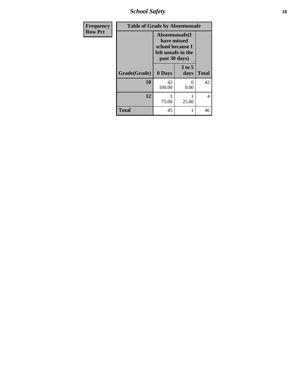*School Safety* **18**

| <b>Frequency</b> | <b>Table of Grade by Absentunsafe</b> |                                                                                           |                  |                |  |
|------------------|---------------------------------------|-------------------------------------------------------------------------------------------|------------------|----------------|--|
| <b>Row Pct</b>   |                                       | Absentunsafe(I)<br>have missed<br>school because I<br>felt unsafe in the<br>past 30 days) |                  |                |  |
|                  | Grade(Grade)                          | 0 Days                                                                                    | $3$ to 5<br>days | <b>Total</b>   |  |
|                  | 10                                    | 42<br>100.00                                                                              | 0<br>0.00        | 42             |  |
|                  | 12                                    | 3<br>75.00                                                                                | 25.00            | $\overline{4}$ |  |
|                  | <b>Total</b>                          | 45                                                                                        | 1                | 46             |  |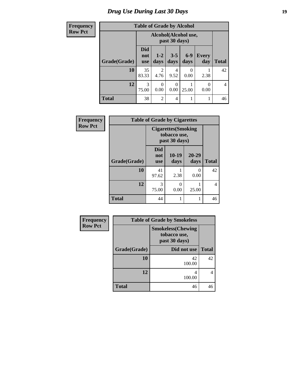# *Drug Use During Last 30 Days* **19**

| <b>Frequency</b> | <b>Table of Grade by Alcohol</b> |                                       |                 |                  |               |                     |                |
|------------------|----------------------------------|---------------------------------------|-----------------|------------------|---------------|---------------------|----------------|
| <b>Row Pct</b>   |                                  | Alcohol(Alcohol use,<br>past 30 days) |                 |                  |               |                     |                |
|                  | Grade(Grade)                     | <b>Did</b><br>not<br><b>use</b>       | $1 - 2$<br>days | $3 - 5$<br>days  | $6-9$<br>days | <b>Every</b><br>day | <b>Total</b>   |
|                  | 10                               | 35<br>83.33                           | 2<br>4.76       | 4<br>9.52        | 0<br>0.00     | 2.38                | 42             |
|                  | 12                               | 3<br>75.00                            | 0<br>0.00       | $\Omega$<br>0.00 | 25.00         | $\Omega$<br>0.00    | $\overline{4}$ |
|                  | <b>Total</b>                     | 38                                    | $\overline{2}$  | $\overline{4}$   |               |                     | 46             |

| Frequency      | <b>Table of Grade by Cigarettes</b> |                                                             |                 |                   |                |  |
|----------------|-------------------------------------|-------------------------------------------------------------|-----------------|-------------------|----------------|--|
| <b>Row Pct</b> |                                     | <b>Cigarettes</b> (Smoking<br>tobacco use,<br>past 30 days) |                 |                   |                |  |
|                | Grade(Grade)                        | <b>Did</b><br>not<br><b>use</b>                             | $10-19$<br>days | $20 - 29$<br>days | <b>Total</b>   |  |
|                | 10                                  | 41<br>97.62                                                 | 2.38            | 0<br>0.00         | 42             |  |
|                | 12                                  | 3<br>75.00                                                  | 0<br>0.00       | 25.00             | $\overline{4}$ |  |
|                | <b>Total</b>                        | 44                                                          | 1               | 1                 | 46             |  |

| <b>Frequency</b> | <b>Table of Grade by Smokeless</b> |                                                            |              |  |  |
|------------------|------------------------------------|------------------------------------------------------------|--------------|--|--|
| <b>Row Pct</b>   |                                    | <b>Smokeless</b> (Chewing<br>tobacco use,<br>past 30 days) |              |  |  |
|                  | Grade(Grade)                       | Did not use                                                | <b>Total</b> |  |  |
|                  | <b>10</b>                          | 42<br>100.00                                               | 42           |  |  |
|                  | 12                                 | 100.00                                                     | 4            |  |  |
|                  | <b>Total</b>                       | 46                                                         | 46           |  |  |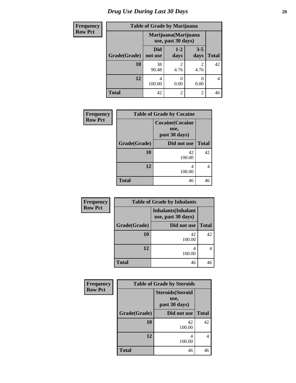# *Drug Use During Last 30 Days* 20

| Frequency      | <b>Table of Grade by Marijuana</b>         |                |                        |                        |              |
|----------------|--------------------------------------------|----------------|------------------------|------------------------|--------------|
| <b>Row Pct</b> | Marijuana (Marijuana<br>use, past 30 days) |                |                        |                        |              |
|                | Grade(Grade)                               | Did<br>not use | $1 - 2$<br>days        | $3 - 5$<br>days        | <b>Total</b> |
|                | 10                                         | 38<br>90.48    | $\mathfrak{D}$<br>4.76 | $\overline{c}$<br>4.76 | 42           |
|                | 12                                         | 4<br>100.00    | 0<br>0.00              | 0<br>0.00              | 4            |
|                | <b>Total</b>                               | 42             | 2                      | 2                      | 46           |

| <b>Frequency</b> | <b>Table of Grade by Cocaine</b> |                                                  |              |  |
|------------------|----------------------------------|--------------------------------------------------|--------------|--|
| <b>Row Pct</b>   |                                  | <b>Cocaine</b> (Cocaine<br>use,<br>past 30 days) |              |  |
|                  | Grade(Grade)                     | Did not use                                      | <b>Total</b> |  |
|                  | 10                               | 42<br>100.00                                     | 42           |  |
|                  | 12                               | 4<br>100.00                                      | 4            |  |
|                  | <b>Total</b>                     | 46                                               | 46           |  |

| Frequency      |              | <b>Table of Grade by Inhalants</b>               |              |
|----------------|--------------|--------------------------------------------------|--------------|
| <b>Row Pct</b> |              | <b>Inhalants</b> (Inhalant<br>use, past 30 days) |              |
|                | Grade(Grade) | Did not use                                      | <b>Total</b> |
|                | 10           | 42<br>100.00                                     | 42           |
|                | 12           | 100.00                                           | 4            |
|                | <b>Total</b> | 46                                               | 46           |

| Frequency      |              | <b>Table of Grade by Steroids</b>                 |              |
|----------------|--------------|---------------------------------------------------|--------------|
| <b>Row Pct</b> |              | <b>Steroids</b> (Steroid<br>use,<br>past 30 days) |              |
|                | Grade(Grade) | Did not use                                       | <b>Total</b> |
|                | 10           | 42<br>100.00                                      | 42           |
|                | 12           | 4<br>100.00                                       |              |
|                | <b>Total</b> | 46                                                | 46           |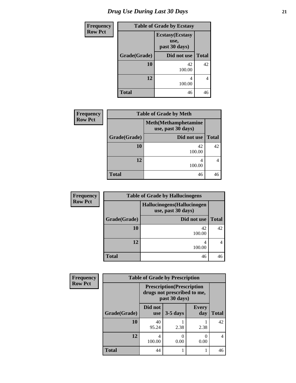| <b>Frequency</b> |              | <b>Table of Grade by Ecstasy</b>                 |                |  |  |
|------------------|--------------|--------------------------------------------------|----------------|--|--|
| <b>Row Pct</b>   |              | <b>Ecstasy</b> (Ecstasy<br>use,<br>past 30 days) |                |  |  |
|                  | Grade(Grade) | Did not use                                      | <b>Total</b>   |  |  |
|                  | 10           | 42<br>100.00                                     | 42             |  |  |
|                  | 12           | 4<br>100.00                                      | $\overline{4}$ |  |  |
|                  | <b>Total</b> | 46                                               | 46             |  |  |

| <b>Frequency</b> |              | <b>Table of Grade by Meth</b>                      |              |  |  |
|------------------|--------------|----------------------------------------------------|--------------|--|--|
| <b>Row Pct</b>   |              | <b>Meth</b> (Methamphetamine<br>use, past 30 days) |              |  |  |
|                  | Grade(Grade) | Did not use                                        | <b>Total</b> |  |  |
|                  | 10           | 42<br>100.00                                       | 42           |  |  |
|                  | 12           | 4<br>100.00                                        |              |  |  |
|                  | <b>Total</b> | 46                                                 | 46           |  |  |

| <b>Frequency</b> | <b>Table of Grade by Hallucinogens</b> |                                                   |              |  |  |
|------------------|----------------------------------------|---------------------------------------------------|--------------|--|--|
| <b>Row Pct</b>   |                                        | Hallucinogens (Hallucinogen<br>use, past 30 days) |              |  |  |
|                  | Grade(Grade)                           | Did not use                                       | <b>Total</b> |  |  |
|                  | 10                                     | 42<br>100.00                                      | 42           |  |  |
|                  | 12                                     | 100.00                                            | 4            |  |  |
|                  | <b>Total</b>                           | 46                                                |              |  |  |

| <b>Frequency</b> | <b>Table of Grade by Prescription</b> |                       |                                                                  |                     |              |
|------------------|---------------------------------------|-----------------------|------------------------------------------------------------------|---------------------|--------------|
| <b>Row Pct</b>   |                                       | past 30 days)         | <b>Prescription</b> (Prescription<br>drugs not prescribed to me, |                     |              |
|                  | Grade(Grade)                          | Did not<br><b>use</b> | $3-5$ days                                                       | <b>Every</b><br>day | <b>Total</b> |
|                  | 10                                    | 40<br>95.24           | 2.38                                                             | 2.38                | 42           |
|                  | 12                                    | 4<br>100.00           | $\mathbf{\Omega}$<br>0.00                                        | 0.00                |              |
|                  | <b>Total</b>                          | 44                    |                                                                  |                     | 46           |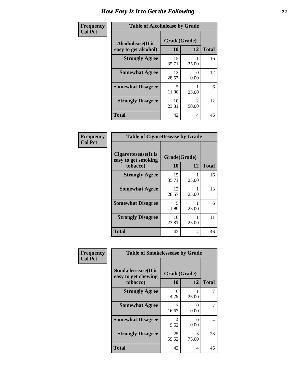| Frequency      | <b>Table of Alcoholease by Grade</b>              |                    |                         |              |
|----------------|---------------------------------------------------|--------------------|-------------------------|--------------|
| <b>Col Pct</b> | <b>Alcoholease</b> (It is<br>easy to get alcohol) | Grade(Grade)<br>10 | 12                      | <b>Total</b> |
|                | <b>Strongly Agree</b>                             | 15<br>35.71        | 25.00                   | 16           |
|                | <b>Somewhat Agree</b>                             | 12<br>28.57        | $\Omega$<br>0.00        | 12           |
|                | <b>Somewhat Disagree</b>                          | 5<br>11.90         | 25.00                   | 6            |
|                | <b>Strongly Disagree</b>                          | 10<br>23.81        | $\mathfrak{D}$<br>50.00 | 12           |
|                | <b>Total</b>                                      | 42                 | 4                       | 46           |

| Frequency      | <b>Table of Cigarettesease by Grade</b>                 |                    |       |              |
|----------------|---------------------------------------------------------|--------------------|-------|--------------|
| <b>Col Pct</b> | Cigarettesease(It is<br>easy to get smoking<br>tobacco) | Grade(Grade)<br>10 | 12    | <b>Total</b> |
|                | <b>Strongly Agree</b>                                   | 15<br>35.71        | 25.00 | 16           |
|                | <b>Somewhat Agree</b>                                   | 12<br>28.57        | 25.00 | 13           |
|                | <b>Somewhat Disagree</b>                                | 5<br>11.90         | 25.00 | 6            |
|                | <b>Strongly Disagree</b>                                | 10<br>23.81        | 25.00 | 11           |
|                | <b>Total</b>                                            | 42                 | 4     | 46           |

| Frequency      | <b>Table of Smokelessease by Grade</b>                         |                           |                |              |
|----------------|----------------------------------------------------------------|---------------------------|----------------|--------------|
| <b>Col Pct</b> | <b>Smokelessease</b> (It is<br>easy to get chewing<br>tobacco) | Grade(Grade)<br><b>10</b> | 12             | <b>Total</b> |
|                | <b>Strongly Agree</b>                                          | 6<br>14.29                | 25.00          |              |
|                | <b>Somewhat Agree</b>                                          | 7<br>16.67                | 0<br>0.00      |              |
|                | <b>Somewhat Disagree</b>                                       | 4<br>9.52                 | $_{0}$<br>0.00 | 4            |
|                | <b>Strongly Disagree</b>                                       | 25<br>59.52               | 3<br>75.00     | 28           |
|                | <b>Total</b>                                                   | 42                        | 4              | 46           |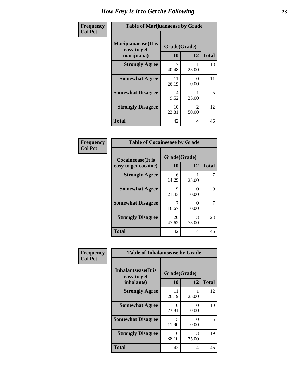| Frequency      | <b>Table of Marijuanaease by Grade</b>           |                    |                         |              |
|----------------|--------------------------------------------------|--------------------|-------------------------|--------------|
| <b>Col Pct</b> | Marijuanaease(It is<br>easy to get<br>marijuana) | Grade(Grade)<br>10 | 12                      | <b>Total</b> |
|                | <b>Strongly Agree</b>                            | 17<br>40.48        | 25.00                   | 18           |
|                | <b>Somewhat Agree</b>                            | 11<br>26.19        | $\Omega$<br>0.00        | 11           |
|                | <b>Somewhat Disagree</b>                         | 4<br>9.52          | 25.00                   | 5            |
|                | <b>Strongly Disagree</b>                         | 10<br>23.81        | $\mathfrak{D}$<br>50.00 | 12           |
|                | <b>Total</b>                                     | 42                 | 4                       | 46           |

#### **Frequency Col Pct**

| <b>Table of Cocaineease by Grade</b>      |                    |              |    |  |
|-------------------------------------------|--------------------|--------------|----|--|
| Cocaineease(It is<br>easy to get cocaine) | Grade(Grade)<br>10 | <b>Total</b> |    |  |
| <b>Strongly Agree</b>                     | 6<br>14.29         | 25.00        |    |  |
| <b>Somewhat Agree</b>                     | 9<br>21.43         | 0<br>0.00    | 9  |  |
| <b>Somewhat Disagree</b>                  | 16.67              | 0.00         | 7  |  |
| <b>Strongly Disagree</b>                  | 20<br>47.62        | 3<br>75.00   | 23 |  |
| <b>Total</b>                              | 42                 | 4            | 46 |  |

| Frequency      | <b>Table of Inhalantsease by Grade</b>                   |                           |                           |              |
|----------------|----------------------------------------------------------|---------------------------|---------------------------|--------------|
| <b>Col Pct</b> | <b>Inhalantsease</b> (It is<br>easy to get<br>inhalants) | Grade(Grade)<br><b>10</b> | 12                        | <b>Total</b> |
|                | <b>Strongly Agree</b>                                    | 11<br>26.19               | 25.00                     | 12           |
|                | <b>Somewhat Agree</b>                                    | 10<br>23.81               | 0<br>0.00                 | 10           |
|                | <b>Somewhat Disagree</b>                                 | 5<br>11.90                | $\mathbf{\Omega}$<br>0.00 | 5            |
|                | <b>Strongly Disagree</b>                                 | 16<br>38.10               | 3<br>75.00                | 19           |
|                | <b>Total</b>                                             | 42                        | 4                         | 46           |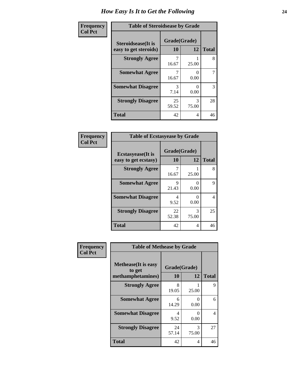| Frequency      | <b>Table of Steroidsease by Grade</b>               |                    |                       |              |
|----------------|-----------------------------------------------------|--------------------|-----------------------|--------------|
| <b>Col Pct</b> | <b>Steroidsease</b> (It is<br>easy to get steroids) | Grade(Grade)<br>10 | 12                    | <b>Total</b> |
|                | <b>Strongly Agree</b>                               | 16.67              | 25.00                 | 8            |
|                | <b>Somewhat Agree</b>                               | 16.67              | $\mathcal{O}$<br>0.00 | 7            |
|                | <b>Somewhat Disagree</b>                            | 3<br>7.14          | 0.00                  | 3            |
|                | <b>Strongly Disagree</b>                            | 25<br>59.52        | 3<br>75.00            | 28           |
|                | <b>Total</b>                                        | 42                 | 4                     | 46           |

| Frequency      | <b>Table of Ecstasyease by Grade</b>              |                           |                           |              |  |
|----------------|---------------------------------------------------|---------------------------|---------------------------|--------------|--|
| <b>Col Pct</b> | <b>Ecstasyease</b> (It is<br>easy to get ecstasy) | Grade(Grade)<br><b>10</b> | 12                        | <b>Total</b> |  |
|                | <b>Strongly Agree</b>                             | 7<br>16.67                | 25.00                     | 8            |  |
|                | <b>Somewhat Agree</b>                             | 9<br>21.43                | 0<br>0.00                 | 9            |  |
|                | <b>Somewhat Disagree</b>                          | 4<br>9.52                 | $\mathbf{\Omega}$<br>0.00 | 4            |  |
|                | <b>Strongly Disagree</b>                          | 22<br>52.38               | 3<br>75.00                | 25           |  |
|                | <b>Total</b>                                      | 42                        | 4                         | 46           |  |

| Frequency      | <b>Table of Methease by Grade</b>                          |                    |            |              |  |
|----------------|------------------------------------------------------------|--------------------|------------|--------------|--|
| <b>Col Pct</b> | <b>Methease</b> (It is easy<br>to get<br>methamphetamines) | Grade(Grade)<br>10 | 12         | <b>Total</b> |  |
|                | <b>Strongly Agree</b>                                      | 8<br>19.05         | 25.00      | 9            |  |
|                | <b>Somewhat Agree</b>                                      | 6<br>14.29         | 0<br>0.00  | 6            |  |
|                | <b>Somewhat Disagree</b>                                   | 4<br>9.52          | 0<br>0.00  | 4            |  |
|                | <b>Strongly Disagree</b>                                   | 24<br>57.14        | 3<br>75.00 | 27           |  |
|                | <b>Total</b>                                               | 42                 | 4          | 46           |  |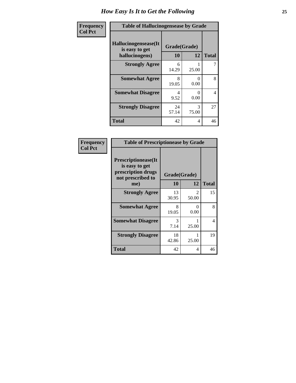| Frequency      | <b>Table of Hallucinogensease by Grade</b>               |                    |                  |                |  |
|----------------|----------------------------------------------------------|--------------------|------------------|----------------|--|
| <b>Col Pct</b> | Hallucinogensease(It<br>is easy to get<br>hallucinogens) | Grade(Grade)<br>10 | 12               | <b>Total</b>   |  |
|                | <b>Strongly Agree</b>                                    | 6<br>14.29         | 25.00            | 7              |  |
|                | <b>Somewhat Agree</b>                                    | 8<br>19.05         | 0<br>0.00        | 8              |  |
|                | <b>Somewhat Disagree</b>                                 | 4<br>9.52          | $\Omega$<br>0.00 | $\overline{4}$ |  |
|                | <b>Strongly Disagree</b>                                 | 24<br>57.14        | 3<br>75.00       | 27             |  |
|                | <b>Total</b>                                             | 42                 | 4                | 46             |  |

| Frequency<br>Col Pct |
|----------------------|
|                      |

| <b>Table of Prescriptionease by Grade</b>                                                |             |                                |              |  |  |
|------------------------------------------------------------------------------------------|-------------|--------------------------------|--------------|--|--|
| <b>Prescriptionease</b> (It<br>is easy to get<br>prescription drugs<br>not prescribed to |             | Grade(Grade)                   |              |  |  |
| me)                                                                                      | 10          | 12                             | <b>Total</b> |  |  |
| <b>Strongly Agree</b>                                                                    | 13<br>30.95 | $\mathcal{D}_{\cdot}$<br>50.00 | 15           |  |  |
| <b>Somewhat Agree</b>                                                                    | 8<br>19.05  | 0<br>0.00                      | 8            |  |  |
| <b>Somewhat Disagree</b>                                                                 | 3<br>7.14   | 25.00                          | 4            |  |  |
| <b>Strongly Disagree</b>                                                                 | 18<br>42.86 | 25.00                          | 19           |  |  |
| Total                                                                                    | 42          | 4                              | 46           |  |  |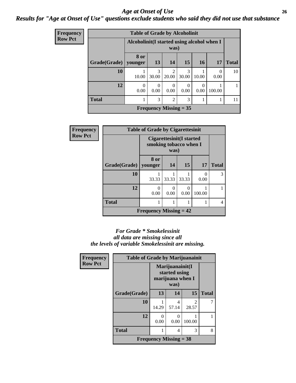#### *Age at Onset of Use* **26** *Results for "Age at Onset of Use" questions exclude students who said they did not use that substance*

| Frequency      | <b>Table of Grade by Alcoholinit</b> |                  |                                                     |                         |            |                  |                          |              |
|----------------|--------------------------------------|------------------|-----------------------------------------------------|-------------------------|------------|------------------|--------------------------|--------------|
| <b>Row Pct</b> |                                      |                  | Alcoholinit (I started using alcohol when I<br>was) |                         |            |                  |                          |              |
|                | Grade(Grade)                         | 8 or<br>younger  | 13                                                  | <b>14</b>               | 15         | <b>16</b>        | <b>17</b>                | <b>Total</b> |
|                | 10                                   | 10.00            | 3<br>30.00                                          | $\mathfrak{D}$<br>20.00 | 3<br>30.00 | 10.00            | $\left( \right)$<br>0.00 | 10           |
|                | 12                                   | $\Omega$<br>0.00 | 0.00                                                | 0.00                    | 0.00       | $\Omega$<br>0.00 | 100.00                   |              |
|                | <b>Total</b>                         |                  | 3                                                   | $\overline{2}$          | 3          |                  |                          | 11           |
|                |                                      |                  | <b>Frequency Missing = 35</b>                       |                         |            |                  |                          |              |

| Frequency      | <b>Table of Grade by Cigarettesinit</b> |                                                                   |       |           |        |              |
|----------------|-----------------------------------------|-------------------------------------------------------------------|-------|-----------|--------|--------------|
| <b>Row Pct</b> |                                         | <b>Cigarettesinit(I started</b><br>smoking tobacco when I<br>was) |       |           |        |              |
|                | Grade(Grade)                            | 8 or<br>younger                                                   | 14    | 15        | 17     | <b>Total</b> |
|                | 10                                      | 33.33                                                             | 33.33 | 33.33     | 0.00   | 3            |
|                | 12                                      | 0<br>0.00                                                         | 0.00  | 0<br>0.00 | 100.00 |              |
|                | <b>Total</b>                            | 1                                                                 |       |           |        | 4            |
|                |                                         | <b>Frequency Missing = 42</b>                                     |       |           |        |              |

#### *For Grade \* Smokelessinit all data are missing since all the levels of variable Smokelessinit are missing.*

| <b>Frequency</b> | <b>Table of Grade by Marijuanainit</b> |                               |                                                              |                        |              |
|------------------|----------------------------------------|-------------------------------|--------------------------------------------------------------|------------------------|--------------|
| <b>Row Pct</b>   |                                        |                               | Marijuanainit(I<br>started using<br>marijuana when I<br>was) |                        |              |
|                  | Grade(Grade)                           | 13                            | 14                                                           | 15                     | <b>Total</b> |
|                  | 10                                     | 14.29                         | 4<br>57.14                                                   | $\mathcal{L}$<br>28.57 |              |
|                  | 12                                     | 0.00                          | $\mathbf{0}$<br>0.00                                         | 100.00                 |              |
|                  | <b>Total</b>                           |                               | 4                                                            | 3                      | 8            |
|                  |                                        | <b>Frequency Missing = 38</b> |                                                              |                        |              |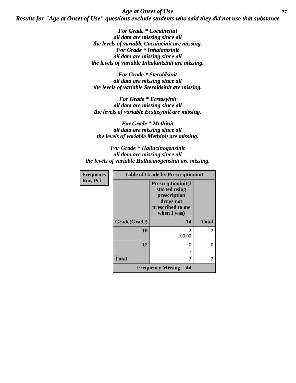*Age at Onset of Use* **27** *Results for "Age at Onset of Use" questions exclude students who said they did not use that substance*

> *For Grade \* Cocaineinit all data are missing since all the levels of variable Cocaineinit are missing. For Grade \* Inhalantsinit all data are missing since all the levels of variable Inhalantsinit are missing.*

*For Grade \* Steroidsinit all data are missing since all the levels of variable Steroidsinit are missing.*

*For Grade \* Ecstasyinit all data are missing since all the levels of variable Ecstasyinit are missing.*

*For Grade \* Methinit all data are missing since all the levels of variable Methinit are missing.*

*For Grade \* Hallucinogensinit all data are missing since all the levels of variable Hallucinogensinit are missing.*

| <b>Frequency</b> |              | <b>Table of Grade by Prescriptioninit</b>                                                                   |                |
|------------------|--------------|-------------------------------------------------------------------------------------------------------------|----------------|
| <b>Row Pct</b>   |              | <b>Prescriptioninit(I)</b><br>started using<br>prescription<br>drugs not<br>prescribed to me<br>when I was) |                |
|                  | Grade(Grade) | 14                                                                                                          | <b>Total</b>   |
|                  | 10           | $\mathfrak{D}$<br>100.00                                                                                    | $\overline{2}$ |
|                  | 12           | 0                                                                                                           |                |
|                  | <b>Total</b> | $\overline{c}$                                                                                              | 2              |
|                  |              | <b>Frequency Missing <math>= 44</math></b>                                                                  |                |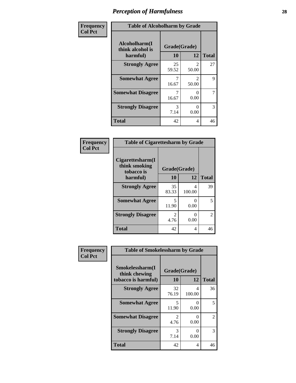| Frequency      | <b>Table of Alcoholharm by Grade</b>          |                    |                         |              |  |
|----------------|-----------------------------------------------|--------------------|-------------------------|--------------|--|
| <b>Col Pct</b> | Alcoholharm(I<br>think alcohol is<br>harmful) | Grade(Grade)<br>10 | 12                      | <b>Total</b> |  |
|                | <b>Strongly Agree</b>                         | 25<br>59.52        | $\mathfrak{D}$<br>50.00 | 27           |  |
|                | <b>Somewhat Agree</b>                         | 16.67              | $\mathfrak{D}$<br>50.00 | 9            |  |
|                | <b>Somewhat Disagree</b>                      | 16.67              | 0<br>0.00               | 7            |  |
|                | <b>Strongly Disagree</b>                      | 3<br>7.14          | 0<br>0.00               | 3            |  |
|                | <b>Total</b>                                  | 42                 | 4                       | 46           |  |

#### **Frequency Col Pct**

г

| <b>Table of Cigarettesharm by Grade</b>         |             |                           |               |  |  |
|-------------------------------------------------|-------------|---------------------------|---------------|--|--|
| Cigarettesharm(I<br>think smoking<br>tobacco is |             | Grade(Grade)              |               |  |  |
| harmful)                                        | 10          | 12                        | <b>Total</b>  |  |  |
| <b>Strongly Agree</b>                           | 35<br>83.33 | 4<br>100.00               | 39            |  |  |
| <b>Somewhat Agree</b>                           | 5<br>11.90  | $\mathbf{\Omega}$<br>0.00 | 5             |  |  |
| <b>Strongly Disagree</b>                        | 2<br>4.76   | 0.00                      | $\mathcal{L}$ |  |  |
| <b>Total</b>                                    | 42          | 4                         | 46            |  |  |

| Frequency      | <b>Table of Smokelessharm by Grade</b> |                        |             |                    |  |
|----------------|----------------------------------------|------------------------|-------------|--------------------|--|
| <b>Col Pct</b> | Smokelessharm(I<br>think chewing       | Grade(Grade)           |             |                    |  |
|                | tobacco is harmful)                    | 10                     | 12          | <b>Total</b><br>36 |  |
|                | <b>Strongly Agree</b>                  | 32<br>76.19            | 4<br>100.00 |                    |  |
|                | <b>Somewhat Agree</b>                  | 5<br>11.90             | 0.00        | 5                  |  |
|                | <b>Somewhat Disagree</b>               | $\mathfrak{D}$<br>4.76 | 0<br>0.00   | 2                  |  |
|                | <b>Strongly Disagree</b>               | 3<br>7.14              | 0<br>0.00   | 3                  |  |
|                | <b>Total</b>                           | 42                     | 4           | 46                 |  |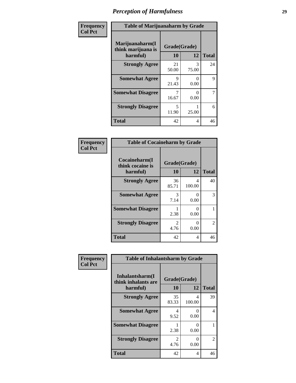| Frequency      | <b>Table of Marijuanaharm by Grade</b>            |                    |            |              |
|----------------|---------------------------------------------------|--------------------|------------|--------------|
| <b>Col Pct</b> | Marijuanaharm(I<br>think marijuana is<br>harmful) | Grade(Grade)<br>10 | 12         | <b>Total</b> |
|                | <b>Strongly Agree</b>                             | 21<br>50.00        | 3<br>75.00 | 24           |
|                | <b>Somewhat Agree</b>                             | 9<br>21.43         | 0<br>0.00  | 9            |
|                | <b>Somewhat Disagree</b>                          | 7<br>16.67         | ∩<br>0.00  | 7            |
|                | <b>Strongly Disagree</b>                          | 5<br>11.90         | 25.00      | 6            |
|                | <b>Total</b>                                      | 42                 | 4          | 46           |

#### **Frequency Col Pct**

| <b>Table of Cocaineharm by Grade</b>          |                        |              |    |  |  |
|-----------------------------------------------|------------------------|--------------|----|--|--|
| Cocaineharm(I<br>think cocaine is<br>harmful) | Grade(Grade)<br>10     | <b>Total</b> |    |  |  |
| <b>Strongly Agree</b>                         | 36<br>85.71            | 4<br>100.00  | 40 |  |  |
| <b>Somewhat Agree</b>                         | 3<br>7.14              | 0<br>0.00    | 3  |  |  |
| <b>Somewhat Disagree</b>                      | 2.38                   | 0<br>0.00    |    |  |  |
| <b>Strongly Disagree</b>                      | $\mathfrak{D}$<br>4.76 | 0<br>0.00    | 2  |  |  |
| <b>Total</b>                                  | 42                     | 4            | 46 |  |  |

| Frequency      | <b>Table of Inhalantsharm by Grade</b> |                        |             |              |
|----------------|----------------------------------------|------------------------|-------------|--------------|
| <b>Col Pct</b> | Inhalantsharm(I<br>think inhalants are | Grade(Grade)           |             |              |
|                | harmful)                               | 10                     | 12          | <b>Total</b> |
|                | <b>Strongly Agree</b>                  | 35<br>83.33            | 4<br>100.00 | 39           |
|                | <b>Somewhat Agree</b>                  | 4<br>9.52              | 0<br>0.00   | 4            |
|                | <b>Somewhat Disagree</b>               | 2.38                   | 0<br>0.00   |              |
|                | <b>Strongly Disagree</b>               | $\mathfrak{D}$<br>4.76 | 0<br>0.00   | 2            |
|                | <b>Total</b>                           | 42                     | 4           | 46           |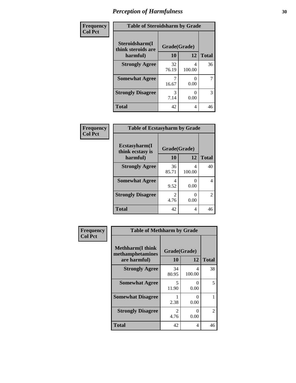| Frequency      | <b>Table of Steroidsharm by Grade</b> |              |             |              |
|----------------|---------------------------------------|--------------|-------------|--------------|
| <b>Col Pct</b> | Steroidsharm(I<br>think steroids are  | Grade(Grade) |             |              |
|                | harmful)                              | 10           | 12          | <b>Total</b> |
|                | <b>Strongly Agree</b>                 | 32<br>76.19  | 4<br>100.00 | 36           |
|                | <b>Somewhat Agree</b>                 | 16.67        | 0<br>0.00   | 7            |
|                | <b>Strongly Disagree</b>              | 3<br>7.14    | 0.00        | 3            |
|                | <b>Total</b>                          | 42           | 4           | 46           |

| Frequency      | <b>Table of Ecstasyharm by Grade</b> |                        |             |                |  |
|----------------|--------------------------------------|------------------------|-------------|----------------|--|
| <b>Col Pct</b> | Ecstasyharm(I<br>think ecstasy is    | Grade(Grade)           |             |                |  |
|                | harmful)                             | 10                     | 12          | <b>Total</b>   |  |
|                | <b>Strongly Agree</b>                | 36<br>85.71            | 4<br>100.00 | 40             |  |
|                | <b>Somewhat Agree</b>                | 4<br>9.52              | 0.00        | $\overline{4}$ |  |
|                | <b>Strongly Disagree</b>             | $\mathfrak{D}$<br>4.76 | 0.00        | $\overline{2}$ |  |
|                | <b>Total</b>                         | 42                     | 4           | 46             |  |

| Frequency      | <b>Table of Methharm by Grade</b>                            |                                   |                  |                |
|----------------|--------------------------------------------------------------|-----------------------------------|------------------|----------------|
| <b>Col Pct</b> | <b>Methharm</b> (I think<br>methamphetamines<br>are harmful) | Grade(Grade)<br>10                | 12               | <b>Total</b>   |
|                | <b>Strongly Agree</b>                                        | 34<br>80.95                       | 4<br>100.00      | 38             |
|                | <b>Somewhat Agree</b>                                        | $\overline{\phantom{0}}$<br>11.90 | $\Omega$<br>0.00 | 5              |
|                | <b>Somewhat Disagree</b>                                     | 2.38                              | 0<br>0.00        |                |
|                | <b>Strongly Disagree</b>                                     | 2<br>4.76                         | 0<br>0.00        | $\overline{c}$ |
|                | <b>Total</b>                                                 | 42                                | 4                | 46             |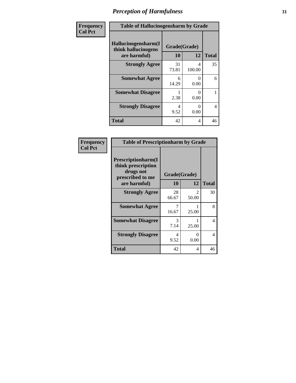| Frequency      | <b>Table of Hallucinogensharm by Grade</b>                 |                    |             |                |
|----------------|------------------------------------------------------------|--------------------|-------------|----------------|
| <b>Col Pct</b> | Hallucinogensharm(I<br>think hallucinogens<br>are harmful) | Grade(Grade)<br>10 | 12          | <b>Total</b>   |
|                | <b>Strongly Agree</b>                                      | 31<br>73.81        | 4<br>100.00 | 35             |
|                | <b>Somewhat Agree</b>                                      | 6<br>14.29         | 0<br>0.00   | 6              |
|                | <b>Somewhat Disagree</b>                                   | 2.38               | 0<br>0.00   | 1              |
|                | <b>Strongly Disagree</b>                                   | 4<br>9.52          | 0<br>0.00   | $\overline{4}$ |
|                | <b>Total</b>                                               | 42                 | 4           | 46             |

#### **Frequency Col Pct**

| <b>Table of Prescriptionharm by Grade</b>                                                         |                    |                        |              |  |
|---------------------------------------------------------------------------------------------------|--------------------|------------------------|--------------|--|
| <b>Prescriptionharm</b> (I<br>think prescription<br>drugs not<br>prescribed to me<br>are harmful) | Grade(Grade)<br>10 | 12                     | <b>Total</b> |  |
| <b>Strongly Agree</b>                                                                             | 28<br>66.67        | $\mathcal{L}$<br>50.00 | 30           |  |
| <b>Somewhat Agree</b>                                                                             | 7<br>16.67         | 25.00                  | 8            |  |
| <b>Somewhat Disagree</b>                                                                          | 3<br>7.14          | 25.00                  | 4            |  |
| <b>Strongly Disagree</b>                                                                          | 4<br>9.52          | ∩<br>0.00              | 4            |  |
| Total                                                                                             | 42                 | 4                      | 46           |  |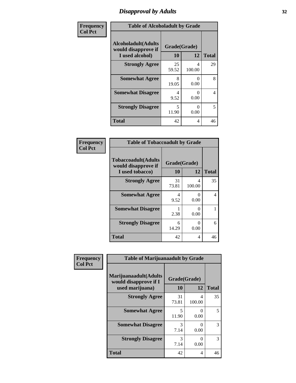# *Disapproval by Adults* **32**

| Frequency      | <b>Table of Alcoholadult by Grade</b>                                 |                    |                           |              |
|----------------|-----------------------------------------------------------------------|--------------------|---------------------------|--------------|
| <b>Col Pct</b> | <b>Alcoholadult</b> (Adults<br>would disapprove if<br>I used alcohol) | Grade(Grade)<br>10 | 12                        | <b>Total</b> |
|                | <b>Strongly Agree</b>                                                 | 25<br>59.52        | 4<br>100.00               | 29           |
|                | <b>Somewhat Agree</b>                                                 | 8<br>19.05         | $\mathbf{\Omega}$<br>0.00 | 8            |
|                | <b>Somewhat Disagree</b>                                              | 4<br>9.52          | $\mathbf{\Omega}$<br>0.00 | 4            |
|                | <b>Strongly Disagree</b>                                              | 5<br>11.90         | 0<br>0.00                 | 5            |
|                | <b>Total</b>                                                          | 42                 | 4                         | 46           |

#### **Frequency Col Pct**

| <b>Table of Tobaccoadult by Grade</b>                                |                    |             |              |  |  |
|----------------------------------------------------------------------|--------------------|-------------|--------------|--|--|
| <b>Tobaccoadult(Adults</b><br>would disapprove if<br>I used tobacco) | Grade(Grade)<br>10 | 12          | <b>Total</b> |  |  |
| <b>Strongly Agree</b>                                                | 31<br>73.81        | 4<br>100.00 | 35           |  |  |
| <b>Somewhat Agree</b>                                                | 4<br>9.52          | 0<br>0.00   | 4            |  |  |
| <b>Somewhat Disagree</b>                                             | 2.38               | 0<br>0.00   |              |  |  |
| <b>Strongly Disagree</b>                                             | 6<br>14.29         | 0<br>0.00   | 6            |  |  |
| <b>Total</b>                                                         | 42                 | 4           | 46           |  |  |

| Frequency      | <b>Table of Marijuanaadult by Grade</b>                           |                    |             |              |
|----------------|-------------------------------------------------------------------|--------------------|-------------|--------------|
| <b>Col Pct</b> | Marijuanaadult(Adults<br>would disapprove if I<br>used marijuana) | Grade(Grade)<br>10 | 12          | <b>Total</b> |
|                | <b>Strongly Agree</b>                                             | 31<br>73.81        | 4<br>100.00 | 35           |
|                | <b>Somewhat Agree</b>                                             | 5<br>11.90         | 0<br>0.00   | 5            |
|                | <b>Somewhat Disagree</b>                                          | 3<br>7.14          | 0<br>0.00   | 3            |
|                | <b>Strongly Disagree</b>                                          | 3<br>7.14          | 0<br>0.00   | 3            |
|                | <b>Total</b>                                                      | 42                 | 4           | 46           |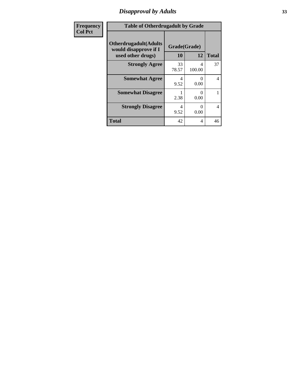# *Disapproval by Adults* **33**

| <b>Frequency</b> | <b>Table of Otherdrugadult by Grade</b>                                     |                    |                           |              |
|------------------|-----------------------------------------------------------------------------|--------------------|---------------------------|--------------|
| <b>Col Pct</b>   | <b>Otherdrugadult</b> (Adults<br>would disapprove if I<br>used other drugs) | Grade(Grade)<br>10 | 12                        | <b>Total</b> |
|                  | <b>Strongly Agree</b>                                                       | 33<br>78.57        | 4<br>100.00               | 37           |
|                  | <b>Somewhat Agree</b>                                                       | 4<br>9.52          | $\mathbf{\Omega}$<br>0.00 | 4            |
|                  | <b>Somewhat Disagree</b>                                                    | 2.38               | 0<br>0.00                 |              |
|                  | <b>Strongly Disagree</b>                                                    | 4<br>9.52          | $\mathbf{\Omega}$<br>0.00 | 4            |
|                  | <b>Total</b>                                                                | 42                 | 4                         | 46           |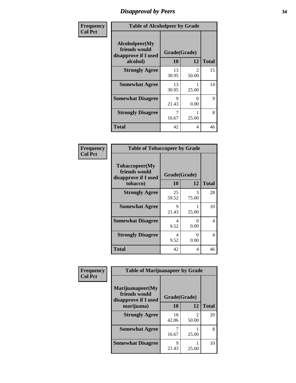# *Disapproval by Peers* **34**

| Frequency      | <b>Table of Alcoholpeer by Grade</b>                    |              |                         |              |
|----------------|---------------------------------------------------------|--------------|-------------------------|--------------|
| <b>Col Pct</b> | Alcoholpeer(My<br>friends would<br>disapprove if I used | Grade(Grade) |                         |              |
|                | alcohol)                                                | 10           | 12                      | <b>Total</b> |
|                | <b>Strongly Agree</b>                                   | 13<br>30.95  | $\mathfrak{D}$<br>50.00 | 15           |
|                | <b>Somewhat Agree</b>                                   | 13<br>30.95  | 25.00                   | 14           |
|                | <b>Somewhat Disagree</b>                                | 9<br>21.43   | $\Omega$<br>0.00        | 9            |
|                | <b>Strongly Disagree</b>                                | 7<br>16.67   | 25.00                   | 8            |
|                | Total                                                   | 42           | 4                       | 46           |

| Frequency      | <b>Table of Tobaccopeer by Grade</b>                                |                    |            |              |
|----------------|---------------------------------------------------------------------|--------------------|------------|--------------|
| <b>Col Pct</b> | Tobaccopeer(My<br>friends would<br>disapprove if I used<br>tobacco) | Grade(Grade)<br>10 | 12         | <b>Total</b> |
|                | <b>Strongly Agree</b>                                               | 25<br>59.52        | 3<br>75.00 | 28           |
|                | <b>Somewhat Agree</b>                                               | 9<br>21.43         | 25.00      | 10           |
|                | <b>Somewhat Disagree</b>                                            | 4<br>9.52          | 0<br>0.00  | 4            |
|                | <b>Strongly Disagree</b>                                            | 4<br>9.52          | 0<br>0.00  | 4            |
|                | Total                                                               | 42                 | 4          | 46           |

| Frequency      | <b>Table of Marijuanapeer by Grade</b>                    |              |                                |              |
|----------------|-----------------------------------------------------------|--------------|--------------------------------|--------------|
| <b>Col Pct</b> | Marijuanapeer(My<br>friends would<br>disapprove if I used | Grade(Grade) |                                |              |
|                | marijuana)                                                | 10           | 12                             | <b>Total</b> |
|                | <b>Strongly Agree</b>                                     | 18<br>42.86  | $\mathcal{D}_{\cdot}$<br>50.00 | 20           |
|                | <b>Somewhat Agree</b>                                     | 16.67        | 25.00                          | 8            |
|                | <b>Somewhat Disagree</b>                                  | 9<br>21.43   | 25.00                          | 10           |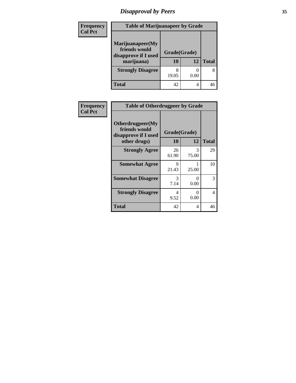# *Disapproval by Peers* **35**

| Frequency<br><b>Col Pct</b> | <b>Table of Marijuanapeer by Grade</b>                                  |                    |      |              |
|-----------------------------|-------------------------------------------------------------------------|--------------------|------|--------------|
|                             | Marijuanapeer(My<br>friends would<br>disapprove if I used<br>marijuana) | Grade(Grade)<br>10 | 12   | <b>Total</b> |
|                             | <b>Strongly Disagree</b>                                                | 8<br>19.05         | 0.00 | 8            |
|                             | Total                                                                   | 42                 | 4    | 46           |

| <b>Frequency</b> | <b>Table of Otherdrugpeer by Grade</b>                                    |                           |            |              |
|------------------|---------------------------------------------------------------------------|---------------------------|------------|--------------|
| <b>Col Pct</b>   | Otherdrugpeer(My<br>friends would<br>disapprove if I used<br>other drugs) | Grade(Grade)<br><b>10</b> | 12         | <b>Total</b> |
|                  | <b>Strongly Agree</b>                                                     | 26<br>61.90               | 3<br>75.00 | 29           |
|                  | <b>Somewhat Agree</b>                                                     | Q<br>21.43                | 25.00      | 10           |
|                  | <b>Somewhat Disagree</b>                                                  | 3<br>7.14                 | 0<br>0.00  | 3            |
|                  | <b>Strongly Disagree</b>                                                  | 4<br>9.52                 | 0<br>0.00  | 4            |
|                  | <b>Total</b>                                                              | 42                        | 4          | 46           |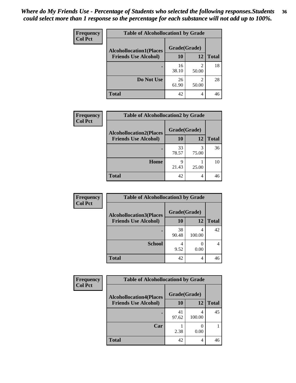#### *Where do My Friends Use - Percentage of Students who selected the following responses.Students could select more than 1 response so the percentage for each substance will not add up to 100%.* **36**

| <b>Frequency</b><br><b>Col Pct</b> | <b>Table of Alcohollocation1 by Grade</b><br>Grade(Grade)<br><b>Alcohollocation1(Places</b> |             |            |              |
|------------------------------------|---------------------------------------------------------------------------------------------|-------------|------------|--------------|
|                                    |                                                                                             |             |            |              |
|                                    | <b>Friends Use Alcohol)</b>                                                                 | 10          | 12         | <b>Total</b> |
|                                    |                                                                                             | 16<br>38.10 | 2<br>50.00 | 18           |
|                                    | Do Not Use                                                                                  | 26<br>61.90 | 2<br>50.00 | 28           |
|                                    | <b>Total</b>                                                                                | 42          | 4          | 46           |

| <b>Frequency</b> | <b>Table of Alcohollocation2 by Grade</b>                     |                    |            |              |
|------------------|---------------------------------------------------------------|--------------------|------------|--------------|
| <b>Col Pct</b>   | <b>Alcohollocation2(Places</b><br><b>Friends Use Alcohol)</b> | Grade(Grade)<br>10 | 12         | <b>Total</b> |
|                  |                                                               | 33<br>78.57        | 3<br>75.00 | 36           |
|                  | Home                                                          | q<br>21.43         | 25.00      | 10           |
|                  | <b>Total</b>                                                  | 42                 | 4          | 46           |

| Frequency<br><b>Col Pct</b> | <b>Table of Alcohollocation 3 by Grade</b>                    |                    |        |              |
|-----------------------------|---------------------------------------------------------------|--------------------|--------|--------------|
|                             | <b>Alcohollocation3(Places</b><br><b>Friends Use Alcohol)</b> | Grade(Grade)<br>10 | 12     | <b>Total</b> |
|                             |                                                               | 38<br>90.48        | 100.00 | 42           |
|                             | <b>School</b>                                                 | 4<br>9.52          | 0.00   | 4            |
|                             | <b>Total</b>                                                  | 42                 | 4      | 46           |

| <b>Frequency</b> | <b>Table of Alcohollocation4 by Grade</b> |              |             |              |
|------------------|-------------------------------------------|--------------|-------------|--------------|
| <b>Col Pct</b>   | <b>Alcohollocation4(Places</b>            | Grade(Grade) |             |              |
|                  | <b>Friends Use Alcohol)</b>               | 10           | 12          | <b>Total</b> |
|                  |                                           | 41<br>97.62  | 4<br>100.00 | 45           |
|                  | Car                                       | 2.38         | 0.00        |              |
|                  | <b>Total</b>                              | 42           | 4           | 46           |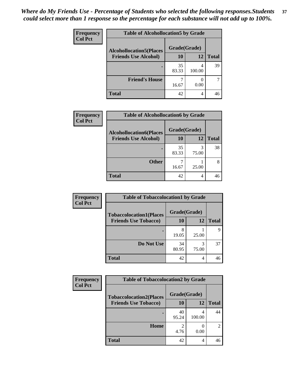| Frequency<br><b>Col Pct</b> | <b>Table of Alcohollocation5 by Grade</b>      |             |        |              |  |
|-----------------------------|------------------------------------------------|-------------|--------|--------------|--|
|                             | Grade(Grade)<br><b>Alcohollocation5(Places</b> |             |        |              |  |
|                             | <b>Friends Use Alcohol)</b>                    | 10          | 12     | <b>Total</b> |  |
|                             |                                                | 35<br>83.33 | 100.00 | 39           |  |
|                             | <b>Friend's House</b>                          | 16.67       | 0.00   |              |  |
|                             | <b>Total</b>                                   | 42          | 4      | 46           |  |

| <b>Frequency</b> | <b>Table of Alcohollocation6 by Grade</b> |              |            |              |
|------------------|-------------------------------------------|--------------|------------|--------------|
| <b>Col Pct</b>   | <b>Alcohollocation6(Places</b>            | Grade(Grade) |            |              |
|                  | <b>Friends Use Alcohol)</b>               | 10           | 12         | <b>Total</b> |
|                  |                                           | 35<br>83.33  | 3<br>75.00 | 38           |
|                  | <b>Other</b>                              | 16.67        | 25.00      |              |
|                  | <b>Total</b>                              | 42           | 4          | 46           |

| Frequency      | <b>Table of Tobaccolocation1 by Grade</b> |              |            |              |
|----------------|-------------------------------------------|--------------|------------|--------------|
| <b>Col Pct</b> | <b>Tobaccolocation1(Places</b>            | Grade(Grade) |            |              |
|                | <b>Friends Use Tobacco)</b>               | 10           | 12         | <b>Total</b> |
|                |                                           | 8<br>19.05   | 25.00      | Q            |
|                | Do Not Use                                | 34<br>80.95  | 3<br>75.00 | 37           |
|                | <b>Total</b>                              | 42           | 4          | 46           |

| <b>Frequency</b> | <b>Table of Tobaccolocation2 by Grade</b> |              |        |              |  |
|------------------|-------------------------------------------|--------------|--------|--------------|--|
| <b>Col Pct</b>   | <b>Tobaccolocation2(Places</b>            | Grade(Grade) |        |              |  |
|                  | <b>Friends Use Tobacco)</b>               | 10           | 12     | <b>Total</b> |  |
|                  |                                           | 40<br>95.24  | 100.00 | 44           |  |
|                  | Home                                      | 2<br>4.76    | 0.00   | 2            |  |
|                  | <b>Total</b>                              | 42           | 4      | 46           |  |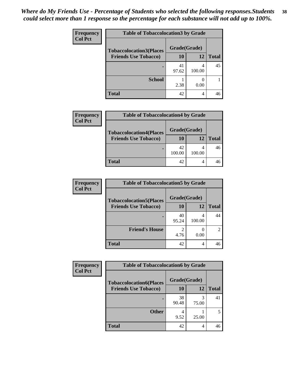| <b>Frequency</b> | <b>Table of Tobaccolocation3 by Grade</b> |              |        |              |  |
|------------------|-------------------------------------------|--------------|--------|--------------|--|
| <b>Col Pct</b>   | <b>Tobaccolocation3(Places</b>            | Grade(Grade) |        |              |  |
|                  | <b>Friends Use Tobacco)</b>               | 10           | 12     | <b>Total</b> |  |
|                  |                                           | 41<br>97.62  | 100.00 | 45           |  |
|                  | <b>School</b>                             | 2.38         | 0.00   |              |  |
|                  | <b>Total</b>                              | 42           | 4      | 46           |  |

| <b>Frequency</b> | <b>Table of Tobaccolocation4 by Grade</b> |              |        |              |  |
|------------------|-------------------------------------------|--------------|--------|--------------|--|
| <b>Col Pct</b>   | <b>Tobaccolocation4(Places</b>            | Grade(Grade) |        |              |  |
|                  | <b>Friends Use Tobacco)</b>               | 10           | 12     | <b>Total</b> |  |
|                  |                                           | 42<br>100.00 | 100.00 | 46           |  |
|                  | <b>Total</b>                              | 42           |        | 46           |  |

| <b>Frequency</b> | <b>Table of Tobaccolocation5 by Grade</b> |              |             |                             |
|------------------|-------------------------------------------|--------------|-------------|-----------------------------|
| <b>Col Pct</b>   | <b>Tobaccolocation5(Places</b>            | Grade(Grade) |             |                             |
|                  | <b>Friends Use Tobacco)</b>               | 10           | 12          | <b>Total</b>                |
|                  |                                           | 40<br>95.24  | 4<br>100.00 | 44                          |
|                  | <b>Friend's House</b>                     | 2<br>4.76    | 0.00        | $\mathcal{D}_{\mathcal{L}}$ |
|                  | <b>Total</b>                              | 42           | 4           | 46                          |

| Frequency      | <b>Table of Tobaccolocation6 by Grade</b> |              |       |              |
|----------------|-------------------------------------------|--------------|-------|--------------|
| <b>Col Pct</b> | <b>Tobaccolocation6(Places</b>            | Grade(Grade) |       |              |
|                | <b>Friends Use Tobacco)</b>               | 10           | 12    | <b>Total</b> |
|                |                                           | 38<br>90.48  | 75.00 | 41           |
|                | <b>Other</b>                              | 9.52         | 25.00 |              |
|                | <b>Total</b>                              | 42           | 4     | 46           |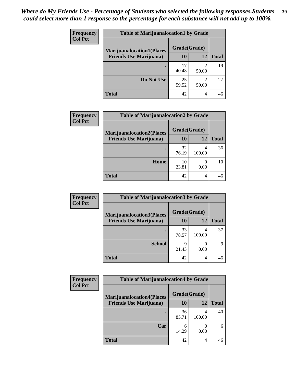| <b>Frequency</b> | <b>Table of Marijuanalocation1 by Grade</b> |              |                         |              |
|------------------|---------------------------------------------|--------------|-------------------------|--------------|
| <b>Col Pct</b>   | <b>Marijuanalocation1(Places</b>            | Grade(Grade) |                         |              |
|                  | <b>Friends Use Marijuana</b> )              | <b>10</b>    | 12                      | <b>Total</b> |
|                  |                                             | 17<br>40.48  | 50.00                   | 19           |
|                  | Do Not Use                                  | 25<br>59.52  | $\mathfrak{D}$<br>50.00 | 27           |
|                  | <b>Total</b>                                | 42           | 4                       | 46           |

| <b>Frequency</b> | <b>Table of Marijuanalocation2 by Grade</b>                        |                    |        |              |
|------------------|--------------------------------------------------------------------|--------------------|--------|--------------|
| <b>Col Pct</b>   | <b>Marijuanalocation2(Places</b><br><b>Friends Use Marijuana</b> ) | Grade(Grade)<br>10 | 12     | <b>Total</b> |
|                  |                                                                    | 32<br>76.19        | 100.00 | 36           |
|                  | Home                                                               | 10<br>23.81        | 0.00   | 10           |
|                  | <b>Total</b>                                                       | 42                 | 4      | 46           |

| <b>Frequency</b><br><b>Col Pct</b> | <b>Table of Marijuanalocation3 by Grade</b> |              |        |       |
|------------------------------------|---------------------------------------------|--------------|--------|-------|
|                                    | <b>Marijuanalocation3</b> (Places           | Grade(Grade) |        |       |
|                                    | <b>Friends Use Marijuana</b> )              | 10           | 12     | Total |
|                                    |                                             | 33<br>78.57  | 100.00 | 37    |
|                                    | <b>School</b>                               | q<br>21.43   | 0.00   | Q     |
|                                    | <b>Total</b>                                | 42           | 4      | 46    |

| <b>Frequency</b> | <b>Table of Marijuanalocation4 by Grade</b> |              |        |              |  |
|------------------|---------------------------------------------|--------------|--------|--------------|--|
| <b>Col Pct</b>   | <b>Marijuanalocation4(Places</b>            | Grade(Grade) |        |              |  |
|                  | <b>Friends Use Marijuana</b> )              | 10           | 12     | <b>Total</b> |  |
|                  |                                             | 36<br>85.71  | 100.00 | 40           |  |
|                  | Car                                         | 14.29        | 0.00   | 6            |  |
|                  | <b>Total</b>                                | 42           | 4      | 46           |  |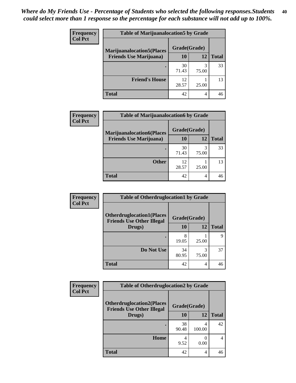| <b>Frequency</b> | <b>Table of Marijuanalocation5 by Grade</b> |              |       |              |
|------------------|---------------------------------------------|--------------|-------|--------------|
| <b>Col Pct</b>   | <b>Marijuanalocation5</b> (Places           | Grade(Grade) |       |              |
|                  | <b>Friends Use Marijuana</b> )              | 10           | 12    | <b>Total</b> |
|                  |                                             | 30<br>71.43  | 75.00 | 33           |
|                  | <b>Friend's House</b>                       | 12<br>28.57  | 25.00 | 13           |
|                  | <b>Total</b>                                | 42           | 4     |              |

| <b>Frequency</b> | <b>Table of Marijuanalocation6 by Grade</b>                        |                    |            |              |
|------------------|--------------------------------------------------------------------|--------------------|------------|--------------|
| <b>Col Pct</b>   | <b>Marijuanalocation6(Places</b><br><b>Friends Use Marijuana</b> ) | Grade(Grade)<br>10 | 12         | <b>Total</b> |
|                  |                                                                    | 30<br>71.43        | 3<br>75.00 | 33           |
|                  | <b>Other</b>                                                       | 12<br>28.57        | 25.00      | 13           |
|                  | <b>Total</b>                                                       | 42                 | 4          | 46           |

| Frequency      | <b>Table of Otherdruglocation1 by Grade</b>                          |              |            |              |
|----------------|----------------------------------------------------------------------|--------------|------------|--------------|
| <b>Col Pct</b> | <b>Otherdruglocation1(Places</b><br><b>Friends Use Other Illegal</b> | Grade(Grade) |            |              |
|                | Drugs)                                                               | 10           | 12         | <b>Total</b> |
|                |                                                                      | 8<br>19.05   | 25.00      | Q            |
|                | Do Not Use                                                           | 34<br>80.95  | 3<br>75.00 | 37           |
|                | <b>Total</b>                                                         | 42           | 4          | 46           |

| <b>Frequency</b> | <b>Table of Otherdruglocation2 by Grade</b>                           |              |             |              |
|------------------|-----------------------------------------------------------------------|--------------|-------------|--------------|
| <b>Col Pct</b>   | <b>Otherdruglocation2(Places)</b><br><b>Friends Use Other Illegal</b> | Grade(Grade) |             |              |
|                  | Drugs)                                                                | <b>10</b>    | 12          | <b>Total</b> |
|                  |                                                                       | 38<br>90.48  | 4<br>100.00 | 42           |
|                  | Home                                                                  | 4<br>9.52    | 0<br>0.00   | 4            |
|                  | <b>Total</b>                                                          | 42           | 4           | 46           |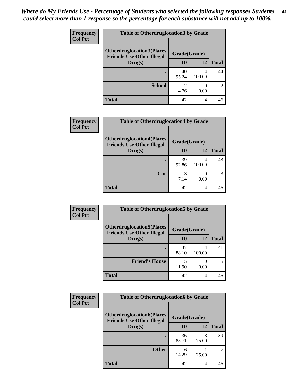| <b>Frequency</b> | <b>Table of Otherdruglocation 3 by Grade</b> |              |        |               |
|------------------|----------------------------------------------|--------------|--------|---------------|
| <b>Col Pct</b>   | <b>Otherdruglocation3(Places)</b>            | Grade(Grade) |        |               |
|                  | <b>Friends Use Other Illegal</b><br>Drugs)   | 10           | 12     | <b>Total</b>  |
|                  |                                              | 40<br>95.24  | 100.00 | 44            |
|                  | <b>School</b>                                | 4.76         | 0.00   | $\mathcal{D}$ |
|                  | <b>Total</b>                                 | 42           | 4      | 46            |

| <b>Frequency</b> | <b>Table of Otherdruglocation4 by Grade</b>                          |              |             |              |
|------------------|----------------------------------------------------------------------|--------------|-------------|--------------|
| <b>Col Pct</b>   | <b>Otherdruglocation4(Places</b><br><b>Friends Use Other Illegal</b> | Grade(Grade) |             |              |
|                  | Drugs)                                                               | <b>10</b>    | 12          | <b>Total</b> |
|                  |                                                                      | 39<br>92.86  | 4<br>100.00 | 43           |
|                  | Car                                                                  | 3<br>7.14    | 0.00        | 3            |
|                  | <b>Total</b>                                                         | 42           | 4           | 46           |

| Frequency      | <b>Table of Otherdruglocation5 by Grade</b>                          |              |        |              |
|----------------|----------------------------------------------------------------------|--------------|--------|--------------|
| <b>Col Pct</b> | <b>Otherdruglocation5(Places</b><br><b>Friends Use Other Illegal</b> | Grade(Grade) |        |              |
|                | Drugs)                                                               | <b>10</b>    | 12     | <b>Total</b> |
|                |                                                                      | 37<br>88.10  | 100.00 | 41           |
|                | <b>Friend's House</b>                                                | 11.90        | 0.00   | 5            |
|                | <b>Total</b>                                                         | 42           | 4      | 46           |

| Frequency      | <b>Table of Otherdruglocation6 by Grade</b>                          |              |            |              |
|----------------|----------------------------------------------------------------------|--------------|------------|--------------|
| <b>Col Pct</b> | <b>Otherdruglocation6(Places</b><br><b>Friends Use Other Illegal</b> | Grade(Grade) |            |              |
|                | Drugs)                                                               | 10           | 12         | <b>Total</b> |
|                |                                                                      | 36<br>85.71  | 3<br>75.00 | 39           |
|                | <b>Other</b>                                                         | 14.29        | 25.00      |              |
|                | <b>Total</b>                                                         | 42           | 4          | 46           |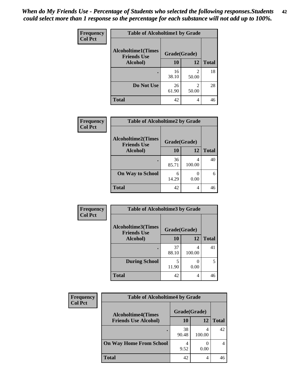| Frequency      | <b>Table of Alcoholtime1 by Grade</b>           |              |            |              |
|----------------|-------------------------------------------------|--------------|------------|--------------|
| <b>Col Pct</b> | <b>Alcoholtime1(Times</b><br><b>Friends Use</b> | Grade(Grade) |            |              |
|                | Alcohol)                                        | 10           | 12         | <b>Total</b> |
|                |                                                 | 16<br>38.10  | 2<br>50.00 | 18           |
|                | Do Not Use                                      | 26<br>61.90  | 2<br>50.00 | 28           |
|                | <b>Total</b>                                    | 42           | 4          | 46           |

| Frequency      | <b>Table of Alcoholtime2 by Grade</b>           |              |             |              |
|----------------|-------------------------------------------------|--------------|-------------|--------------|
| <b>Col Pct</b> | <b>Alcoholtime2(Times</b><br><b>Friends Use</b> | Grade(Grade) |             |              |
|                | <b>Alcohol</b> )                                | 10           | 12          | <b>Total</b> |
|                |                                                 | 36<br>85.71  | 4<br>100.00 | 40           |
|                | <b>On Way to School</b>                         | 6<br>14.29   | 0.00        | 6            |
|                | <b>Total</b>                                    | 42           | 4           | 46           |

| Frequency<br><b>Col Pct</b> | <b>Table of Alcoholtime3 by Grade</b>                           |             |             |              |
|-----------------------------|-----------------------------------------------------------------|-------------|-------------|--------------|
|                             | <b>Alcoholtime3(Times</b><br>Grade(Grade)<br><b>Friends Use</b> |             |             |              |
|                             | Alcohol)                                                        | 10          | 12          | <b>Total</b> |
|                             |                                                                 | 37<br>88.10 | 4<br>100.00 | 41           |
|                             | <b>During School</b>                                            | 5<br>11.90  | 0.00        | 5            |
|                             | <b>Total</b>                                                    | 42          | 4           | 46           |

| <b>Frequency</b> | <b>Table of Alcoholtime4 by Grade</b> |              |        |              |
|------------------|---------------------------------------|--------------|--------|--------------|
| <b>Col Pct</b>   | <b>Alcoholtime4(Times</b>             | Grade(Grade) |        |              |
|                  | <b>Friends Use Alcohol)</b>           | 10           | 12     | <b>Total</b> |
|                  |                                       | 38<br>90.48  | 100.00 | 42           |
|                  | <b>On Way Home From School</b>        | 4<br>9.52    | 0.00   |              |
|                  | <b>Total</b>                          | 42           | 4      |              |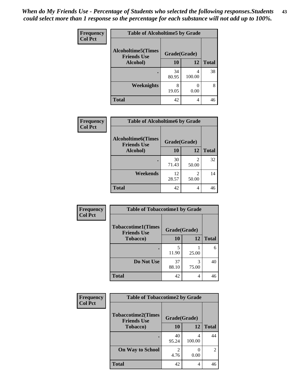*When do My Friends Use - Percentage of Students who selected the following responses.Students could select more than 1 response so the percentage for each substance will not add up to 100%.* **43**

| Frequency      | <b>Table of Alcoholtime5 by Grade</b>           |              |             |              |
|----------------|-------------------------------------------------|--------------|-------------|--------------|
| <b>Col Pct</b> | <b>Alcoholtime5(Times</b><br><b>Friends Use</b> | Grade(Grade) |             |              |
|                | Alcohol)                                        | 10           | 12          | <b>Total</b> |
|                |                                                 | 34<br>80.95  | 4<br>100.00 | 38           |
|                | <b>Weeknights</b>                               | 8<br>19.05   | 0.00        | 8            |
|                | <b>Total</b>                                    | 42           | 4           | 46           |

| Frequency | <b>Table of Alcoholtime6 by Grade</b>           |              |                         |              |  |  |
|-----------|-------------------------------------------------|--------------|-------------------------|--------------|--|--|
| Col Pct   | <b>Alcoholtime6(Times</b><br><b>Friends Use</b> | Grade(Grade) |                         |              |  |  |
|           | Alcohol)                                        | 10           | 12                      | <b>Total</b> |  |  |
|           | ٠                                               | 30<br>71.43  | $\mathfrak{D}$<br>50.00 | 32           |  |  |
|           | Weekends                                        | 12<br>28.57  | 2<br>50.00              | 14           |  |  |
|           | <b>Total</b>                                    | 42           | 4                       | 46           |  |  |
|           |                                                 |              |                         |              |  |  |

| Frequency      | <b>Table of Tobaccotime1 by Grade</b>           |              |            |              |
|----------------|-------------------------------------------------|--------------|------------|--------------|
| <b>Col Pct</b> | <b>Tobaccotime1(Times</b><br><b>Friends Use</b> | Grade(Grade) |            |              |
|                | <b>Tobacco</b> )                                | 10           | 12         | <b>Total</b> |
|                | ٠                                               | 5<br>11.90   | 25.00      | 6            |
|                | Do Not Use                                      | 37<br>88.10  | 3<br>75.00 | 40           |
|                | <b>Total</b>                                    | 42           | 4          | 46           |

| <b>Frequency</b> | <b>Table of Tobaccotime2 by Grade</b>           |                        |             |                |
|------------------|-------------------------------------------------|------------------------|-------------|----------------|
| <b>Col Pct</b>   | <b>Tobaccotime2(Times</b><br><b>Friends Use</b> | Grade(Grade)           |             |                |
|                  | <b>Tobacco</b> )                                | 10                     | 12          | <b>Total</b>   |
|                  | ٠                                               | 40<br>95.24            | 4<br>100.00 | 44             |
|                  | <b>On Way to School</b>                         | $\mathfrak{D}$<br>4.76 | 0.00        | $\overline{2}$ |
|                  | <b>Total</b>                                    | 42                     | 4           | 46             |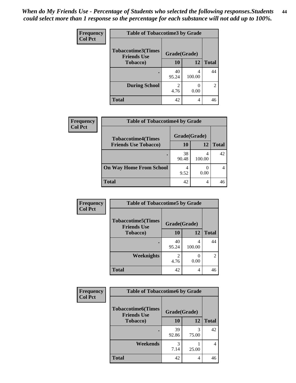| Frequency<br><b>Col Pct</b> | <b>Table of Tobaccotime3 by Grade</b>           |                        |                           |                |
|-----------------------------|-------------------------------------------------|------------------------|---------------------------|----------------|
|                             | <b>Tobaccotime3(Times</b><br><b>Friends Use</b> | Grade(Grade)           |                           |                |
|                             | <b>Tobacco</b> )                                | 10                     | 12                        | <b>Total</b>   |
|                             | ٠                                               | 40<br>95.24            | 4<br>100.00               | 44             |
|                             | <b>During School</b>                            | $\mathfrak{D}$<br>4.76 | $\mathbf{\Omega}$<br>0.00 | $\overline{2}$ |
|                             | <b>Total</b>                                    | 42                     | 4                         | 46             |

| Frequency<br><b>Col Pct</b> | <b>Table of Tobaccotime4 by Grade</b> |              |        |              |
|-----------------------------|---------------------------------------|--------------|--------|--------------|
|                             | <b>Tobaccotime4(Times</b>             | Grade(Grade) |        |              |
|                             | <b>Friends Use Tobacco)</b>           | 10           | 12     | <b>Total</b> |
|                             |                                       | 38<br>90.48  | 100.00 | 42           |
|                             | <b>On Way Home From School</b>        | 4<br>9.52    | 0.00   |              |
|                             | <b>Total</b>                          | 42           |        | 46           |

| Frequency      | <b>Table of Tobaccotime5 by Grade</b>           |              |             |              |  |
|----------------|-------------------------------------------------|--------------|-------------|--------------|--|
| <b>Col Pct</b> | <b>Tobaccotime5(Times</b><br><b>Friends Use</b> | Grade(Grade) |             |              |  |
|                | <b>Tobacco</b> )                                | 10           | 12          | <b>Total</b> |  |
|                |                                                 | 40<br>95.24  | 4<br>100.00 | 44           |  |
|                | Weeknights                                      | 4.76         | 0.00        | 2            |  |
|                | <b>Total</b>                                    | 42           | 4           | 46           |  |

| Frequency<br><b>Col Pct</b> | <b>Table of Tobaccotime6 by Grade</b>                           |             |            |              |
|-----------------------------|-----------------------------------------------------------------|-------------|------------|--------------|
|                             | <b>Tobaccotime6(Times</b><br>Grade(Grade)<br><b>Friends Use</b> |             |            |              |
|                             | <b>Tobacco</b> )                                                | 10          | 12         | <b>Total</b> |
|                             |                                                                 | 39<br>92.86 | 3<br>75.00 | 42           |
|                             | Weekends                                                        | 3<br>7.14   | 25.00      | 4            |
|                             | <b>Total</b>                                                    | 42          | 4          | 46           |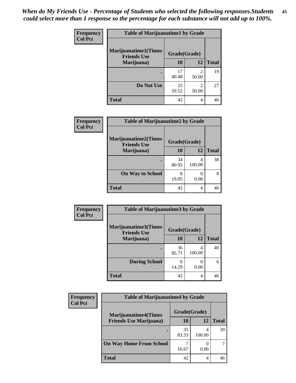| <b>Frequency</b><br><b>Col Pct</b> | <b>Table of Marijuanatime1 by Grade</b><br><b>Marijuanatime1(Times</b><br>Grade(Grade)<br><b>Friends Use</b> |             |                         |              |
|------------------------------------|--------------------------------------------------------------------------------------------------------------|-------------|-------------------------|--------------|
|                                    |                                                                                                              |             |                         |              |
|                                    | Marijuana)                                                                                                   | 10          | 12                      | <b>Total</b> |
|                                    |                                                                                                              | 17<br>40.48 | $\mathfrak{D}$<br>50.00 | 19           |
|                                    | Do Not Use                                                                                                   | 25<br>59.52 | $\mathfrak{D}$<br>50.00 | 27           |
|                                    | <b>Total</b>                                                                                                 | 42          | 4                       | 46           |

| <b>Frequency</b> | <b>Table of Marijuanatime2 by Grade</b>           |              |             |              |
|------------------|---------------------------------------------------|--------------|-------------|--------------|
| <b>Col Pct</b>   | <b>Marijuanatime2(Times</b><br><b>Friends Use</b> | Grade(Grade) |             |              |
|                  | Marijuana)                                        | 10           | 12          | <b>Total</b> |
|                  |                                                   | 34<br>80.95  | 4<br>100.00 | 38           |
|                  | <b>On Way to School</b>                           | 8<br>19.05   | 0<br>0.00   | 8            |
|                  | <b>Total</b>                                      | 42           | 4           | 46           |

| Frequency      | <b>Table of Marijuanatime3 by Grade</b>    |              |             |              |
|----------------|--------------------------------------------|--------------|-------------|--------------|
| <b>Col Pct</b> | Marijuanatime3(Times<br><b>Friends Use</b> | Grade(Grade) |             |              |
|                | Marijuana)                                 | 10           | 12          | <b>Total</b> |
|                |                                            | 36<br>85.71  | 4<br>100.00 | 40           |
|                | <b>During School</b>                       | 6<br>14.29   | 0.00        | 6            |
|                | <b>Total</b>                               | 42           | 4           | 46           |

| <b>Frequency</b> | <b>Table of Marijuanatime4 by Grade</b> |              |        |              |
|------------------|-----------------------------------------|--------------|--------|--------------|
| <b>Col Pct</b>   | <b>Marijuanatime4(Times</b>             | Grade(Grade) |        |              |
|                  | <b>Friends Use Marijuana</b> )          | 10           | 12     | <b>Total</b> |
|                  |                                         | 35<br>83.33  | 100.00 | 39           |
|                  | <b>On Way Home From School</b>          | 16.67        | 0.00   |              |
|                  | <b>Total</b>                            | 42           |        |              |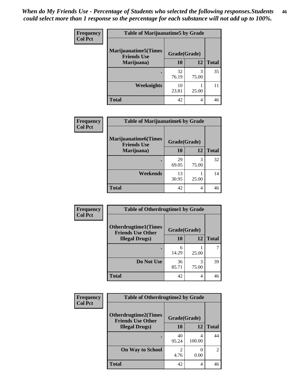| Frequency      | <b>Table of Marijuanatime5 by Grade</b>            |              |            |              |
|----------------|----------------------------------------------------|--------------|------------|--------------|
| <b>Col Pct</b> | <b>Marijuanatime5</b> (Times<br><b>Friends Use</b> | Grade(Grade) |            |              |
|                | Marijuana)                                         | 10           | 12         | <b>Total</b> |
|                |                                                    | 32<br>76.19  | 3<br>75.00 | 35           |
|                | Weeknights                                         | 10<br>23.81  | 25.00      | 11           |
|                | <b>Total</b>                                       | 42           | 4          | 46           |

| Frequency      | <b>Table of Marijuanatime6 by Grade</b>            |              |            |              |
|----------------|----------------------------------------------------|--------------|------------|--------------|
| <b>Col Pct</b> | <b>Marijuanatime6</b> (Times<br><b>Friends Use</b> | Grade(Grade) |            |              |
|                | Marijuana)                                         | 10           | 12         | <b>Total</b> |
|                |                                                    | 29<br>69.05  | 3<br>75.00 | 32           |
|                | Weekends                                           | 13<br>30.95  | 25.00      | 14           |
|                | <b>Total</b>                                       | 42           | 4          | 46           |

| <b>Frequency</b> | <b>Table of Otherdrugtime1 by Grade</b>                  |              |                |              |
|------------------|----------------------------------------------------------|--------------|----------------|--------------|
| <b>Col Pct</b>   | <b>Otherdrugtime1</b> (Times<br><b>Friends Use Other</b> | Grade(Grade) |                |              |
|                  | <b>Illegal Drugs</b> )                                   | 10           | 12             | <b>Total</b> |
|                  |                                                          | 6<br>14.29   | 25.00          |              |
|                  | Do Not Use                                               | 36<br>85.71  | 3<br>75.00     | 39           |
|                  | <b>Total</b>                                             | 42           | $\overline{4}$ | 46           |

| Frequency      | <b>Table of Otherdrugtime2 by Grade</b>                 |                                  |             |                |
|----------------|---------------------------------------------------------|----------------------------------|-------------|----------------|
| <b>Col Pct</b> | <b>Otherdrugtime2(Times</b><br><b>Friends Use Other</b> | Grade(Grade)                     |             |                |
|                | <b>Illegal Drugs</b> )                                  | 10                               | 12          | <b>Total</b>   |
|                |                                                         | 40<br>95.24                      | 4<br>100.00 | 44             |
|                | <b>On Way to School</b>                                 | $\overline{\mathcal{L}}$<br>4.76 | 0.00        | $\overline{2}$ |
|                | <b>Total</b>                                            | 42                               | 4           | 46             |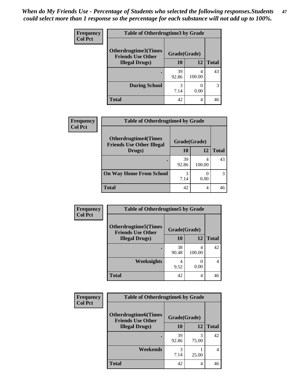| <b>Frequency</b> | <b>Table of Otherdrugtime3 by Grade</b>          |              |             |              |
|------------------|--------------------------------------------------|--------------|-------------|--------------|
| <b>Col Pct</b>   | Otherdrugtime3(Times<br><b>Friends Use Other</b> | Grade(Grade) |             |              |
|                  | <b>Illegal Drugs</b> )                           | 10           | 12          | <b>Total</b> |
|                  |                                                  | 39<br>92.86  | 4<br>100.00 | 43           |
|                  | <b>During School</b>                             | 3<br>7.14    | 0.00        | 3            |
|                  | Total                                            | 42           | 4           | 46           |

| Frequency      | <b>Table of Otherdrugtime4 by Grade</b>                         |              |        |              |
|----------------|-----------------------------------------------------------------|--------------|--------|--------------|
| <b>Col Pct</b> | <b>Otherdrugtime4(Times</b><br><b>Friends Use Other Illegal</b> | Grade(Grade) |        |              |
|                | Drugs)                                                          | 10           | 12     | <b>Total</b> |
|                |                                                                 | 39<br>92.86  | 100.00 | 43           |
|                | <b>On Way Home From School</b>                                  | 3<br>7.14    | 0.00   |              |
|                | <b>Total</b>                                                    | 42           | 4      |              |

| <b>Frequency</b> | <b>Table of Otherdrugtime5 by Grade</b>                  |              |             |              |
|------------------|----------------------------------------------------------|--------------|-------------|--------------|
| <b>Col Pct</b>   | <b>Otherdrugtime5</b> (Times<br><b>Friends Use Other</b> | Grade(Grade) |             |              |
|                  | <b>Illegal Drugs</b> )                                   | 10           | 12          | <b>Total</b> |
|                  |                                                          | 38<br>90.48  | 4<br>100.00 | 42           |
|                  | Weeknights                                               | 9.52         | 0.00        | 4            |
|                  | <b>Total</b>                                             | 42           | 4           | 46           |

| <b>Frequency</b> | <b>Table of Otherdrugtime6 by Grade</b>                 |              |                |                |
|------------------|---------------------------------------------------------|--------------|----------------|----------------|
| <b>Col Pct</b>   | <b>Otherdrugtime6(Times</b><br><b>Friends Use Other</b> | Grade(Grade) |                |                |
|                  | <b>Illegal Drugs</b> )                                  | 10           | 12             | <b>Total</b>   |
|                  |                                                         | 39<br>92.86  | 3<br>75.00     | 42             |
|                  | Weekends                                                | 3<br>7.14    | 25.00          | $\overline{4}$ |
|                  | <b>Total</b>                                            | 42           | $\overline{4}$ | 46             |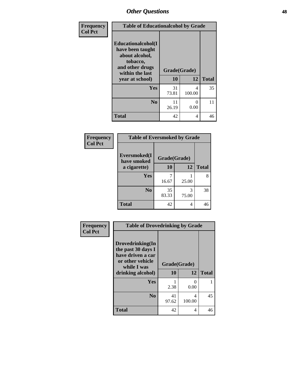| Frequency      | <b>Table of Educationalcohol by Grade</b>                                                                  |              |                      |              |
|----------------|------------------------------------------------------------------------------------------------------------|--------------|----------------------|--------------|
| <b>Col Pct</b> | Educationalcohol(I<br>have been taught<br>about alcohol,<br>tobacco,<br>and other drugs<br>within the last | Grade(Grade) |                      |              |
|                | year at school)                                                                                            | 10           | 12                   | <b>Total</b> |
|                | <b>Yes</b>                                                                                                 | 31<br>73.81  | 4<br>100.00          | 35           |
|                | N <sub>0</sub>                                                                                             | 11<br>26.19  | $\mathbf{0}$<br>0.00 | 11           |
|                | <b>Total</b>                                                                                               | 42           | $\overline{4}$       | 46           |

| Frequency      | <b>Table of Eversmoked by Grade</b> |              |            |              |
|----------------|-------------------------------------|--------------|------------|--------------|
| <b>Col Pct</b> | Eversmoked(I<br>have smoked         | Grade(Grade) |            |              |
|                | a cigarette)                        | 10           | 12         | <b>Total</b> |
|                | Yes                                 | 16.67        | 25.00      | 8            |
|                | N <sub>0</sub>                      | 35<br>83.33  | 3<br>75.00 | 38           |
|                | <b>Total</b>                        | 42           | 4          | 46           |

| Frequency      | <b>Table of Drovedrinking by Grade</b>                                                                              |                    |                |              |
|----------------|---------------------------------------------------------------------------------------------------------------------|--------------------|----------------|--------------|
| <b>Col Pct</b> | Drovedrinking(In<br>the past 30 days I<br>have driven a car<br>or other vehicle<br>while I was<br>drinking alcohol) | Grade(Grade)<br>10 | 12             | <b>Total</b> |
|                | <b>Yes</b>                                                                                                          | 2.38               | 0<br>0.00      |              |
|                | N <sub>0</sub>                                                                                                      | 41<br>97.62        | 4<br>100.00    | 45           |
|                | <b>Total</b>                                                                                                        | 42                 | $\overline{4}$ | 46           |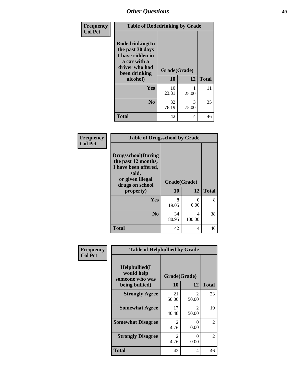| Frequency      | <b>Table of Rodedrinking by Grade</b>                                                                      |              |            |              |
|----------------|------------------------------------------------------------------------------------------------------------|--------------|------------|--------------|
| <b>Col Pct</b> | Rodedrinking(In<br>the past 30 days<br>I have ridden in<br>a car with a<br>driver who had<br>been drinking | Grade(Grade) |            |              |
|                | alcohol)                                                                                                   | 10           | 12         | <b>Total</b> |
|                | <b>Yes</b>                                                                                                 | 10<br>23.81  | 25.00      | 11           |
|                | N <sub>0</sub>                                                                                             | 32<br>76.19  | 3<br>75.00 | 35           |
|                | <b>Total</b>                                                                                               | 42           | 4          | 46           |

#### **Frequency Col Pct**

| <b>Table of Drugsschool by Grade</b>                                                                                      |              |                  |              |  |  |  |
|---------------------------------------------------------------------------------------------------------------------------|--------------|------------------|--------------|--|--|--|
| <b>Drugsschool</b> (During<br>the past 12 months,<br>I have been offered,<br>sold,<br>or given illegal<br>drugs on school | Grade(Grade) |                  |              |  |  |  |
| property)                                                                                                                 | 10           | 12               | <b>Total</b> |  |  |  |
| Yes                                                                                                                       | 8<br>19.05   | $\Omega$<br>0.00 | 8            |  |  |  |
| N <sub>0</sub>                                                                                                            | 34<br>80.95  | 4<br>100.00      | 38           |  |  |  |
| <b>Total</b>                                                                                                              | 42           | 4                |              |  |  |  |

| Frequency      | <b>Table of Helpbullied by Grade</b>                                   |                        |                         |              |  |  |  |
|----------------|------------------------------------------------------------------------|------------------------|-------------------------|--------------|--|--|--|
| <b>Col Pct</b> | $Helpb$ ullied $(I$<br>would help<br>someone who was<br>being bullied) | Grade(Grade)<br>10     | 12                      | <b>Total</b> |  |  |  |
|                |                                                                        |                        |                         |              |  |  |  |
|                | <b>Strongly Agree</b>                                                  | 21<br>50.00            | $\mathfrak{D}$<br>50.00 | 23           |  |  |  |
|                | <b>Somewhat Agree</b>                                                  | 17<br>40.48            | 2<br>50.00              | 19           |  |  |  |
|                | <b>Somewhat Disagree</b>                                               | $\mathfrak{D}$<br>4.76 | ∩<br>0.00               | 2            |  |  |  |
|                | <b>Strongly Disagree</b>                                               | 2<br>4.76              | 0<br>0.00               | 2            |  |  |  |
|                | <b>Total</b>                                                           | 42                     | 4                       | 46           |  |  |  |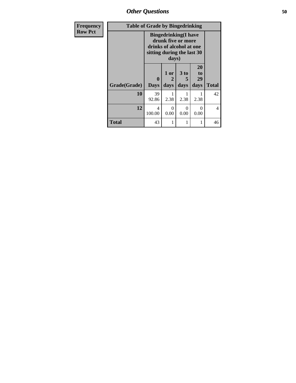*Other Questions* **50**

| <b>Frequency</b> | <b>Table of Grade by Bingedrinking</b> |                                                                                                                       |           |                      |                |              |  |
|------------------|----------------------------------------|-----------------------------------------------------------------------------------------------------------------------|-----------|----------------------|----------------|--------------|--|
| <b>Row Pct</b>   |                                        | <b>Bingedrinking</b> (I have<br>drunk five or more<br>drinks of alcohol at one<br>sitting during the last 30<br>days) |           |                      |                |              |  |
|                  |                                        | $\bf{0}$                                                                                                              | 1 or<br>2 | 3 <sub>to</sub><br>5 | 20<br>to<br>29 |              |  |
|                  | Grade(Grade)                           | <b>Days</b>                                                                                                           | days      | days                 | days           | <b>Total</b> |  |
|                  | 10                                     | 39<br>92.86                                                                                                           | 2.38      | 2.38                 | 2.38           | 42           |  |
|                  | 12                                     | 4<br>100.00                                                                                                           | 0<br>0.00 | 0<br>0.00            | 0<br>0.00      | 4            |  |
|                  | <b>Total</b>                           | 43                                                                                                                    |           |                      |                | 46           |  |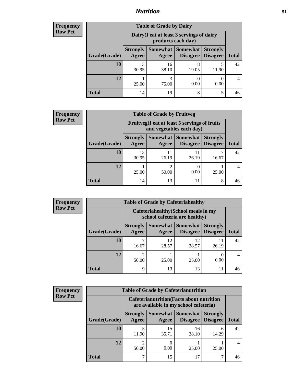## *Nutrition* **51**

| Frequency |
|-----------|
| Row Pct   |

| <b>Table of Grade by Dairy</b> |                                                                                                                                      |                                                                 |            |       |    |  |  |
|--------------------------------|--------------------------------------------------------------------------------------------------------------------------------------|-----------------------------------------------------------------|------------|-------|----|--|--|
|                                |                                                                                                                                      | Dairy (I eat at least 3 servings of dairy<br>products each day) |            |       |    |  |  |
| Grade(Grade)                   | Somewhat  <br><b>Somewhat</b><br><b>Strongly</b><br><b>Strongly</b><br><b>Disagree</b><br>Disagree<br><b>Total</b><br>Agree<br>Agree |                                                                 |            |       |    |  |  |
| 10                             | 13<br>30.95                                                                                                                          | 16<br>38.10                                                     | 8<br>19.05 | 11.90 | 42 |  |  |
| 12                             | 25.00                                                                                                                                | 3<br>75.00                                                      | 0.00       | 0.00  |    |  |  |
| <b>Total</b>                   | 14                                                                                                                                   | 19                                                              | 8          | 5     | 46 |  |  |

| <b>Frequency</b> |  |
|------------------|--|
| <b>Row Pct</b>   |  |

| <b>Table of Grade by Fruitveg</b> |                          |                                                                          |                                      |                                    |              |  |  |
|-----------------------------------|--------------------------|--------------------------------------------------------------------------|--------------------------------------|------------------------------------|--------------|--|--|
|                                   |                          | Fruitveg(I eat at least 5 servings of fruits<br>and vegetables each day) |                                      |                                    |              |  |  |
| Grade(Grade)                      | <b>Strongly</b><br>Agree | Agree                                                                    | Somewhat Somewhat<br><b>Disagree</b> | <b>Strongly</b><br><b>Disagree</b> | <b>Total</b> |  |  |
| 10                                | 13<br>30.95              | 11<br>26.19                                                              | 11<br>26.19                          | 16.67                              | 42           |  |  |
| 12                                | 25.00                    | 2<br>50.00                                                               | $\left($<br>0.00                     | 25.00                              |              |  |  |
| <b>Total</b>                      | 14                       | 13                                                                       | 11                                   | 8                                  | 46           |  |  |

| <b>Frequency</b> | <b>Table of Grade by Cafeteriahealthy</b> |                          |                                                                       |                 |                                    |              |  |  |
|------------------|-------------------------------------------|--------------------------|-----------------------------------------------------------------------|-----------------|------------------------------------|--------------|--|--|
| <b>Row Pct</b>   |                                           |                          | Cafeteriahealthy (School meals in my<br>school cafeteria are healthy) |                 |                                    |              |  |  |
|                  | Grade(Grade)                              | <b>Strongly</b><br>Agree | Somewhat Somewhat<br>Agree                                            | <b>Disagree</b> | <b>Strongly</b><br><b>Disagree</b> | <b>Total</b> |  |  |
|                  | 10                                        | 16.67                    | 12<br>28.57                                                           | 12<br>28.57     | 11<br>26.19                        | 42           |  |  |
|                  | 12                                        | 50.00                    | 25.00                                                                 | 25.00           | 0.00                               |              |  |  |
|                  | Total                                     | Q                        | 13                                                                    | 13              | 11                                 | 46           |  |  |

| <b>Frequenc</b> |
|-----------------|
| <b>Row Pct</b>  |

| y | <b>Table of Grade by Cafeterianutrition</b> |                          |                                                                                           |                                        |                                    |              |  |  |  |
|---|---------------------------------------------|--------------------------|-------------------------------------------------------------------------------------------|----------------------------------------|------------------------------------|--------------|--|--|--|
|   |                                             |                          | <b>Cafeterianutrition</b> (Facts about nutrition<br>are available in my school cafeteria) |                                        |                                    |              |  |  |  |
|   | Grade(Grade)                                | <b>Strongly</b><br>Agree | Agree                                                                                     | Somewhat   Somewhat<br><b>Disagree</b> | <b>Strongly</b><br><b>Disagree</b> | <b>Total</b> |  |  |  |
|   | 10                                          | 11.90                    | 15<br>35.71                                                                               | 16<br>38.10                            | 6<br>14.29                         | 42           |  |  |  |
|   | 12                                          | 50.00                    | 0.00                                                                                      | 25.00                                  | 25.00                              |              |  |  |  |
|   | <b>Total</b>                                |                          | 15                                                                                        | 17                                     |                                    | 46           |  |  |  |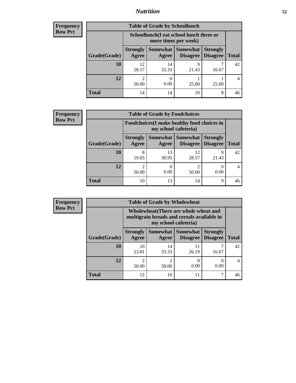## *Nutrition* **52**

| <b>Frequency</b> |
|------------------|
| Row Pct          |

| <b>Table of Grade by Schoollunch</b> |                          |                                                                                                  |            |       |    |  |  |  |
|--------------------------------------|--------------------------|--------------------------------------------------------------------------------------------------|------------|-------|----|--|--|--|
|                                      |                          | Schoollunch(I eat school lunch three or<br>more times per week)                                  |            |       |    |  |  |  |
| Grade(Grade)                         | <b>Strongly</b><br>Agree | Somewhat   Somewhat  <br><b>Strongly</b><br><b>Disagree</b><br><b>Total</b><br>Disagree<br>Agree |            |       |    |  |  |  |
| 10                                   | 12<br>28.57              | 14<br>33.33                                                                                      | q<br>21.43 | 16.67 | 42 |  |  |  |
| 12                                   | ◠<br>50.00               | 0.00                                                                                             | 25.00      | 25.00 |    |  |  |  |
| <b>Total</b>                         | 14                       | 14                                                                                               | 10         | 8     | 46 |  |  |  |

| <b>Frequency</b> |
|------------------|
| <b>Row Pct</b>   |

| <b>y</b> | <b>Table of Grade by Foodchoices</b> |                          |                                                                     |                                                   |                 |              |  |
|----------|--------------------------------------|--------------------------|---------------------------------------------------------------------|---------------------------------------------------|-----------------|--------------|--|
|          |                                      |                          | Foodchoices (I make healthy food choices in<br>my school cafeteria) |                                                   |                 |              |  |
|          | Grade(Grade)                         | <b>Strongly</b><br>Agree | Agree                                                               | Somewhat   Somewhat  <br><b>Disagree</b> Disagree | <b>Strongly</b> | <b>Total</b> |  |
|          | 10                                   | 8<br>19.05               | 13<br>30.95                                                         | 12<br>28.57                                       | Q<br>21.43      | 42           |  |
|          | 12                                   | 2<br>50.00               | 0.00                                                                | 50.00                                             | 0.00            |              |  |
|          | <b>Total</b>                         | 10                       | 13                                                                  | 14                                                | 9               | 46           |  |

| Frequency      | <b>Table of Grade by Wholewheat</b> |                          |                      |                                                                                     |                                    |              |  |
|----------------|-------------------------------------|--------------------------|----------------------|-------------------------------------------------------------------------------------|------------------------------------|--------------|--|
| <b>Row Pct</b> |                                     |                          | my school cafeteria) | Wholewheat (There are whole wheat and<br>multigrain breads and cereals available in |                                    |              |  |
|                | Grade(Grade)                        | <b>Strongly</b><br>Agree | Agree                | Somewhat Somewhat<br><b>Disagree</b>                                                | <b>Strongly</b><br><b>Disagree</b> | <b>Total</b> |  |
|                | 10                                  | 10<br>23.81              | 14<br>33.33          | 11<br>26.19                                                                         | 16.67                              | 42           |  |
|                | 12                                  | $\mathfrak{D}$<br>50.00  | 2<br>50.00           | 0.00                                                                                | $\Omega$<br>0.00                   | 4            |  |
|                | <b>Total</b>                        | 12                       | 16                   | 11                                                                                  | ┑                                  | 46           |  |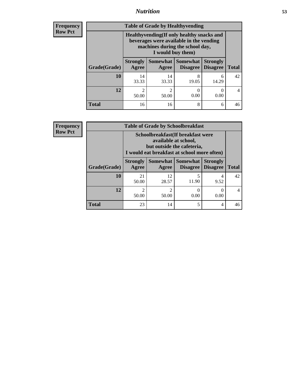## *Nutrition* **53**

**Frequency Row Pct**

| <b>Table of Grade by Healthyvending</b> |                                                                                                                                               |                          |                                    |                                    |              |  |
|-----------------------------------------|-----------------------------------------------------------------------------------------------------------------------------------------------|--------------------------|------------------------------------|------------------------------------|--------------|--|
|                                         | Healthyvending (If only healthy snacks and<br>beverages were available in the vending<br>machines during the school day,<br>I would buy them) |                          |                                    |                                    |              |  |
| Grade(Grade)                            | <b>Strongly</b><br>Agree                                                                                                                      | <b>Somewhat</b><br>Agree | <b>Somewhat</b><br><b>Disagree</b> | <b>Strongly</b><br><b>Disagree</b> | <b>Total</b> |  |
| 10                                      | 14<br>33.33                                                                                                                                   | 14<br>33.33              | 8<br>19.05                         | 6<br>14.29                         | 42           |  |
| 12                                      | 2<br>50.00                                                                                                                                    | 2<br>50.00               | 0<br>0.00                          | 0.00                               | 4            |  |
| <b>Total</b>                            | 16                                                                                                                                            | 16                       | 8                                  | 6                                  | 46           |  |

**Frequency Row Pct**

| <b>Table of Grade by Schoolbreakfast</b> |                          |                                                                                                                                         |                               |                                    |              |  |
|------------------------------------------|--------------------------|-----------------------------------------------------------------------------------------------------------------------------------------|-------------------------------|------------------------------------|--------------|--|
|                                          |                          | Schoolbreakfast (If breakfast were<br>available at school,<br>but outside the cafeteria,<br>I would eat breakfast at school more often) |                               |                                    |              |  |
| Grade(Grade)                             | <b>Strongly</b><br>Agree | Agree                                                                                                                                   | Somewhat Somewhat<br>Disagree | <b>Strongly</b><br><b>Disagree</b> | <b>Total</b> |  |
| 10                                       | 21<br>50.00              | 12<br>28.57                                                                                                                             | 5<br>11.90                    | 4<br>9.52                          | 42           |  |
| 12                                       | $\mathfrak{D}$<br>50.00  | $\mathfrak{D}$<br>50.00                                                                                                                 | 0.00                          | $\mathcal{O}$<br>0.00              |              |  |
| <b>Total</b>                             | 23                       | 14                                                                                                                                      | 5                             | 4                                  | 46           |  |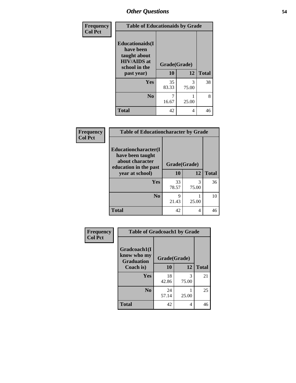| Frequency<br><b>Col Pct</b> | <b>Table of Educationaids by Grade</b>                                                                    |                    |            |              |
|-----------------------------|-----------------------------------------------------------------------------------------------------------|--------------------|------------|--------------|
|                             | <b>Educationaids</b> (I<br>have been<br>taught about<br><b>HIV/AIDS</b> at<br>school in the<br>past year) | Grade(Grade)<br>10 | 12         | <b>Total</b> |
|                             | Yes                                                                                                       | 35<br>83.33        | 3<br>75.00 | 38           |
|                             | N <sub>0</sub>                                                                                            | 16.67              | 25.00      | 8            |
|                             | <b>Total</b>                                                                                              | 42                 | 4          | 46           |

| Frequency      | <b>Table of Educationcharacter by Grade</b>                 |              |            |              |  |  |
|----------------|-------------------------------------------------------------|--------------|------------|--------------|--|--|
| <b>Col Pct</b> | Educationcharacter(I<br>have been taught<br>about character |              |            |              |  |  |
|                | education in the past                                       | Grade(Grade) |            |              |  |  |
|                | year at school)                                             | 10           | 12         | <b>Total</b> |  |  |
|                | <b>Yes</b>                                                  | 33<br>78.57  | 3<br>75.00 | 36           |  |  |
|                | N <sub>0</sub>                                              | Q<br>21.43   | 25.00      | 10           |  |  |
|                | <b>Total</b>                                                | 42           | 4          | 46           |  |  |

| <b>Frequency</b> | <b>Table of Gradcoach1 by Grade</b> |              |            |              |  |
|------------------|-------------------------------------|--------------|------------|--------------|--|
| <b>Col Pct</b>   | Gradcoach1(I                        |              |            |              |  |
|                  | know who my<br><b>Graduation</b>    | Grade(Grade) |            |              |  |
|                  | Coach is)                           | 10           | 12         | <b>Total</b> |  |
|                  | Yes                                 | 18<br>42.86  | 3<br>75.00 | 21           |  |
|                  | N <sub>0</sub>                      | 24<br>57.14  | 25.00      | 25           |  |
|                  | <b>Total</b>                        | 42           | 4          | 46           |  |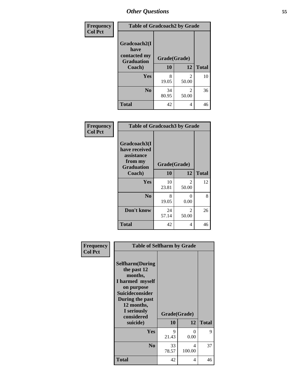| Frequency      | <b>Table of Gradcoach2 by Grade</b>  |              |                         |              |  |
|----------------|--------------------------------------|--------------|-------------------------|--------------|--|
| <b>Col Pct</b> | Gradcoach2(I<br>have<br>contacted my | Grade(Grade) |                         |              |  |
|                | <b>Graduation</b><br>Coach)          | 10           | 12                      | <b>Total</b> |  |
|                | Yes                                  | 8<br>19.05   | $\overline{2}$<br>50.00 | 10           |  |
|                | N <sub>0</sub>                       | 34<br>80.95  | 2<br>50.00              | 36           |  |
|                | <b>Total</b>                         | 42           | 4                       | 46           |  |

| Frequency<br><b>Col Pct</b> | <b>Table of Gradcoach3 by Grade</b>                                         |              |                         |              |
|-----------------------------|-----------------------------------------------------------------------------|--------------|-------------------------|--------------|
|                             | Gradcoach3(I<br>have received<br>assistance<br>from my<br><b>Graduation</b> | Grade(Grade) |                         |              |
|                             | Coach)                                                                      | 10           | 12                      | <b>Total</b> |
|                             | Yes                                                                         | 10<br>23.81  | $\overline{2}$<br>50.00 | 12           |
|                             | N <sub>0</sub>                                                              | 8<br>19.05   | 0<br>0.00               | 8            |
|                             | Don't know                                                                  | 24<br>57.14  | 2<br>50.00              | 26           |
|                             | <b>Total</b>                                                                | 42           | 4                       | 46           |

| Frequency<br><b>Col Pct</b> | <b>Table of Selfharm by Grade</b>                                                                                                                                                      |                           |             |              |
|-----------------------------|----------------------------------------------------------------------------------------------------------------------------------------------------------------------------------------|---------------------------|-------------|--------------|
|                             | <b>Selfharm</b> (During<br>the past 12<br>months,<br>I harmed myself<br>on purpose<br><b>Suicideconsider</b><br>During the past<br>12 months,<br>I seriously<br>considered<br>suicide) | Grade(Grade)<br><b>10</b> | 12          | <b>Total</b> |
|                             |                                                                                                                                                                                        |                           |             |              |
|                             | Yes                                                                                                                                                                                    | 9<br>21.43                | 0<br>0.00   | 9            |
|                             | N <sub>0</sub>                                                                                                                                                                         | 33<br>78.57               | 4<br>100.00 | 37           |
|                             | <b>Total</b>                                                                                                                                                                           | 42                        | 4           | 46           |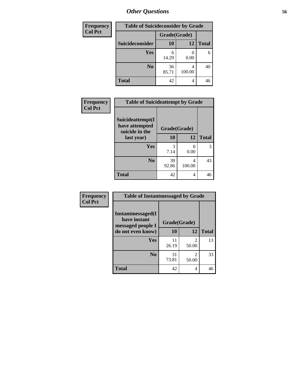| <b>Frequency</b> | <b>Table of Suicideconsider by Grade</b> |              |             |              |  |
|------------------|------------------------------------------|--------------|-------------|--------------|--|
| <b>Col Pct</b>   |                                          | Grade(Grade) |             |              |  |
|                  | <b>Suicideconsider</b>                   | <b>10</b>    | 12          | <b>Total</b> |  |
|                  | <b>Yes</b>                               | 6<br>14.29   | 0.00        | 6            |  |
|                  | N <sub>0</sub>                           | 36<br>85.71  | 4<br>100.00 | 40           |  |
|                  | <b>Total</b>                             | 42           | 4           | 46           |  |

| Frequency      | <b>Table of Suicideattempt by Grade</b>              |              |             |              |
|----------------|------------------------------------------------------|--------------|-------------|--------------|
| <b>Col Pct</b> | Suicideattempt(I<br>have attempted<br>suicide in the | Grade(Grade) |             |              |
|                | last year)                                           | 10           | 12          | <b>Total</b> |
|                | Yes                                                  | 3<br>7.14    | 0.00        | 3            |
|                | N <sub>0</sub>                                       | 39<br>92.86  | 4<br>100.00 | 43           |
|                | <b>Total</b>                                         | 42           | 4           | 46           |

| Frequency      | <b>Table of Instantmessaged by Grade</b>               |              |            |              |  |  |  |  |  |
|----------------|--------------------------------------------------------|--------------|------------|--------------|--|--|--|--|--|
| <b>Col Pct</b> | Instantmessaged(I<br>have instant<br>messaged people I | Grade(Grade) |            |              |  |  |  |  |  |
|                | do not even know)                                      | 10           | 12         | <b>Total</b> |  |  |  |  |  |
|                | Yes                                                    | 11<br>26.19  | 2<br>50.00 | 13           |  |  |  |  |  |
|                | N <sub>0</sub>                                         | 31<br>73.81  | 2<br>50.00 | 33           |  |  |  |  |  |
|                | <b>Total</b>                                           | 42           | 4          | 46           |  |  |  |  |  |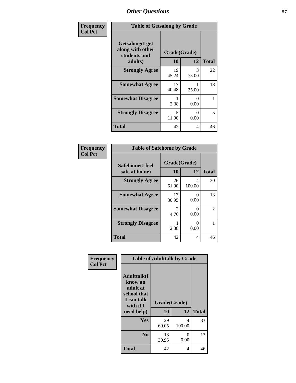| Frequency      | <b>Table of Getsalong by Grade</b>                          |              |            |              |  |  |  |  |
|----------------|-------------------------------------------------------------|--------------|------------|--------------|--|--|--|--|
| <b>Col Pct</b> | <b>Getsalong</b> (I get<br>along with other<br>students and | Grade(Grade) |            |              |  |  |  |  |
|                | adults)                                                     | 10           | 12         | <b>Total</b> |  |  |  |  |
|                | <b>Strongly Agree</b>                                       | 19<br>45.24  | 3<br>75.00 | 22           |  |  |  |  |
|                | <b>Somewhat Agree</b>                                       | 17<br>40.48  | 25.00      | 18           |  |  |  |  |
|                | <b>Somewhat Disagree</b>                                    | 2.38         | 0<br>0.00  | 1            |  |  |  |  |
|                | <b>Strongly Disagree</b>                                    | 5<br>11.90   | 0<br>0.00  | 5            |  |  |  |  |
|                | <b>Total</b>                                                | 42           | 4          | 46           |  |  |  |  |

| Frequency      | <b>Table of Safehome by Grade</b> |                        |             |                |  |  |  |  |  |
|----------------|-----------------------------------|------------------------|-------------|----------------|--|--|--|--|--|
| <b>Col Pct</b> | Safehome(I feel<br>safe at home)  | Grade(Grade)<br>10     | 12          | <b>Total</b>   |  |  |  |  |  |
|                | <b>Strongly Agree</b>             | 26<br>61.90            | 4<br>100.00 | 30             |  |  |  |  |  |
|                | <b>Somewhat Agree</b>             | 13<br>30.95            | 0<br>0.00   | 13             |  |  |  |  |  |
|                | <b>Somewhat Disagree</b>          | $\overline{2}$<br>4.76 | 0<br>0.00   | $\overline{2}$ |  |  |  |  |  |
|                | <b>Strongly Disagree</b>          | 2.38                   | 0<br>0.00   |                |  |  |  |  |  |
|                | <b>Total</b>                      | 42                     | 4           | 46             |  |  |  |  |  |

| Frequency      | <b>Table of Adulttalk by Grade</b>                                                                  |                    |             |              |  |  |  |  |  |
|----------------|-----------------------------------------------------------------------------------------------------|--------------------|-------------|--------------|--|--|--|--|--|
| <b>Col Pct</b> | <b>Adulttalk(I</b><br>know an<br>adult at<br>school that<br>I can talk<br>with if $I$<br>need help) | Grade(Grade)<br>10 | 12          | <b>Total</b> |  |  |  |  |  |
|                | <b>Yes</b>                                                                                          | 29<br>69.05        | 4<br>100.00 | 33           |  |  |  |  |  |
|                | N <sub>0</sub>                                                                                      | 13<br>30.95        | 0<br>0.00   | 13           |  |  |  |  |  |
|                | <b>Total</b>                                                                                        | 42                 | 4           | 46           |  |  |  |  |  |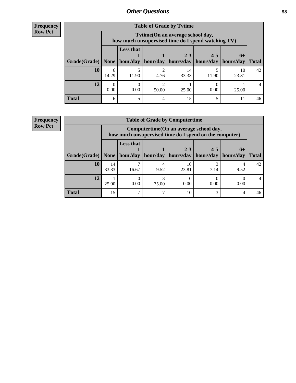**Frequency Row Pct**

| <b>Table of Grade by Tytime</b> |            |                                                                                                             |       |             |       |             |    |  |  |  |  |
|---------------------------------|------------|-------------------------------------------------------------------------------------------------------------|-------|-------------|-------|-------------|----|--|--|--|--|
|                                 |            | Tvtime(On an average school day,<br>how much unsupervised time do I spend watching TV)                      |       |             |       |             |    |  |  |  |  |
| Grade(Grade)   None             |            | <b>Less that</b><br>$2 - 3$<br>$4 - 5$<br>$6+$<br>$hour/day$   hour/day   hours/day   hours/day   hours/day |       |             |       |             |    |  |  |  |  |
| 10                              | 6<br>14.29 | 11.90                                                                                                       | 4.76  | 14<br>33.33 | 11.90 | 10<br>23.81 | 42 |  |  |  |  |
| 12                              | 0.00       | 0.00                                                                                                        | 50.00 | 25.00       | 0.00  | 25.00       | 4  |  |  |  |  |
| <b>Total</b>                    | 6          | 5                                                                                                           |       | 15          |       |             | 46 |  |  |  |  |

**Frequency Row Pct**

| <b>Table of Grade by Computertime</b> |             |                                                                                                                                                                                                                                   |       |             |      |      |    |  |  |  |  |
|---------------------------------------|-------------|-----------------------------------------------------------------------------------------------------------------------------------------------------------------------------------------------------------------------------------|-------|-------------|------|------|----|--|--|--|--|
|                                       |             | Computertime(On an average school day,<br>how much unsupervised time do I spend on the computer)<br><b>Less that</b><br>$2 - 3$<br>$4 - 5$<br>$6+$<br>hours/day<br>hours/day<br>hour/day<br>hour/day<br>hours/day<br><b>Total</b> |       |             |      |      |    |  |  |  |  |
| Grade(Grade)                          | None        |                                                                                                                                                                                                                                   |       |             |      |      |    |  |  |  |  |
| 10                                    | 14<br>33.33 | ┑<br>16.67                                                                                                                                                                                                                        | 9.52  | 10<br>23.81 | 7.14 | 9.52 | 42 |  |  |  |  |
| 12                                    | 25.00       | 0.00                                                                                                                                                                                                                              | 75.00 | 0.00        | 0.00 | 0.00 | 4  |  |  |  |  |
| <b>Total</b>                          | 15          | 7                                                                                                                                                                                                                                 |       | 10          | 3    | 4    | 46 |  |  |  |  |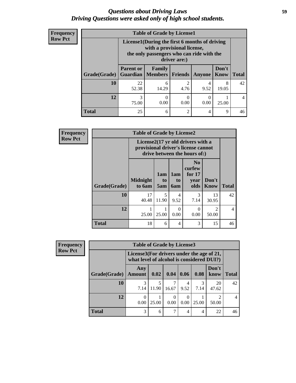### *Questions about Driving Laws* **59** *Driving Questions were asked only of high school students.*

| <b>Frequency</b> |
|------------------|
| <b>Row Pct</b>   |

| <b>Table of Grade by License1</b> |                  |                                                                                                                                           |                        |           |                      |              |  |  |  |  |  |
|-----------------------------------|------------------|-------------------------------------------------------------------------------------------------------------------------------------------|------------------------|-----------|----------------------|--------------|--|--|--|--|--|
|                                   |                  | License1(During the first 6 months of driving<br>with a provisional license,<br>the only passengers who can ride with the<br>driver are:) |                        |           |                      |              |  |  |  |  |  |
| <b>Grade</b> (Grade)              | <b>Parent or</b> | Family<br><b>Guardian   Members  </b>                                                                                                     | Friends                | Anyone    | Don't<br><b>Know</b> | <b>Total</b> |  |  |  |  |  |
| <b>10</b>                         | 22<br>52.38      | 6<br>14.29                                                                                                                                | $\overline{c}$<br>4.76 | 4<br>9.52 | 8<br>19.05           | 42           |  |  |  |  |  |
| 12                                | 3<br>75.00       | $\left($<br>0.00                                                                                                                          | 0.00                   | 0.00      | 25.00                | 4            |  |  |  |  |  |
| <b>Total</b>                      | 25               | 6                                                                                                                                         | $\overline{c}$         | 4         | 9                    | 46           |  |  |  |  |  |

| <b>Frequency</b> | <b>Table of Grade by License2</b>                                                                                    |                           |                  |                  |                                                      |                         |              |  |  |
|------------------|----------------------------------------------------------------------------------------------------------------------|---------------------------|------------------|------------------|------------------------------------------------------|-------------------------|--------------|--|--|
| <b>Row Pct</b>   | License $2(17 \text{ yr})$ old drivers with a<br>provisional driver's license cannot<br>drive between the hours of:) |                           |                  |                  |                                                      |                         |              |  |  |
|                  | Grade(Grade)                                                                                                         | <b>Midnight</b><br>to 6am | 1am<br>to<br>5am | 1am<br>to<br>6am | N <sub>0</sub><br>curfew<br>for $17$<br>year<br>olds | Don't<br><b>Know</b>    | <b>Total</b> |  |  |
|                  | 10                                                                                                                   | 17<br>40.48               | 5<br>11.90       | 4<br>9.52        | 3<br>7.14                                            | 13<br>30.95             | 42           |  |  |
|                  | 12                                                                                                                   | 25.00                     | 25.00            | 0<br>0.00        | $\theta$<br>0.00                                     | $\mathfrak{D}$<br>50.00 | 4            |  |  |
|                  | <b>Total</b>                                                                                                         | 18                        | 6                | 4                | 3                                                    | 15                      | 46           |  |  |

| Frequency      |              | <b>Table of Grade by License3</b> |                                                                                        |                  |           |       |               |                |  |
|----------------|--------------|-----------------------------------|----------------------------------------------------------------------------------------|------------------|-----------|-------|---------------|----------------|--|
| <b>Row Pct</b> |              |                                   | License3(For drivers under the age of 21,<br>what level of alcohol is considered DUI?) |                  |           |       |               |                |  |
|                | Grade(Grade) | Any<br><b>Amount</b>              | 0.02                                                                                   | 0.04             | 0.06      | 0.08  | Don't<br>know | <b>Total</b>   |  |
|                | 10           | 3<br>7.14                         | 11.90                                                                                  | 16.67            | 9.52      | 7.14  | 20<br>47.62   | 42             |  |
|                | 12           | 0<br>0.00                         | 25.00                                                                                  | $\Omega$<br>0.00 | 0<br>0.00 | 25.00 | ി<br>50.00    | $\overline{4}$ |  |
|                | <b>Total</b> | 3                                 | 6                                                                                      |                  | 4         | 4     | 22            | 46             |  |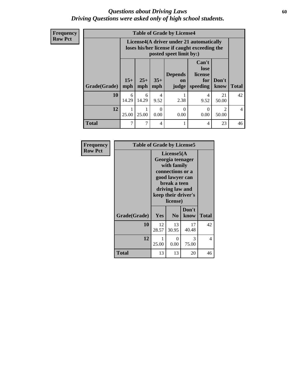### *Questions about Driving Laws* **60** *Driving Questions were asked only of high school students.*

**Frequency Row Pct**

| <b>Table of Grade by License4</b> |                |                                                                                                                                      |                  |                  |           |                                      |                |  |  |  |
|-----------------------------------|----------------|--------------------------------------------------------------------------------------------------------------------------------------|------------------|------------------|-----------|--------------------------------------|----------------|--|--|--|
|                                   |                | License4(A driver under 21 automatically<br>loses his/her license if caught exceeding the<br>posted speet limit by:)                 |                  |                  |           |                                      |                |  |  |  |
| Grade(Grade)                      | $15+$<br>mph   | Can't<br>lose<br><b>Depends</b><br>license<br>$35+$<br>$25+$<br>Don't<br>for<br><b>on</b><br>speeding<br>mph<br>mph<br>judge<br>know |                  |                  |           |                                      |                |  |  |  |
| 10                                | 6<br>14.29     | 6<br>14.29                                                                                                                           | 4<br>9.52        | 2.38             | 4<br>9.52 | 21<br>50.00                          | 42             |  |  |  |
| 12                                | 1<br>25.00     | 25.00                                                                                                                                | $\Omega$<br>0.00 | $\Omega$<br>0.00 | 0<br>0.00 | $\mathcal{D}_{\mathcal{A}}$<br>50.00 | $\overline{4}$ |  |  |  |
| <b>Total</b>                      | $\overline{7}$ |                                                                                                                                      | 4                |                  | 4         | 23                                   | 46             |  |  |  |

| Frequency      | <b>Table of Grade by License5</b> |                                                                                                                                                             |                  |               |              |
|----------------|-----------------------------------|-------------------------------------------------------------------------------------------------------------------------------------------------------------|------------------|---------------|--------------|
| <b>Row Pct</b> |                                   | License5(A)<br>Georgia teenager<br>with family<br>connections or a<br>good lawyer can<br>break a teen<br>driving law and<br>keep their driver's<br>license) |                  |               |              |
|                | Grade(Grade)                      | Yes                                                                                                                                                         | N <sub>0</sub>   | Don't<br>know | <b>Total</b> |
|                | 10                                | 12<br>28.57                                                                                                                                                 | 13<br>30.95      | 17<br>40.48   | 42           |
|                | 12                                | 1<br>25.00                                                                                                                                                  | $\theta$<br>0.00 | 3<br>75.00    | 4            |
|                | <b>Total</b>                      | 13                                                                                                                                                          | 13               | 20            | 46           |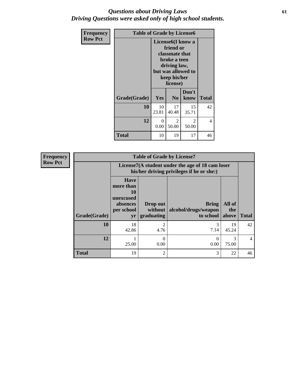## *Questions about Driving Laws* **61** *Driving Questions were asked only of high school students.*

| <b>Frequency</b> | <b>Table of Grade by License6</b> |                                                                                                                                                 |                         |                         |              |
|------------------|-----------------------------------|-------------------------------------------------------------------------------------------------------------------------------------------------|-------------------------|-------------------------|--------------|
| <b>Row Pct</b>   |                                   | License <sub>6</sub> (I know a<br>friend or<br>classmate that<br>broke a teen<br>driving law,<br>but was allowed to<br>keep his/her<br>license) |                         |                         |              |
|                  | Grade(Grade)                      | Yes                                                                                                                                             | N <sub>0</sub>          | Don't<br>know           | <b>Total</b> |
|                  | 10                                | 10<br>23.81                                                                                                                                     | 17<br>40.48             | 15<br>35.71             | 42           |
|                  | 12                                | $\Omega$<br>0.00                                                                                                                                | $\mathfrak{D}$<br>50.00 | $\mathfrak{D}$<br>50.00 | 4            |
|                  | <b>Total</b>                      | 10                                                                                                                                              | 19                      | 17                      | 46           |

| <b>Frequency</b> | <b>Table of Grade by License7</b> |                                                                             |                                                                                               |                                                   |                        |              |
|------------------|-----------------------------------|-----------------------------------------------------------------------------|-----------------------------------------------------------------------------------------------|---------------------------------------------------|------------------------|--------------|
| <b>Row Pct</b>   |                                   |                                                                             | License7(A student under the age of 18 cam loser<br>his/her driving privileges if he or she:) |                                                   |                        |              |
|                  | Grade(Grade)                      | <b>Have</b><br>more than<br>10<br>unexcused<br>absences<br>per school<br>yr | Drop out<br>without<br>graduating                                                             | <b>Bring</b><br>alcohol/drugs/weapon<br>to school | All of<br>the<br>above | <b>Total</b> |
|                  | 10                                | 18<br>42.86                                                                 | $\overline{2}$<br>4.76                                                                        | 7.14                                              | 19<br>45.24            | 42           |
|                  | 12                                | 25.00                                                                       | $\Omega$<br>0.00                                                                              | 0<br>0.00                                         | 75.00                  | 4            |
|                  | <b>Total</b>                      | 19                                                                          | $\overline{2}$                                                                                | 3                                                 | 22                     | 46           |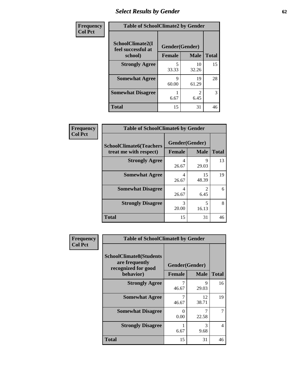# *Select Results by Gender* **62**

| Frequency      | <b>Table of SchoolClimate2 by Gender</b> |                |             |              |  |
|----------------|------------------------------------------|----------------|-------------|--------------|--|
| <b>Col Pct</b> | SchoolClimate2(I<br>feel successful at   | Gender(Gender) |             |              |  |
|                | school)                                  | <b>Female</b>  | <b>Male</b> | <b>Total</b> |  |
|                | <b>Strongly Agree</b>                    | 33.33          | 10<br>32.26 | 15           |  |
|                | <b>Somewhat Agree</b>                    | 9<br>60.00     | 19<br>61.29 | 28           |  |
|                | <b>Somewhat Disagree</b>                 | 6.67           | 6.45        | 3            |  |
|                | <b>Total</b>                             | 15             | 31          | 46           |  |

| <b>Frequency</b> | <b>Table of SchoolClimate6 by Gender</b>                 |                                 |                        |              |  |
|------------------|----------------------------------------------------------|---------------------------------|------------------------|--------------|--|
| <b>Col Pct</b>   | <b>SchoolClimate6(Teachers</b><br>treat me with respect) | Gender(Gender)<br><b>Female</b> | <b>Male</b>            | <b>Total</b> |  |
|                  | <b>Strongly Agree</b>                                    | 4<br>26.67                      | 9<br>29.03             | 13           |  |
|                  | <b>Somewhat Agree</b>                                    | 4<br>26.67                      | 15<br>48.39            | 19           |  |
|                  | <b>Somewhat Disagree</b>                                 | 4<br>26.67                      | $\mathfrak{D}$<br>6.45 | 6            |  |
|                  | <b>Strongly Disagree</b>                                 | 3<br>20.00                      | 5<br>16.13             | 8            |  |
|                  | <b>Total</b>                                             | 15                              | 31                     | 46           |  |

| <b>Frequency</b> | <b>Table of SchoolClimate8 by Gender</b>                                |                  |             |              |
|------------------|-------------------------------------------------------------------------|------------------|-------------|--------------|
| <b>Col Pct</b>   | <b>SchoolClimate8(Students</b><br>are frequently<br>recognized for good | Gender(Gender)   |             |              |
|                  | behavior)                                                               | <b>Female</b>    | <b>Male</b> | <b>Total</b> |
|                  | <b>Strongly Agree</b>                                                   | 7<br>46.67       | 9<br>29.03  | 16           |
|                  | <b>Somewhat Agree</b>                                                   | 7<br>46.67       | 12<br>38.71 | 19           |
|                  | <b>Somewhat Disagree</b>                                                | $\Omega$<br>0.00 | 22.58       |              |
|                  | <b>Strongly Disagree</b>                                                | 6.67             | 3<br>9.68   | 4            |
|                  | Total                                                                   | 15               | 31          | 46           |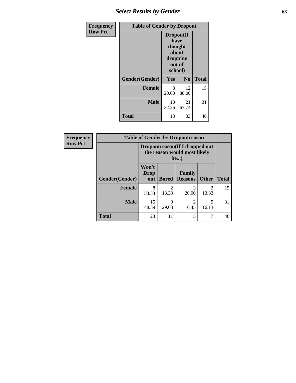# *Select Results by Gender* **63**

| <b>Frequency</b> | <b>Table of Gender by Dropout</b> |                                                                        |                |              |
|------------------|-----------------------------------|------------------------------------------------------------------------|----------------|--------------|
| <b>Row Pct</b>   |                                   | Dropout(I<br>have<br>thought<br>about<br>dropping<br>out of<br>school) |                |              |
|                  | Gender(Gender)                    | Yes                                                                    | N <sub>0</sub> | <b>Total</b> |
|                  | <b>Female</b>                     | 3<br>20.00                                                             | 12<br>80.00    | 15           |
|                  | <b>Male</b>                       | 10<br>32.26                                                            | 21<br>67.74    | 31           |
|                  | <b>Total</b>                      | 13                                                                     | 33             | 46           |

| Frequency      | <b>Table of Gender by Dropoutreason</b> |                                                                 |              |                          |              |              |
|----------------|-----------------------------------------|-----------------------------------------------------------------|--------------|--------------------------|--------------|--------------|
| <b>Row Pct</b> |                                         | Dropoutreason (If I dropped out<br>the reason would most likely |              |                          |              |              |
|                | <b>Gender</b> (Gender)                  | Won't<br>Drop<br>out                                            | <b>Bored</b> | Family<br><b>Reasons</b> | <b>Other</b> | <b>Total</b> |
|                | <b>Female</b>                           | 8<br>53.33                                                      | 13.33        | 20.00                    | 13.33        | 15           |
|                | <b>Male</b>                             | 15<br>48.39                                                     | 9<br>29.03   | $\mathfrak{D}$<br>6.45   | 16.13        | 31           |
|                | <b>Total</b>                            | 23                                                              | 11           | 5                        | 7            | 46           |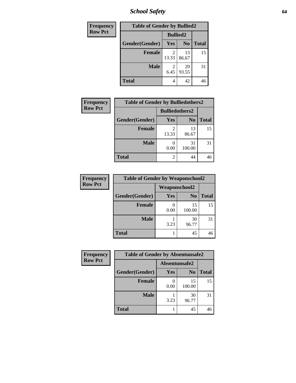*School Safety* **64**

| Frequency      | <b>Table of Gender by Bullied2</b> |                         |                |              |  |
|----------------|------------------------------------|-------------------------|----------------|--------------|--|
| <b>Row Pct</b> |                                    | <b>Bullied2</b>         |                |              |  |
|                | Gender(Gender)                     | Yes                     | N <sub>0</sub> | <b>Total</b> |  |
|                | <b>Female</b>                      | $\mathfrak{D}$<br>13.33 | 13<br>86.67    | 15           |  |
|                | <b>Male</b>                        | 6.45                    | 29<br>93.55    | 31           |  |
|                | <b>Total</b>                       | 4                       | 42             | 46           |  |

| <b>Frequency</b> | <b>Table of Gender by Bulliedothers2</b> |                       |                |              |
|------------------|------------------------------------------|-----------------------|----------------|--------------|
| <b>Row Pct</b>   |                                          | <b>Bulliedothers2</b> |                |              |
|                  | Gender(Gender)                           | <b>Yes</b>            | N <sub>0</sub> | <b>Total</b> |
|                  | <b>Female</b>                            | 13.33                 | 13<br>86.67    | 15           |
|                  | <b>Male</b>                              | 0.00                  | 31<br>100.00   | 31           |
|                  | <b>Total</b>                             | 2                     | 44             | 46           |

| Frequency      | <b>Table of Gender by Weaponschool2</b> |                      |                |              |  |
|----------------|-----------------------------------------|----------------------|----------------|--------------|--|
| <b>Row Pct</b> |                                         | <b>Weaponschool2</b> |                |              |  |
|                | Gender(Gender)                          | <b>Yes</b>           | N <sub>0</sub> | <b>Total</b> |  |
|                | <b>Female</b>                           | 0.00                 | 15<br>100.00   | 15           |  |
|                | <b>Male</b>                             | 3.23                 | 30<br>96.77    | 31           |  |
|                | <b>Total</b>                            |                      | 45             |              |  |

| Frequency      | <b>Table of Gender by Absentunsafe2</b> |               |                |              |
|----------------|-----------------------------------------|---------------|----------------|--------------|
| <b>Row Pct</b> |                                         | Absentunsafe2 |                |              |
|                | Gender(Gender)                          | Yes           | N <sub>0</sub> | <b>Total</b> |
|                | <b>Female</b>                           | 0.00          | 15<br>100.00   | 15           |
|                | <b>Male</b>                             | 3.23          | 30<br>96.77    | 31           |
|                | <b>Total</b>                            |               | 45             | 46           |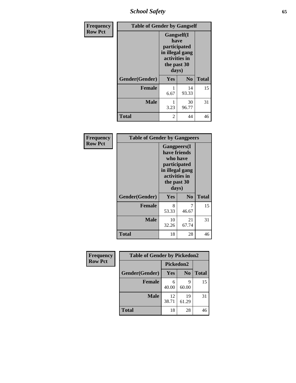*School Safety* **65**

| Frequency      | <b>Table of Gender by Gangself</b> |                                                                                                |                |              |
|----------------|------------------------------------|------------------------------------------------------------------------------------------------|----------------|--------------|
| <b>Row Pct</b> |                                    | Gangself(I<br>have<br>participated<br>in illegal gang<br>activities in<br>the past 30<br>days) |                |              |
|                | Gender(Gender)                     | Yes                                                                                            | N <sub>0</sub> | <b>Total</b> |
|                | <b>Female</b>                      | 6.67                                                                                           | 14<br>93.33    | 15           |
|                | <b>Male</b>                        | 1<br>3.23                                                                                      | 30<br>96.77    | 31           |
|                | <b>Total</b>                       | 2                                                                                              | 44             | 46           |

| Frequency      | <b>Table of Gender by Gangpeers</b> |                                                                                                                             |                |              |
|----------------|-------------------------------------|-----------------------------------------------------------------------------------------------------------------------------|----------------|--------------|
| <b>Row Pct</b> |                                     | <b>Gangpeers</b> (I<br>have friends<br>who have<br>participated<br>in illegal gang<br>activities in<br>the past 30<br>days) |                |              |
|                | Gender(Gender)                      | <b>Yes</b>                                                                                                                  | N <sub>0</sub> | <b>Total</b> |
|                | <b>Female</b>                       | 8<br>53.33                                                                                                                  | 46.67          | 15           |
|                | <b>Male</b>                         | 10<br>32.26                                                                                                                 | 21<br>67.74    | 31           |
|                | Total                               | 18                                                                                                                          | 28             | 46           |

| Frequency      | <b>Table of Gender by Pickedon2</b> |             |                |              |
|----------------|-------------------------------------|-------------|----------------|--------------|
| <b>Row Pct</b> |                                     |             | Pickedon2      |              |
|                | Gender(Gender)                      | Yes         | N <sub>0</sub> | <b>Total</b> |
|                | <b>Female</b>                       | 6<br>40.00  | q<br>60.00     | 15           |
|                | <b>Male</b>                         | 12<br>38.71 | 19<br>61.29    | 31           |
|                | <b>Total</b>                        | 18          | 28             | 46           |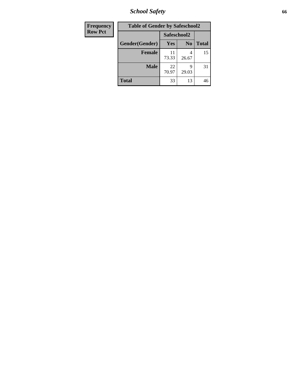*School Safety* **66**

| Frequency      | <b>Table of Gender by Safeschool2</b> |             |                |              |
|----------------|---------------------------------------|-------------|----------------|--------------|
| <b>Row Pct</b> |                                       | Safeschool2 |                |              |
|                | Gender(Gender)                        | Yes         | N <sub>0</sub> | <b>Total</b> |
|                | <b>Female</b>                         | 11<br>73.33 | 4<br>26.67     | 15           |
|                | Male                                  | 22<br>70.97 | q<br>29.03     | 31           |
|                | <b>Total</b>                          | 33          | 13             | 46           |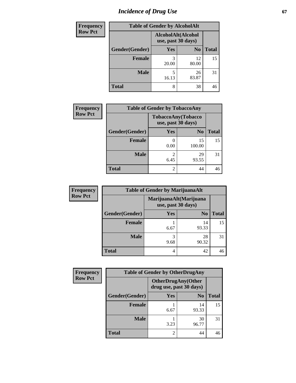# *Incidence of Drug Use* 67

| <b>Frequency</b> | <b>Table of Gender by AlcoholAlt</b> |            |                                          |              |  |
|------------------|--------------------------------------|------------|------------------------------------------|--------------|--|
| <b>Row Pct</b>   |                                      |            | AlcoholAlt(Alcohol<br>use, past 30 days) |              |  |
|                  | Gender(Gender)                       | <b>Yes</b> | N <sub>0</sub>                           | <b>Total</b> |  |
|                  | Female                               | 3<br>20.00 | 12<br>80.00                              | 15           |  |
|                  | <b>Male</b>                          | 5<br>16.13 | 26<br>83.87                              | 31           |  |
|                  | <b>Total</b>                         | 8          | 38                                       | 46           |  |

| <b>Frequency</b> | <b>Table of Gender by TobaccoAny</b> |                                          |                |              |
|------------------|--------------------------------------|------------------------------------------|----------------|--------------|
| <b>Row Pct</b>   |                                      | TobaccoAny(Tobacco<br>use, past 30 days) |                |              |
|                  | Gender(Gender)                       | Yes                                      | N <sub>0</sub> | <b>Total</b> |
|                  | <b>Female</b>                        | 0.00                                     | 15<br>100.00   | 15           |
|                  | <b>Male</b>                          | 2<br>6.45                                | 29<br>93.55    | 31           |
|                  | <b>Total</b>                         | 2                                        | 44             | 46           |

| <b>Frequency</b> | <b>Table of Gender by MarijuanaAlt</b>       |            |                |              |
|------------------|----------------------------------------------|------------|----------------|--------------|
| <b>Row Pct</b>   | MarijuanaAlt(Marijuana<br>use, past 30 days) |            |                |              |
|                  | Gender(Gender)                               | <b>Yes</b> | N <sub>0</sub> | <b>Total</b> |
|                  | <b>Female</b>                                | 6.67       | 14<br>93.33    | 15           |
|                  | <b>Male</b>                                  | 3<br>9.68  | 28<br>90.32    | 31           |
|                  | <b>Total</b>                                 | 4          | 42             | 46           |

| <b>Frequency</b> | <b>Table of Gender by OtherDrugAny</b> |                         |                           |              |  |
|------------------|----------------------------------------|-------------------------|---------------------------|--------------|--|
| <b>Row Pct</b>   |                                        | drug use, past 30 days) | <b>OtherDrugAny(Other</b> |              |  |
|                  | Gender(Gender)                         | <b>Yes</b>              | N <sub>0</sub>            | <b>Total</b> |  |
|                  | <b>Female</b>                          | 6.67                    | 14<br>93.33               | 15           |  |
|                  | <b>Male</b>                            | 3.23                    | 30<br>96.77               | 31           |  |
|                  | <b>Total</b>                           | 2                       | 44                        | 46           |  |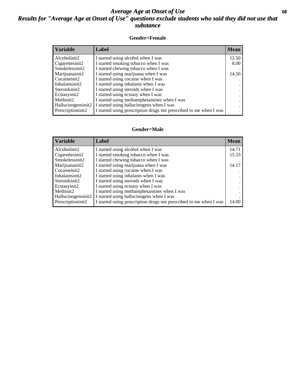## *Average Age at Onset of Use* **68** *Results for "Average Age at Onset of Use" questions exclude students who said they did not use that substance*

### **Gender=Female**

| <b>Variable</b>                 | <b>Label</b>                                                       | <b>Mean</b> |
|---------------------------------|--------------------------------------------------------------------|-------------|
| Alcoholinit2                    | I started using alcohol when I was                                 | 12.50       |
| Cigarettesinit2                 | I started smoking tobacco when I was                               | 8.00        |
| Smokelessinit2                  | I started chewing tobacco when I was                               |             |
| Marijuanainit2                  | I started using marijuana when I was                               | 14.50       |
| Cocaineinit2                    | I started using cocaine when I was                                 |             |
| Inhalantsinit2                  | I started using inhalants when I was                               |             |
| Steroidsinit2                   | I started using steroids when I was                                |             |
| Ecstasyinit2                    | I started using ecstasy when I was                                 |             |
| Methinit2                       | I started using methamphetamines when I was                        |             |
| Hallucinogensinit2              | I started using hallucinogens when I was                           |             |
| Prescription in it <sub>2</sub> | I started using prescription drugs not prescribed to me when I was |             |

#### **Gender=Male**

| <b>Variable</b>       | Label                                                              | <b>Mean</b> |
|-----------------------|--------------------------------------------------------------------|-------------|
| Alcoholinit2          | I started using alcohol when I was                                 | 14.71       |
| Cigarettesinit2       | I started smoking tobacco when I was                               | 15.33       |
| Smokelessinit2        | I started chewing tobacco when I was                               |             |
| Marijuanainit2        | I started using marijuana when I was                               | 14.17       |
| Cocaineinit2          | I started using cocaine when I was                                 |             |
| Inhalantsinit2        | I started using inhalants when I was                               |             |
| Steroidsinit2         | I started using steroids when I was                                |             |
| Ecstasyinit2          | I started using ecstasy when I was                                 |             |
| Methinit <sub>2</sub> | I started using methamphetamines when I was                        |             |
| Hallucinogensinit2    | I started using hallucinogens when I was                           |             |
| Prescription in it2   | I started using prescription drugs not prescribed to me when I was | 14.00       |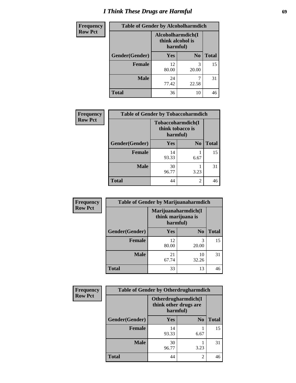# *I Think These Drugs are Harmful* **69**

| <b>Frequency</b> | <b>Table of Gender by Alcoholharmdich</b> |                                                   |                |              |
|------------------|-------------------------------------------|---------------------------------------------------|----------------|--------------|
| <b>Row Pct</b>   |                                           | Alcoholharmdich(I<br>think alcohol is<br>harmful) |                |              |
|                  | Gender(Gender)                            | <b>Yes</b>                                        | N <sub>0</sub> | <b>Total</b> |
|                  | <b>Female</b>                             | 12<br>80.00                                       | 3<br>20.00     | 15           |
|                  | <b>Male</b>                               | 24<br>77.42                                       | 22.58          | 31           |
|                  | <b>Total</b>                              | 36                                                | 10             | 46           |

| Frequency      | <b>Table of Gender by Tobaccoharmdich</b> |                                                   |                |              |  |
|----------------|-------------------------------------------|---------------------------------------------------|----------------|--------------|--|
| <b>Row Pct</b> |                                           | Tobaccoharmdich(I<br>think tobacco is<br>harmful) |                |              |  |
|                | Gender(Gender)                            | <b>Yes</b>                                        | N <sub>0</sub> | <b>Total</b> |  |
|                | <b>Female</b>                             | 14<br>93.33                                       | 6.67           | 15           |  |
|                | <b>Male</b>                               | 30<br>96.77                                       | 3.23           | 31           |  |
|                | <b>Total</b>                              | 44                                                | 2              | 46           |  |

| Frequency      | <b>Table of Gender by Marijuanaharmdich</b> |                                |                     |              |
|----------------|---------------------------------------------|--------------------------------|---------------------|--------------|
| <b>Row Pct</b> |                                             | think marijuana is<br>harmful) | Marijuanaharmdich(I |              |
|                | Gender(Gender)                              | <b>Yes</b>                     | N <sub>0</sub>      | <b>Total</b> |
|                | <b>Female</b>                               | 12<br>80.00                    | 3<br>20.00          | 15           |
|                | <b>Male</b>                                 | 21<br>67.74                    | 10<br>32.26         | 31           |
|                | <b>Total</b>                                | 33                             | 13                  | 46           |

| Frequency      | <b>Table of Gender by Otherdrugharmdich</b> |                                   |                     |              |
|----------------|---------------------------------------------|-----------------------------------|---------------------|--------------|
| <b>Row Pct</b> |                                             | think other drugs are<br>harmful) | Otherdrugharmdich(I |              |
|                | Gender(Gender)                              | <b>Yes</b>                        | N <sub>0</sub>      | <b>Total</b> |
|                | <b>Female</b>                               | 14<br>93.33                       | 6.67                | 15           |
|                | <b>Male</b>                                 | 30<br>96.77                       | 3.23                | 31           |
|                | <b>Total</b>                                | 44                                | $\overline{2}$      | 46           |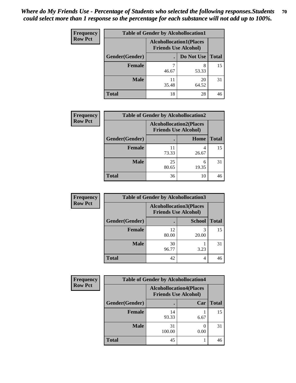| <b>Frequency</b> | <b>Table of Gender by Alcohollocation1</b> |                                                               |             |              |
|------------------|--------------------------------------------|---------------------------------------------------------------|-------------|--------------|
| <b>Row Pct</b>   |                                            | <b>Alcohollocation1(Places</b><br><b>Friends Use Alcohol)</b> |             |              |
|                  | Gender(Gender)                             |                                                               | Do Not Use  | <b>Total</b> |
|                  | <b>Female</b>                              | 46.67                                                         | 8<br>53.33  | 15           |
|                  | <b>Male</b>                                | 35.48                                                         | 20<br>64.52 | 31           |
|                  | <b>Total</b>                               | 18                                                            | 28          | 46           |

| <b>Frequency</b> | <b>Table of Gender by Alcohollocation2</b> |                                                               |            |              |
|------------------|--------------------------------------------|---------------------------------------------------------------|------------|--------------|
| <b>Row Pct</b>   |                                            | <b>Alcohollocation2(Places</b><br><b>Friends Use Alcohol)</b> |            |              |
|                  | Gender(Gender)                             |                                                               | Home       | <b>Total</b> |
|                  | <b>Female</b>                              | 73.33                                                         | 26.67      | 15           |
|                  | <b>Male</b>                                | 25<br>80.65                                                   | 6<br>19.35 | 31           |
|                  | <b>Total</b>                               | 36                                                            | 10         | 46           |

| Frequency      | <b>Table of Gender by Alcohollocation3</b> |             |                                                               |              |
|----------------|--------------------------------------------|-------------|---------------------------------------------------------------|--------------|
| <b>Row Pct</b> |                                            |             | <b>Alcohollocation3(Places</b><br><b>Friends Use Alcohol)</b> |              |
|                | Gender(Gender)                             |             | <b>School</b>                                                 | <b>Total</b> |
|                | <b>Female</b>                              | 12<br>80.00 | 20.00                                                         | 15           |
|                | <b>Male</b>                                | 30<br>96.77 | 3.23                                                          | 31           |
|                | <b>Total</b>                               | 42          | 4                                                             | 46           |

| <b>Frequency</b> | <b>Table of Gender by Alcohollocation4</b> |                                                               |      |              |
|------------------|--------------------------------------------|---------------------------------------------------------------|------|--------------|
| <b>Row Pct</b>   |                                            | <b>Alcohollocation4(Places</b><br><b>Friends Use Alcohol)</b> |      |              |
|                  | Gender(Gender)                             |                                                               | Car  | <b>Total</b> |
|                  | <b>Female</b>                              | 14<br>93.33                                                   | 6.67 | 15           |
|                  | <b>Male</b>                                | 31<br>100.00                                                  | 0.00 | 31           |
|                  | <b>Total</b>                               | 45                                                            |      | 46           |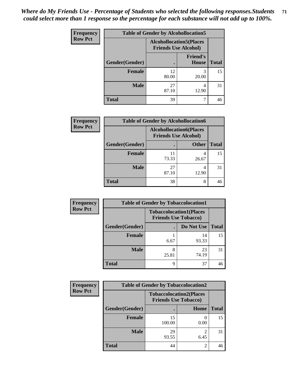| <b>Frequency</b> | <b>Table of Gender by Alcohollocation5</b> |                                                                |                                 |              |
|------------------|--------------------------------------------|----------------------------------------------------------------|---------------------------------|--------------|
| <b>Row Pct</b>   |                                            | <b>Alcohollocation5</b> (Places<br><b>Friends Use Alcohol)</b> |                                 |              |
|                  | Gender(Gender)                             |                                                                | <b>Friend's</b><br><b>House</b> | <b>Total</b> |
|                  | <b>Female</b>                              | 12<br>80.00                                                    | 3<br>20.00                      | 15           |
|                  | <b>Male</b>                                | 27<br>87.10                                                    | 4<br>12.90                      | 31           |
|                  | <b>Total</b>                               | 39                                                             |                                 | 46           |

| <b>Frequency</b> |                | <b>Table of Gender by Alcohollocation6</b>                    |              |              |
|------------------|----------------|---------------------------------------------------------------|--------------|--------------|
| <b>Row Pct</b>   |                | <b>Alcohollocation6(Places</b><br><b>Friends Use Alcohol)</b> |              |              |
|                  | Gender(Gender) |                                                               | <b>Other</b> | <b>Total</b> |
|                  | <b>Female</b>  | 73.33                                                         | 26.67        | 15           |
|                  | <b>Male</b>    | 27<br>87.10                                                   | 12.90        | 31           |
|                  | <b>Total</b>   | 38                                                            | 8            | 46           |

| Frequency      | <b>Table of Gender by Tobaccolocation1</b> |                                                               |             |              |  |
|----------------|--------------------------------------------|---------------------------------------------------------------|-------------|--------------|--|
| <b>Row Pct</b> |                                            | <b>Tobaccolocation1(Places</b><br><b>Friends Use Tobacco)</b> |             |              |  |
|                | Gender(Gender)                             |                                                               | Do Not Use  | <b>Total</b> |  |
|                | Female                                     | 6.67                                                          | 14<br>93.33 | 15           |  |
|                | <b>Male</b>                                | 25.81                                                         | 23<br>74.19 | 31           |  |
|                | <b>Total</b>                               | Q                                                             | 37          | 46           |  |

| <b>Frequency</b> | <b>Table of Gender by Tobaccolocation2</b> |                                                               |             |              |
|------------------|--------------------------------------------|---------------------------------------------------------------|-------------|--------------|
| <b>Row Pct</b>   |                                            | <b>Tobaccolocation2(Places</b><br><b>Friends Use Tobacco)</b> |             |              |
|                  | Gender(Gender)                             |                                                               | <b>Home</b> | <b>Total</b> |
|                  | Female                                     | 15<br>100.00                                                  | 0.00        | 15           |
|                  | <b>Male</b>                                | 29<br>93.55                                                   | 6.45        | 31           |
|                  | <b>Total</b>                               | 44                                                            | 2           | 46           |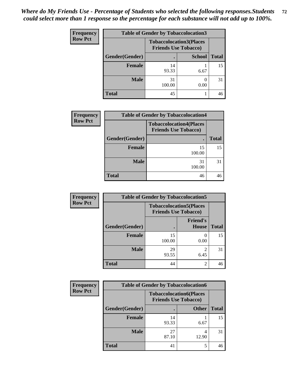| <b>Frequency</b> | <b>Table of Gender by Tobaccolocation3</b> |              |                                                               |              |
|------------------|--------------------------------------------|--------------|---------------------------------------------------------------|--------------|
| <b>Row Pct</b>   |                                            |              | <b>Tobaccolocation3(Places</b><br><b>Friends Use Tobacco)</b> |              |
|                  | Gender(Gender)                             |              | <b>School</b>                                                 | <b>Total</b> |
|                  | <b>Female</b>                              | 14<br>93.33  | 6.67                                                          | 15           |
|                  | <b>Male</b>                                | 31<br>100.00 | 0.00                                                          | 31           |
|                  | <b>Total</b>                               | 45           |                                                               | 46           |

| <b>Frequency</b> | <b>Table of Gender by Tobaccolocation4</b> |                                                               |              |  |  |
|------------------|--------------------------------------------|---------------------------------------------------------------|--------------|--|--|
| <b>Row Pct</b>   |                                            | <b>Tobaccolocation4(Places</b><br><b>Friends Use Tobacco)</b> |              |  |  |
|                  | Gender(Gender)                             |                                                               | <b>Total</b> |  |  |
|                  | <b>Female</b>                              | 15<br>100.00                                                  | 15           |  |  |
|                  | <b>Male</b>                                | 31<br>100.00                                                  | 31           |  |  |
|                  | <b>Total</b>                               | 46                                                            | 46           |  |  |

| Frequency      | <b>Table of Gender by Tobaccolocation5</b> |                                                               |                                 |              |  |
|----------------|--------------------------------------------|---------------------------------------------------------------|---------------------------------|--------------|--|
| <b>Row Pct</b> |                                            | <b>Tobaccolocation5(Places</b><br><b>Friends Use Tobacco)</b> |                                 |              |  |
|                | Gender(Gender)                             |                                                               | <b>Friend's</b><br><b>House</b> | <b>Total</b> |  |
|                | Female                                     | 15<br>100.00                                                  | 0.00                            | 15           |  |
|                | <b>Male</b>                                | 29<br>93.55                                                   | 6.45                            | 31           |  |
|                | <b>Total</b>                               | 44                                                            | 2                               | 46           |  |

| <b>Frequency</b> | <b>Table of Gender by Tobaccolocation6</b> |                                                               |              |              |
|------------------|--------------------------------------------|---------------------------------------------------------------|--------------|--------------|
| <b>Row Pct</b>   |                                            | <b>Tobaccolocation6(Places</b><br><b>Friends Use Tobacco)</b> |              |              |
|                  | Gender(Gender)                             |                                                               | <b>Other</b> | <b>Total</b> |
|                  | Female                                     | 14<br>93.33                                                   | 6.67         | 15           |
|                  | <b>Male</b>                                | 27<br>87.10                                                   | 12.90        | 31           |
|                  | <b>Total</b>                               | 41                                                            |              | 46           |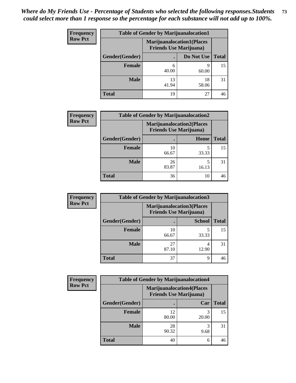| <b>Frequency</b> | <b>Table of Gender by Marijuanalocation1</b> |                                                                    |             |              |
|------------------|----------------------------------------------|--------------------------------------------------------------------|-------------|--------------|
| <b>Row Pct</b>   |                                              | <b>Marijuanalocation1(Places</b><br><b>Friends Use Marijuana</b> ) |             |              |
|                  | Gender(Gender)                               |                                                                    | Do Not Use  | <b>Total</b> |
|                  | <b>Female</b>                                | 6<br>40.00                                                         | 60.00       | 15           |
|                  | <b>Male</b>                                  | 13<br>41.94                                                        | 18<br>58.06 | 31           |
|                  | <b>Total</b>                                 | 19                                                                 | 27          |              |

| <b>Frequency</b> | <b>Table of Gender by Marijuanalocation2</b> |                                                                    |       |              |
|------------------|----------------------------------------------|--------------------------------------------------------------------|-------|--------------|
| <b>Row Pct</b>   |                                              | <b>Marijuanalocation2(Places</b><br><b>Friends Use Marijuana</b> ) |       |              |
|                  | Gender(Gender)                               |                                                                    | Home  | <b>Total</b> |
|                  | <b>Female</b>                                | 10<br>66.67                                                        | 33.33 | 15           |
|                  | <b>Male</b>                                  | 26<br>83.87                                                        | 16.13 | 31           |
|                  | <b>Total</b>                                 | 36                                                                 | 10    | 46           |

| Frequency      | <b>Table of Gender by Marijuanalocation3</b> |                                                                    |               |              |
|----------------|----------------------------------------------|--------------------------------------------------------------------|---------------|--------------|
| <b>Row Pct</b> |                                              | <b>Marijuanalocation3(Places</b><br><b>Friends Use Marijuana</b> ) |               |              |
|                | Gender(Gender)                               |                                                                    | <b>School</b> | <b>Total</b> |
|                | Female                                       | 10<br>66.67                                                        | 33.33         | 15           |
|                | <b>Male</b>                                  | 27<br>87.10                                                        | 12.90         | 31           |
|                | <b>Total</b>                                 | 37                                                                 | Q             | 46           |

| <b>Frequency</b> | <b>Table of Gender by Marijuanalocation4</b> |             |                                                                    |              |
|------------------|----------------------------------------------|-------------|--------------------------------------------------------------------|--------------|
| <b>Row Pct</b>   |                                              |             | <b>Marijuanalocation4(Places</b><br><b>Friends Use Marijuana</b> ) |              |
|                  | Gender(Gender)                               |             | Car                                                                | <b>Total</b> |
|                  | <b>Female</b>                                | 12<br>80.00 | 20.00                                                              | 15           |
|                  | <b>Male</b>                                  | 28<br>90.32 | 3<br>9.68                                                          | 31           |
|                  | <b>Total</b>                                 | 40          | 6                                                                  | 46           |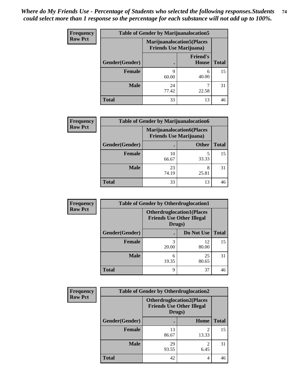| Frequency      | <b>Table of Gender by Marijuanalocation5</b> |                                                                    |                          |              |
|----------------|----------------------------------------------|--------------------------------------------------------------------|--------------------------|--------------|
| <b>Row Pct</b> |                                              | <b>Marijuanalocation5(Places</b><br><b>Friends Use Marijuana</b> ) |                          |              |
|                | Gender(Gender)                               |                                                                    | <b>Friend's</b><br>House | <b>Total</b> |
|                | <b>Female</b>                                | 9<br>60.00                                                         | 6<br>40.00               | 15           |
|                | <b>Male</b>                                  | 24<br>77.42                                                        | 22.58                    | 31           |
|                | <b>Total</b>                                 | 33                                                                 | 13                       | 46           |

| <b>Frequency</b> | <b>Table of Gender by Marijuanalocation6</b> |                                |                                  |              |
|------------------|----------------------------------------------|--------------------------------|----------------------------------|--------------|
| <b>Row Pct</b>   |                                              | <b>Friends Use Marijuana</b> ) | <b>Marijuanalocation6(Places</b> |              |
|                  | Gender(Gender)                               |                                | <b>Other</b>                     | <b>Total</b> |
|                  | <b>Female</b>                                | 10<br>66.67                    | 5<br>33.33                       | 15           |
|                  | <b>Male</b>                                  | 23<br>74.19                    | 8<br>25.81                       | 31           |
|                  | <b>Total</b>                                 | 33                             | 13                               | 46           |

| <b>Frequency</b> | <b>Table of Gender by Otherdruglocation1</b> |                                                                                |             |              |
|------------------|----------------------------------------------|--------------------------------------------------------------------------------|-------------|--------------|
| <b>Row Pct</b>   |                                              | <b>Otherdruglocation1(Places</b><br><b>Friends Use Other Illegal</b><br>Drugs) |             |              |
|                  | <b>Gender</b> (Gender)                       |                                                                                | Do Not Use  | <b>Total</b> |
|                  | <b>Female</b>                                | 20.00                                                                          | 12<br>80.00 | 15           |
|                  | <b>Male</b>                                  | 6<br>19.35                                                                     | 25<br>80.65 | 31           |
|                  | <b>Total</b>                                 | Q                                                                              | 37          | 46           |

| Frequency      | <b>Table of Gender by Otherdruglocation2</b> |                                                                                |                         |              |
|----------------|----------------------------------------------|--------------------------------------------------------------------------------|-------------------------|--------------|
| <b>Row Pct</b> |                                              | <b>Otherdruglocation2(Places</b><br><b>Friends Use Other Illegal</b><br>Drugs) |                         |              |
|                | Gender(Gender)                               |                                                                                | Home                    | <b>Total</b> |
|                | Female                                       | 13<br>86.67                                                                    | $\mathfrak{D}$<br>13.33 | 15           |
|                | <b>Male</b>                                  | 29<br>93.55                                                                    | 6.45                    | 31           |
|                | <b>Total</b>                                 | 42                                                                             | 4                       | 46           |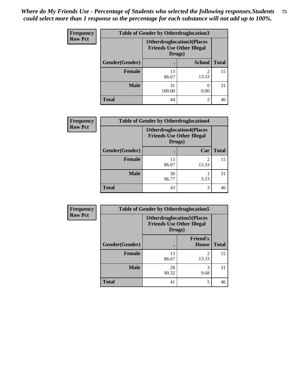| <b>Frequency</b> | <b>Table of Gender by Otherdruglocation3</b> |                                                                                |                |              |
|------------------|----------------------------------------------|--------------------------------------------------------------------------------|----------------|--------------|
| <b>Row Pct</b>   |                                              | <b>Otherdruglocation3(Places</b><br><b>Friends Use Other Illegal</b><br>Drugs) |                |              |
|                  | Gender(Gender)                               |                                                                                | <b>School</b>  | <b>Total</b> |
|                  | <b>Female</b>                                | 13<br>86.67                                                                    | っ<br>13.33     | 15           |
|                  | <b>Male</b>                                  | 31<br>100.00                                                                   | 0.00           | 31           |
|                  | <b>Total</b>                                 | 44                                                                             | $\mathfrak{D}$ | 46           |

| Frequency      | <b>Table of Gender by Otherdruglocation4</b> |             |                                                                                |              |
|----------------|----------------------------------------------|-------------|--------------------------------------------------------------------------------|--------------|
| <b>Row Pct</b> |                                              |             | <b>Otherdruglocation4(Places</b><br><b>Friends Use Other Illegal</b><br>Drugs) |              |
|                | Gender(Gender)                               |             | Car                                                                            | <b>Total</b> |
|                | Female                                       | 13<br>86.67 | $\mathfrak{D}$<br>13.33                                                        | 15           |
|                | <b>Male</b>                                  | 30<br>96.77 | 3.23                                                                           | 31           |
|                | <b>Total</b>                                 | 43          | 3                                                                              | 46           |

| <b>Frequency</b> | <b>Table of Gender by Otherdruglocation5</b> |             |                                                                      |              |
|------------------|----------------------------------------------|-------------|----------------------------------------------------------------------|--------------|
| <b>Row Pct</b>   |                                              | Drugs)      | <b>Otherdruglocation5(Places</b><br><b>Friends Use Other Illegal</b> |              |
|                  | Gender(Gender)                               |             | <b>Friend's</b><br><b>House</b>                                      | <b>Total</b> |
|                  | <b>Female</b>                                | 13<br>86.67 | $\mathfrak{D}$<br>13.33                                              | 15           |
|                  | <b>Male</b>                                  | 28<br>90.32 | 3<br>9.68                                                            | 31           |
|                  | <b>Total</b>                                 | 41          | 5                                                                    | 46           |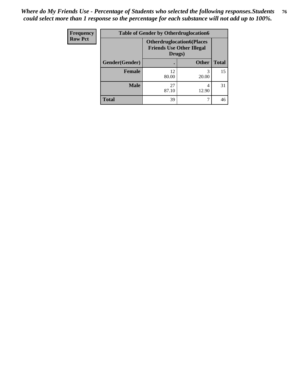| Frequency      | <b>Table of Gender by Otherdruglocation6</b> |                                                                                |              |              |
|----------------|----------------------------------------------|--------------------------------------------------------------------------------|--------------|--------------|
| <b>Row Pct</b> |                                              | <b>Otherdruglocation6(Places</b><br><b>Friends Use Other Illegal</b><br>Drugs) |              |              |
|                | Gender(Gender)                               |                                                                                | <b>Other</b> | <b>Total</b> |
|                | Female                                       | 12<br>80.00                                                                    | 20.00        | 15           |
|                | <b>Male</b>                                  | 27<br>87.10                                                                    | 4<br>12.90   | 31           |
|                | <b>Total</b>                                 | 39                                                                             |              | 46           |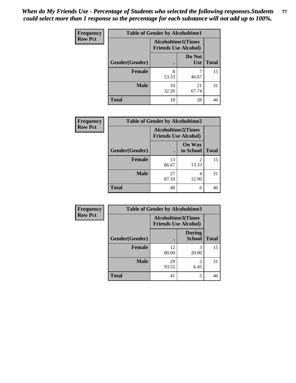| Frequency      | <b>Table of Gender by Alcoholtime1</b> |                                                          |                      |              |
|----------------|----------------------------------------|----------------------------------------------------------|----------------------|--------------|
| <b>Row Pct</b> |                                        | <b>Alcoholtime1(Times</b><br><b>Friends Use Alcohol)</b> |                      |              |
|                | Gender(Gender)                         | $\bullet$                                                | Do Not<br><b>Use</b> | <b>Total</b> |
|                | <b>Female</b>                          | 8<br>53.33                                               | 46.67                | 15           |
|                | <b>Male</b>                            | 10<br>32.26                                              | 21<br>67.74          | 31           |
|                | <b>Total</b>                           | 18                                                       | 28                   | 46           |

| <b>Frequency</b> | <b>Table of Gender by Alcoholtime2</b> |                                                          |                            |              |
|------------------|----------------------------------------|----------------------------------------------------------|----------------------------|--------------|
| <b>Row Pct</b>   |                                        | <b>Alcoholtime2(Times</b><br><b>Friends Use Alcohol)</b> |                            |              |
|                  | Gender(Gender)                         |                                                          | <b>On Way</b><br>to School | <b>Total</b> |
|                  | <b>Female</b>                          | 13<br>86.67                                              | 2<br>13.33                 | 15           |
|                  | <b>Male</b>                            | 27<br>87.10                                              | 4<br>12.90                 | 31           |
|                  | <b>Total</b>                           | 40                                                       | 6                          | 46           |

| <b>Frequency</b> | <b>Table of Gender by Alcoholtime3</b> |                                                          |                                |              |  |
|------------------|----------------------------------------|----------------------------------------------------------|--------------------------------|--------------|--|
| <b>Row Pct</b>   |                                        | <b>Alcoholtime3(Times</b><br><b>Friends Use Alcohol)</b> |                                |              |  |
|                  | Gender(Gender)                         |                                                          | <b>During</b><br><b>School</b> | <b>Total</b> |  |
|                  | <b>Female</b>                          | 12<br>80.00                                              | 3<br>20.00                     | 15           |  |
|                  | <b>Male</b>                            | 29<br>93.55                                              | $\mathfrak{D}$<br>6.45         | 31           |  |
|                  | <b>Total</b>                           | 41                                                       | 5                              | 46           |  |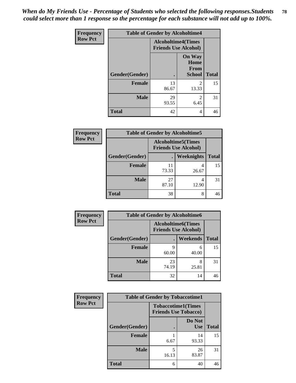*When do My Friends Use - Percentage of Students who selected the following responses.Students could select more than 1 response so the percentage for each substance will not add up to 100%.* **78**

| <b>Frequency</b> | <b>Table of Gender by Alcoholtime4</b> |                                                          |                                                |              |
|------------------|----------------------------------------|----------------------------------------------------------|------------------------------------------------|--------------|
| <b>Row Pct</b>   |                                        | <b>Alcoholtime4(Times</b><br><b>Friends Use Alcohol)</b> |                                                |              |
|                  | Gender(Gender)                         |                                                          | <b>On Way</b><br>Home<br>From<br><b>School</b> | <b>Total</b> |
|                  | <b>Female</b>                          | 13<br>86.67                                              | $\mathfrak{D}$<br>13.33                        | 15           |
|                  | <b>Male</b>                            | 29<br>93.55                                              | $\mathfrak{D}$<br>6.45                         | 31           |
|                  | <b>Total</b>                           | 42                                                       | 4                                              | 46           |

| <b>Frequency</b> | <b>Table of Gender by Alcoholtime5</b> |                                                           |                   |              |
|------------------|----------------------------------------|-----------------------------------------------------------|-------------------|--------------|
| <b>Row Pct</b>   |                                        | <b>Alcoholtime5</b> (Times<br><b>Friends Use Alcohol)</b> |                   |              |
|                  | Gender(Gender)                         |                                                           | <b>Weeknights</b> | <b>Total</b> |
|                  | <b>Female</b>                          | 11<br>73.33                                               | 4<br>26.67        | 15           |
|                  | <b>Male</b>                            | 27<br>87.10                                               | 4<br>12.90        | 31           |
|                  | <b>Total</b>                           | 38                                                        | 8                 | 46           |

| <b>Frequency</b> |                | <b>Table of Gender by Alcoholtime6</b> |                             |              |
|------------------|----------------|----------------------------------------|-----------------------------|--------------|
| <b>Row Pct</b>   |                | <b>Alcoholtime6(Times</b>              | <b>Friends Use Alcohol)</b> |              |
|                  | Gender(Gender) |                                        | <b>Weekends</b>             | <b>Total</b> |
|                  | Female         | Q<br>60.00                             | 6<br>40.00                  | 15           |
|                  | <b>Male</b>    | 23<br>74.19                            | 8<br>25.81                  | 31           |
|                  | <b>Total</b>   | 32                                     | 14                          | 46           |

| Frequency      | <b>Table of Gender by Tobaccotime1</b> |                                                          |                      |              |
|----------------|----------------------------------------|----------------------------------------------------------|----------------------|--------------|
| <b>Row Pct</b> |                                        | <b>Tobaccotime1(Times</b><br><b>Friends Use Tobacco)</b> |                      |              |
|                | Gender(Gender)                         |                                                          | Do Not<br><b>Use</b> | <b>Total</b> |
|                | <b>Female</b>                          | 6.67                                                     | 14<br>93.33          | 15           |
|                | <b>Male</b>                            | 5<br>16.13                                               | 26<br>83.87          | 31           |
|                | <b>Total</b>                           | 6                                                        | 40                   | 46           |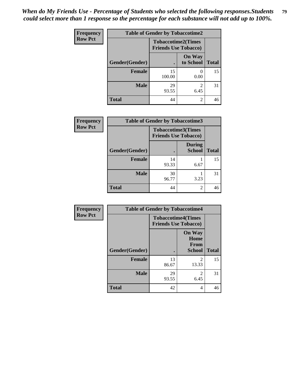*When do My Friends Use - Percentage of Students who selected the following responses.Students could select more than 1 response so the percentage for each substance will not add up to 100%.* **79**

| <b>Frequency</b> | <b>Table of Gender by Tobaccotime2</b> |                                                          |                            |              |
|------------------|----------------------------------------|----------------------------------------------------------|----------------------------|--------------|
| <b>Row Pct</b>   |                                        | <b>Tobaccotime2(Times</b><br><b>Friends Use Tobacco)</b> |                            |              |
|                  | Gender(Gender)                         | ٠                                                        | <b>On Way</b><br>to School | <b>Total</b> |
|                  | Female                                 | 15<br>100.00                                             | 0.00                       | 15           |
|                  | <b>Male</b>                            | 29<br>93.55                                              | 2<br>6.45                  | 31           |
|                  | Total                                  | 44                                                       | 2                          | 46           |

| <b>Frequency</b> | <b>Table of Gender by Tobaccotime3</b> |                                                          |                                |              |
|------------------|----------------------------------------|----------------------------------------------------------|--------------------------------|--------------|
| <b>Row Pct</b>   |                                        | <b>Tobaccotime3(Times</b><br><b>Friends Use Tobacco)</b> |                                |              |
|                  | Gender(Gender)                         |                                                          | <b>During</b><br><b>School</b> | <b>Total</b> |
|                  | <b>Female</b>                          | 14<br>93.33                                              | 6.67                           | 15           |
|                  | <b>Male</b>                            | 30<br>96.77                                              | 3.23                           | 31           |
|                  | <b>Total</b>                           | 44                                                       | 2                              | 46           |

| Frequency      | <b>Table of Gender by Tobaccotime4</b> |                                                          |                                                |              |
|----------------|----------------------------------------|----------------------------------------------------------|------------------------------------------------|--------------|
| <b>Row Pct</b> |                                        | <b>Tobaccotime4(Times</b><br><b>Friends Use Tobacco)</b> |                                                |              |
|                | Gender(Gender)                         |                                                          | <b>On Way</b><br>Home<br>From<br><b>School</b> | <b>Total</b> |
|                | <b>Female</b>                          | 13<br>86.67                                              | $\mathfrak{D}$<br>13.33                        | 15           |
|                | <b>Male</b>                            | 29<br>93.55                                              | $\mathfrak{D}$<br>6.45                         | 31           |
|                | <b>Total</b>                           | 42                                                       | 4                                              | 46           |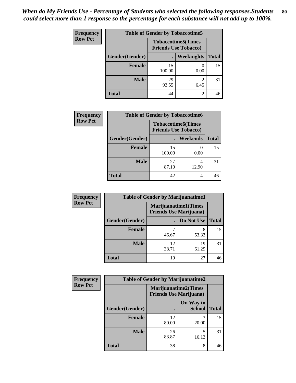| <b>Frequency</b> | <b>Table of Gender by Tobaccotime5</b> |              |                                                           |              |  |
|------------------|----------------------------------------|--------------|-----------------------------------------------------------|--------------|--|
| <b>Row Pct</b>   |                                        |              | <b>Tobaccotime5</b> (Times<br><b>Friends Use Tobacco)</b> |              |  |
|                  | Gender(Gender)                         |              | Weeknights                                                | <b>Total</b> |  |
|                  | Female                                 | 15<br>100.00 | $\left( \right)$<br>0.00                                  | 15           |  |
|                  | <b>Male</b>                            | 29<br>93.55  | 2<br>6.45                                                 | 31           |  |
|                  | Total                                  | 44           | 2                                                         | 46           |  |

| <b>Frequency</b> |                | <b>Table of Gender by Tobaccotime6</b>                   |                 |              |
|------------------|----------------|----------------------------------------------------------|-----------------|--------------|
| <b>Row Pct</b>   |                | <b>Tobaccotime6(Times</b><br><b>Friends Use Tobacco)</b> |                 |              |
|                  | Gender(Gender) |                                                          | <b>Weekends</b> | <b>Total</b> |
|                  | Female         | 15<br>100.00                                             | 0.00            | 15           |
|                  | <b>Male</b>    | 27<br>87.10                                              | 4<br>12.90      | 31           |
|                  | <b>Total</b>   | 42                                                       | 4               | 46           |

| <b>Frequency</b> |                | <b>Table of Gender by Marijuanatime1</b>                      |             |              |
|------------------|----------------|---------------------------------------------------------------|-------------|--------------|
| <b>Row Pct</b>   |                | <b>Marijuanatime1(Times</b><br><b>Friends Use Marijuana</b> ) |             |              |
|                  | Gender(Gender) |                                                               | Do Not Use  | <b>Total</b> |
|                  | <b>Female</b>  | 46.67                                                         | 8<br>53.33  | 15           |
|                  | <b>Male</b>    | 12<br>38.71                                                   | 19<br>61.29 | 31           |
|                  | <b>Total</b>   | 19                                                            | 27          | 46           |

| Frequency      | <b>Table of Gender by Marijuanatime2</b> |                                                               |                            |              |
|----------------|------------------------------------------|---------------------------------------------------------------|----------------------------|--------------|
| <b>Row Pct</b> |                                          | <b>Marijuanatime2(Times</b><br><b>Friends Use Marijuana</b> ) |                            |              |
|                | Gender(Gender)                           |                                                               | On Way to<br><b>School</b> | <b>Total</b> |
|                | <b>Female</b>                            | 12<br>80.00                                                   | 3<br>20.00                 | 15           |
|                | <b>Male</b>                              | 26<br>83.87                                                   | 5<br>16.13                 | 31           |
|                | <b>Total</b>                             | 38                                                            | 8                          | 46           |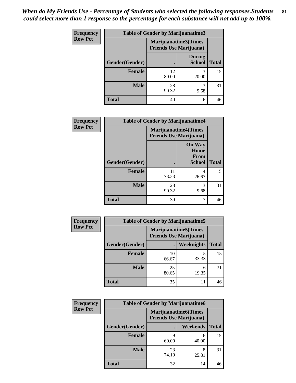| Frequency      | <b>Table of Gender by Marijuanatime3</b> |                                |                                |              |
|----------------|------------------------------------------|--------------------------------|--------------------------------|--------------|
| <b>Row Pct</b> |                                          | <b>Friends Use Marijuana</b> ) | Marijuanatime3(Times           |              |
|                | Gender(Gender)                           |                                | <b>During</b><br><b>School</b> | <b>Total</b> |
|                | <b>Female</b>                            | 12<br>80.00                    | 3<br>20.00                     | 15           |
|                | <b>Male</b>                              | 28<br>90.32                    | 3<br>9.68                      | 31           |
|                | <b>Total</b>                             | 40                             | 6                              | 46           |

| Frequency      | <b>Table of Gender by Marijuanatime4</b> |                             |                                                       |              |
|----------------|------------------------------------------|-----------------------------|-------------------------------------------------------|--------------|
| <b>Row Pct</b> |                                          | <b>Marijuanatime4(Times</b> | <b>Friends Use Marijuana</b> )                        |              |
|                | Gender(Gender)                           |                             | <b>On Way</b><br>Home<br><b>From</b><br><b>School</b> | <b>Total</b> |
|                | <b>Female</b>                            | 11<br>73.33                 | 4<br>26.67                                            | 15           |
|                | <b>Male</b>                              | 28<br>90.32                 | 3<br>9.68                                             | 31           |
|                | <b>Total</b>                             | 39                          | 7                                                     | 46           |

| Frequency      | <b>Table of Gender by Marijuanatime5</b> |                                                                |            |              |
|----------------|------------------------------------------|----------------------------------------------------------------|------------|--------------|
| <b>Row Pct</b> |                                          | <b>Marijuanatime5</b> (Times<br><b>Friends Use Marijuana</b> ) |            |              |
|                | Gender(Gender)                           | ٠                                                              | Weeknights | <b>Total</b> |
|                | <b>Female</b>                            | 10<br>66.67                                                    | 5<br>33.33 | 15           |
|                | <b>Male</b>                              | 25<br>80.65                                                    | 6<br>19.35 | 31           |
|                | <b>Total</b>                             | 35                                                             | 11         | 46           |

| Frequency      | <b>Table of Gender by Marijuanatime6</b> |                                                               |                 |              |  |
|----------------|------------------------------------------|---------------------------------------------------------------|-----------------|--------------|--|
| <b>Row Pct</b> |                                          | <b>Marijuanatime6(Times</b><br><b>Friends Use Marijuana</b> ) |                 |              |  |
|                | Gender(Gender)                           |                                                               | <b>Weekends</b> | <b>Total</b> |  |
|                | <b>Female</b>                            | q<br>60.00                                                    | 6<br>40.00      | 15           |  |
|                | <b>Male</b>                              | 23<br>74.19                                                   | 8<br>25.81      | 31           |  |
|                | <b>Total</b>                             | 32                                                            | 14              | 46           |  |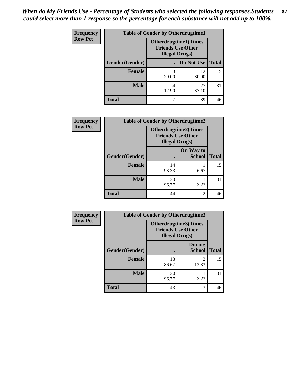| <b>Frequency</b> | <b>Table of Gender by Otherdrugtime1</b> |                                                                                   |             |              |  |
|------------------|------------------------------------------|-----------------------------------------------------------------------------------|-------------|--------------|--|
| <b>Row Pct</b>   |                                          | <b>Otherdrugtime1</b> (Times<br><b>Friends Use Other</b><br><b>Illegal Drugs)</b> |             |              |  |
|                  | Gender(Gender)                           |                                                                                   | Do Not Use  | <b>Total</b> |  |
|                  | <b>Female</b>                            | 3<br>20.00                                                                        | 12<br>80.00 | 15           |  |
|                  | Male                                     | 4<br>12.90                                                                        | 27<br>87.10 | 31           |  |
|                  | <b>Total</b>                             | 7                                                                                 | 39          | 46           |  |

| Frequency      | <b>Table of Gender by Otherdrugtime2</b> |                        |                                                         |              |
|----------------|------------------------------------------|------------------------|---------------------------------------------------------|--------------|
| <b>Row Pct</b> |                                          | <b>Illegal Drugs</b> ) | <b>Otherdrugtime2(Times</b><br><b>Friends Use Other</b> |              |
|                | Gender(Gender)                           |                        | On Way to<br><b>School</b>                              | <b>Total</b> |
|                | <b>Female</b>                            | 14<br>93.33            | 6.67                                                    | 15           |
|                | <b>Male</b>                              | 30<br>96.77            | 3.23                                                    | 31           |
|                | <b>Total</b>                             | 44                     | $\mathfrak{D}$                                          | 46           |

| Frequency      |                | <b>Table of Gender by Otherdrugtime3</b>          |                                |              |
|----------------|----------------|---------------------------------------------------|--------------------------------|--------------|
| <b>Row Pct</b> |                | <b>Friends Use Other</b><br><b>Illegal Drugs)</b> | Otherdrugtime3(Times           |              |
|                | Gender(Gender) |                                                   | <b>During</b><br><b>School</b> | <b>Total</b> |
|                | <b>Female</b>  | 13<br>86.67                                       | $\mathfrak{D}$<br>13.33        | 15           |
|                | <b>Male</b>    | 30<br>96.77                                       | 3.23                           | 31           |
|                | <b>Total</b>   | 43                                                | 3                              | 46           |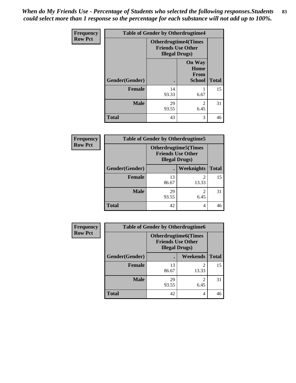*When do My Friends Use - Percentage of Students who selected the following responses.Students could select more than 1 response so the percentage for each substance will not add up to 100%.* **83**

| <b>Frequency</b> | <b>Table of Gender by Otherdrugtime4</b> |                                                    |                                                       |              |
|------------------|------------------------------------------|----------------------------------------------------|-------------------------------------------------------|--------------|
| <b>Row Pct</b>   |                                          | <b>Friends Use Other</b><br><b>Illegal Drugs</b> ) | <b>Otherdrugtime4(Times</b>                           |              |
|                  | Gender(Gender)                           |                                                    | <b>On Way</b><br>Home<br><b>From</b><br><b>School</b> | <b>Total</b> |
|                  | <b>Female</b>                            | 14<br>93.33                                        | 6.67                                                  | 15           |
|                  | <b>Male</b>                              | 29<br>93.55                                        | $\mathfrak{D}$<br>6.45                                | 31           |
|                  | <b>Total</b>                             | 43                                                 | 3                                                     | 46           |

| <b>Frequency</b> | <b>Table of Gender by Otherdrugtime5</b> |                                                                                    |            |              |
|------------------|------------------------------------------|------------------------------------------------------------------------------------|------------|--------------|
| <b>Row Pct</b>   |                                          | <b>Otherdrugtime5</b> (Times<br><b>Friends Use Other</b><br><b>Illegal Drugs</b> ) |            |              |
|                  | Gender(Gender)                           |                                                                                    | Weeknights | <b>Total</b> |
|                  | <b>Female</b>                            | 13<br>86.67                                                                        | 2<br>13.33 | 15           |
|                  | <b>Male</b>                              | 29<br>93.55                                                                        | 6.45       | 31           |
|                  | <b>Total</b>                             | 42                                                                                 | 4          | 46           |

| <b>Frequency</b> | <b>Table of Gender by Otherdrugtime6</b> |                                                                                   |                         |              |  |
|------------------|------------------------------------------|-----------------------------------------------------------------------------------|-------------------------|--------------|--|
| <b>Row Pct</b>   |                                          | <b>Otherdrugtime6(Times</b><br><b>Friends Use Other</b><br><b>Illegal Drugs</b> ) |                         |              |  |
|                  | Gender(Gender)                           |                                                                                   | Weekends                | <b>Total</b> |  |
|                  | <b>Female</b>                            | 13<br>86.67                                                                       | $\mathfrak{D}$<br>13.33 | 15           |  |
|                  | <b>Male</b>                              | 29<br>93.55                                                                       | 2<br>6.45               | 31           |  |
|                  | <b>Total</b>                             | 42                                                                                | 4                       | 46           |  |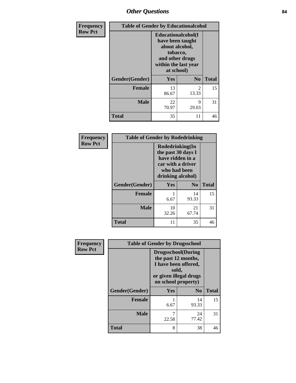## *Other Questions* **84**

| Frequency      | <b>Table of Gender by Educationalcohol</b> |                                                                                                                               |                |              |
|----------------|--------------------------------------------|-------------------------------------------------------------------------------------------------------------------------------|----------------|--------------|
| <b>Row Pct</b> |                                            | Educationalcohol(I<br>have been taught<br>about alcohol,<br>tobacco,<br>and other drugs<br>within the last year<br>at school) |                |              |
|                | Gender(Gender)                             | <b>Yes</b>                                                                                                                    | N <sub>0</sub> | <b>Total</b> |
|                | <b>Female</b>                              | 13<br>86.67                                                                                                                   | 2<br>13.33     | 15           |
|                | <b>Male</b>                                | 22<br>70.97                                                                                                                   | 9<br>29.03     | 31           |
|                | <b>Total</b>                               | 35                                                                                                                            | 11             | 46           |

| Frequency      | <b>Table of Gender by Rodedrinking</b> |                                                                                                                     |                |              |
|----------------|----------------------------------------|---------------------------------------------------------------------------------------------------------------------|----------------|--------------|
| <b>Row Pct</b> |                                        | Rodedrinking(In<br>the past 30 days I<br>have ridden in a<br>car with a driver<br>who had been<br>drinking alcohol) |                |              |
|                | Gender(Gender)                         | Yes                                                                                                                 | N <sub>0</sub> | <b>Total</b> |
|                | <b>Female</b>                          | 6.67                                                                                                                | 14<br>93.33    | 15           |
|                | <b>Male</b>                            | 10<br>32.26                                                                                                         | 21<br>67.74    | 31           |
|                | <b>Total</b>                           | 11                                                                                                                  | 35             | 46           |

| Frequency      | <b>Table of Gender by Drugsschool</b> |                                                                                                                                     |                |              |
|----------------|---------------------------------------|-------------------------------------------------------------------------------------------------------------------------------------|----------------|--------------|
| <b>Row Pct</b> |                                       | <b>Drugsschool</b> (During<br>the past 12 months,<br>I have been offered,<br>sold,<br>or given illegal drugs<br>on school property) |                |              |
|                | Gender(Gender)                        | Yes                                                                                                                                 | N <sub>0</sub> | <b>Total</b> |
|                | <b>Female</b>                         | 6.67                                                                                                                                | 14<br>93.33    | 15           |
|                | <b>Male</b>                           | 7<br>22.58                                                                                                                          | 24<br>77.42    | 31           |
|                | Total                                 | 8                                                                                                                                   | 38             | 46           |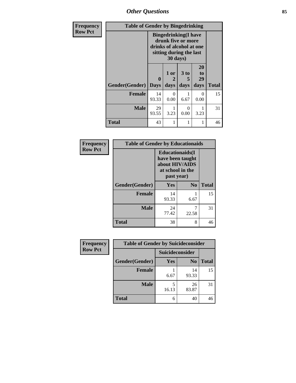*Other Questions* **85**

| <b>Frequency</b> | <b>Table of Gender by Bingedrinking</b> |                                                                                                                       |                   |                   |                        |              |
|------------------|-----------------------------------------|-----------------------------------------------------------------------------------------------------------------------|-------------------|-------------------|------------------------|--------------|
| <b>Row Pct</b>   |                                         | <b>Bingedrinking</b> (I have<br>drunk five or more<br>drinks of alcohol at one<br>sitting during the last<br>30 days) |                   |                   |                        |              |
|                  | Gender(Gender)                          | 0<br><b>Days</b>                                                                                                      | 1 or<br>2<br>days | 3 to<br>5<br>days | 20<br>to<br>29<br>days | <b>Total</b> |
|                  | <b>Female</b>                           | 14<br>93.33                                                                                                           | $\Omega$<br>0.00  | 6.67              | 0<br>0.00              | 15           |
|                  | Male                                    | 29<br>93.55                                                                                                           | 3.23              | 0<br>0.00         | 3.23                   | 31           |
|                  | <b>Total</b>                            | 43                                                                                                                    |                   |                   |                        | 46           |

| Frequency      | <b>Table of Gender by Educationaids</b> |                                                                                                 |                |              |  |
|----------------|-----------------------------------------|-------------------------------------------------------------------------------------------------|----------------|--------------|--|
| <b>Row Pct</b> |                                         | <b>Educationaids</b> (I<br>have been taught<br>about HIV/AIDS<br>at school in the<br>past year) |                |              |  |
|                | Gender(Gender)                          | <b>Yes</b>                                                                                      | N <sub>0</sub> | <b>Total</b> |  |
|                | <b>Female</b>                           | 14<br>93.33                                                                                     | 6.67           | 15           |  |
|                | <b>Male</b>                             | 24<br>77.42                                                                                     | 7<br>22.58     | 31           |  |
|                | <b>Total</b>                            | 38                                                                                              | 8              | 46           |  |

| Frequency      | <b>Table of Gender by Suicideconsider</b> |                 |                |              |
|----------------|-------------------------------------------|-----------------|----------------|--------------|
| <b>Row Pct</b> |                                           | Suicideconsider |                |              |
|                | Gender(Gender)                            | Yes             | N <sub>0</sub> | <b>Total</b> |
|                | <b>Female</b>                             | 6.67            | 14<br>93.33    | 15           |
|                | <b>Male</b>                               | 16.13           | 26<br>83.87    | 31           |
|                | <b>Total</b>                              | 6               | 40             | 46           |